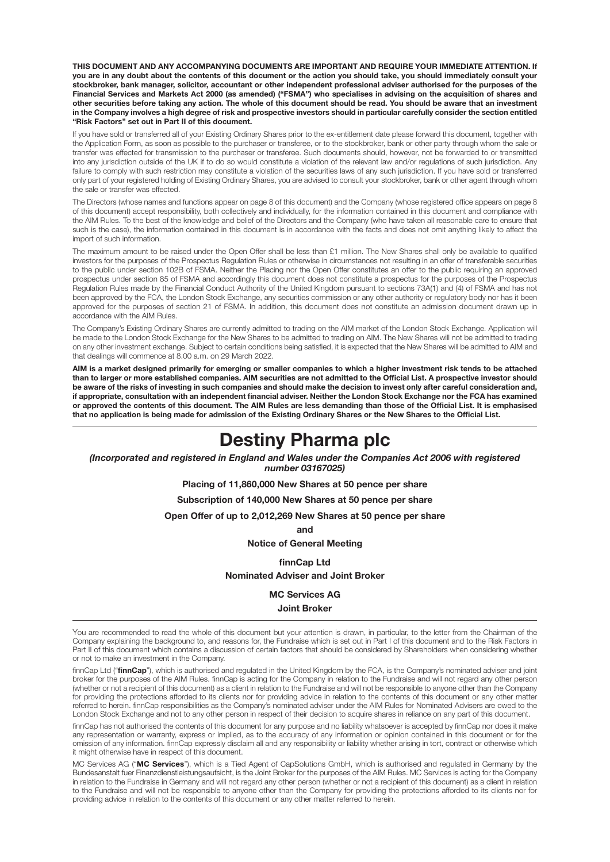**THIS DOCUMENT AND ANY ACCOMPANYING DOCUMENTS ARE IMPORTANT AND REQUIRE YOUR IMMEDIATE ATTENTION. If you are in any doubt about the contents of this document or the action you should take, you should immediately consult your stockbroker, bank manager, solicitor, accountant or other independent professional adviser authorised for the purposes of the Financial Services and Markets Act 2000 (as amended) ("FSMA") who specialises in advising on the acquisition of shares and other securities before taking any action. The whole of this document should be read. You should be aware that an investment in the Company involves a high degree of risk and prospective investors should in particular carefully consider the section entitled "Risk Factors" set out in Part II of this document.**

If you have sold or transferred all of your Existing Ordinary Shares prior to the ex-entitlement date please forward this document, together with the Application Form, as soon as possible to the purchaser or transferee, or to the stockbroker, bank or other party through whom the sale or transfer was effected for transmission to the purchaser or transferee. Such documents should, however, not be forwarded to or transmitted into any jurisdiction outside of the UK if to do so would constitute a violation of the relevant law and/or regulations of such jurisdiction. Any failure to comply with such restriction may constitute a violation of the securities laws of any such jurisdiction. If you have sold or transferred only part of your registered holding of Existing Ordinary Shares, you are advised to consult your stockbroker, bank or other agent through whom the sale or transfer was effected.

The Directors (whose names and functions appear on page 8 of this document) and the Company (whose registered office appears on page 8 of this document) accept responsibility, both collectively and individually, for the information contained in this document and compliance with the AIM Rules. To the best of the knowledge and belief of the Directors and the Company (who have taken all reasonable care to ensure that such is the case), the information contained in this document is in accordance with the facts and does not omit anything likely to affect the import of such information.

The maximum amount to be raised under the Open Offer shall be less than £1 million. The New Shares shall only be available to qualified investors for the purposes of the Prospectus Regulation Rules or otherwise in circumstances not resulting in an offer of transferable securities to the public under section 102B of FSMA. Neither the Placing nor the Open Offer constitutes an offer to the public requiring an approved prospectus under section 85 of FSMA and accordingly this document does not constitute a prospectus for the purposes of the Prospectus Regulation Rules made by the Financial Conduct Authority of the United Kingdom pursuant to sections 73A(1) and (4) of FSMA and has not been approved by the FCA, the London Stock Exchange, any securities commission or any other authority or regulatory body nor has it been approved for the purposes of section 21 of FSMA. In addition, this document does not constitute an admission document drawn up in accordance with the AIM Rules.

The Company's Existing Ordinary Shares are currently admitted to trading on the AIM market of the London Stock Exchange. Application will be made to the London Stock Exchange for the New Shares to be admitted to trading on AIM. The New Shares will not be admitted to trading on any other investment exchange. Subject to certain conditions being satisfied, it is expected that the New Shares will be admitted to AIM and that dealings will commence at 8.00 a.m. on 29 March 2022.

**AIM is a market designed primarily for emerging or smaller companies to which a higher investment risk tends to be attached than to larger or more established companies. AIM securities are not admitted to the Official List. A prospective investor should be aware of the risks of investing in such companies and should make the decision to invest only after careful consideration and, if appropriate, consultation with an independent financial adviser. Neither the London Stock Exchange nor the FCA has examined or approved the contents of this document. The AIM Rules are less demanding than those of the Official List. It is emphasised that no application is being made for admission of the Existing Ordinary Shares or the New Shares to the Official List.**

# **Destiny Pharma plc**

*(Incorporated and registered in England and Wales under the Companies Act 2006 with registered number 03167025)*

**Placing of 11,860,000 New Shares at 50 pence per share**

**Subscription of 140,000 New Shares at 50 pence per share**

**Open Offer of up to 2,012,269 New Shares at 50 pence per share**

**and**

**Notice of General Meeting**

**finnCap Ltd**

**Nominated Adviser and Joint Broker**

**MC Services AG Joint Broker**

You are recommended to read the whole of this document but your attention is drawn, in particular, to the letter from the Chairman of the Company explaining the background to, and reasons for, the Fundraise which is set out in Part I of this document and to the Risk Factors in Part II of this document which contains a discussion of certain factors that should be considered by Shareholders when considering whether or not to make an investment in the Company.

finnCap Ltd ("**finnCap**"), which is authorised and regulated in the United Kingdom by the FCA, is the Company's nominated adviser and joint broker for the purposes of the AIM Rules. finnCap is acting for the Company in relation to the Fundraise and will not regard any other person (whether or not a recipient of this document) as a client in relation to the Fundraise and will not be responsible to anyone other than the Company for providing the protections afforded to its clients nor for providing advice in relation to the contents of this document or any other matter referred to herein. finnCap responsibilities as the Company's nominated adviser under the AIM Rules for Nominated Advisers are owed to the London Stock Exchange and not to any other person in respect of their decision to acquire shares in reliance on any part of this document.

finnCap has not authorised the contents of this document for any purpose and no liability whatsoever is accepted by finnCap nor does it make any representation or warranty, express or implied, as to the accuracy of any information or opinion contained in this document or for the omission of any information. finnCap expressly disclaim all and any responsibility or liability whether arising in tort, contract or otherwise which it might otherwise have in respect of this document.

MC Services AG ("**MC Services**"), which is a Tied Agent of CapSolutions GmbH, which is authorised and regulated in Germany by the Bundesanstalt fuer Finanzdienstleistungsaufsicht, is the Joint Broker for the purposes of the AIM Rules. MC Services is acting for the Company in relation to the Fundraise in Germany and will not regard any other person (whether or not a recipient of this document) as a client in relation to the Fundraise and will not be responsible to anyone other than the Company for providing the protections afforded to its clients nor for providing advice in relation to the contents of this document or any other matter referred to herein.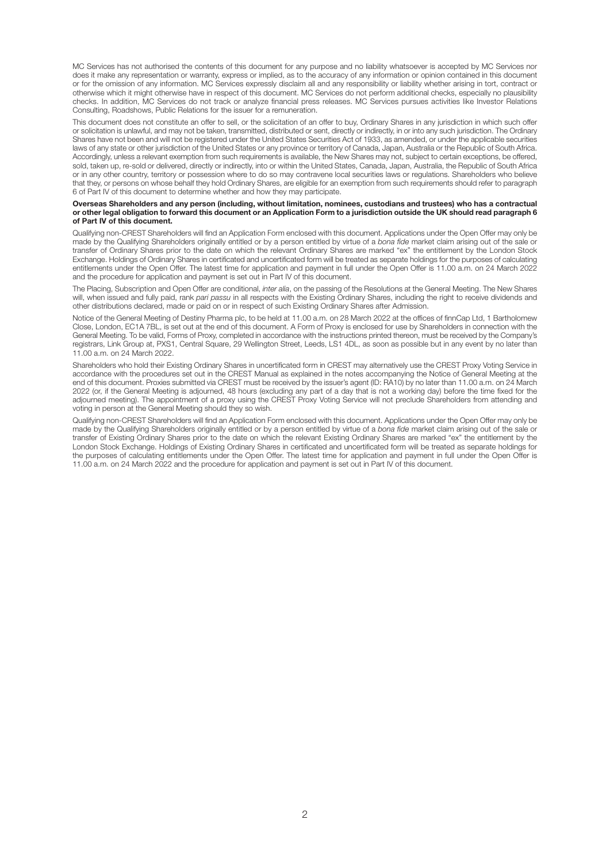MC Services has not authorised the contents of this document for any purpose and no liability whatsoever is accepted by MC Services nor does it make any representation or warranty, express or implied, as to the accuracy of any information or opinion contained in this document or for the omission of any information. MC Services expressly disclaim all and any responsibility or liability whether arising in tort, contract or otherwise which it might otherwise have in respect of this document. MC Services do not perform additional checks, especially no plausibility checks. In addition, MC Services do not track or analyze financial press releases. MC Services pursues activities like Investor Relations Consulting, Roadshows, Public Relations for the issuer for a remuneration.

This document does not constitute an offer to sell, or the solicitation of an offer to buy, Ordinary Shares in any jurisdiction in which such offer or solicitation is unlawful, and may not be taken, transmitted, distributed or sent, directly or indirectly, in or into any such jurisdiction. The Ordinary Shares have not been and will not be registered under the United States Securities Act of 1933, as amended, or under the applicable securities laws of any state or other jurisdiction of the United States or any province or territory of Canada, Japan, Australia or the Republic of South Africa. Accordingly, unless a relevant exemption from such requirements is available, the New Shares may not, subject to certain exceptions, be offered, sold, taken up, re-sold or delivered, directly or indirectly, into or within the United States, Canada, Japan, Australia, the Republic of South Africa or in any other country, territory or possession where to do so may contravene local securities laws or regulations. Shareholders who believe that they, or persons on whose behalf they hold Ordinary Shares, are eligible for an exemption from such requirements should refer to paragraph 6 of Part IV of this document to determine whether and how they may participate.

#### **Overseas Shareholders and any person (including, without limitation, nominees, custodians and trustees) who has a contractual or other legal obligation to forward this document or an Application Form to a jurisdiction outside the UK should read paragraph 6 of Part IV of this document.**

Qualifying non-CREST Shareholders will find an Application Form enclosed with this document. Applications under the Open Offer may only be made by the Qualifying Shareholders originally entitled or by a person entitled by virtue of a bona fide market claim arising out of the sale or transfer of Ordinary Shares prior to the date on which the relevant Ordinary Shares are marked "ex" the entitlement by the London Stock Exchange. Holdings of Ordinary Shares in certificated and uncertificated form will be treated as separate holdings for the purposes of calculating entitlements under the Open Offer. The latest time for application and payment in full under the Open Offer is 11.00 a.m. on 24 March 2022 and the procedure for application and payment is set out in Part IV of this document.

The Placing, Subscription and Open Offer are conditional, inter alia, on the passing of the Resolutions at the General Meeting. The New Shares will, when issued and fully paid, rank pari passu in all respects with the Existing Ordinary Shares, including the right to receive dividends and other distributions declared, made or paid on or in respect of such Existing Ordinary Shares after Admission.

Notice of the General Meeting of Destiny Pharma plc, to be held at 11.00 a.m. on 28 March 2022 at the offices of finnCap Ltd, 1 Bartholomew Close, London, EC1A 7BL, is set out at the end of this document. A Form of Proxy is enclosed for use by Shareholders in connection with the General Meeting. To be valid, Forms of Proxy, completed in accordance with the instructions printed thereon, must be received by the Company's registrars, Link Group at, PXS1, Central Square, 29 Wellington Street, Leeds, LS1 4DL, as soon as possible but in any event by no later than 11.00 a.m. on 24 March 2022.

Shareholders who hold their Existing Ordinary Shares in uncertificated form in CREST may alternatively use the CREST Proxy Voting Service in accordance with the procedures set out in the CREST Manual as explained in the notes accompanying the Notice of General Meeting at the end of this document. Proxies submitted via CREST must be received by the issuer's agent (ID: RA10) by no later than 11.00 a.m. on 24 March 2022 (or, if the General Meeting is adjourned, 48 hours (excluding any part of a day that is not a working day) before the time fixed for the adjourned meeting). The appointment of a proxy using the CREST Proxy Voting Service will not preclude Shareholders from attending and voting in person at the General Meeting should they so wish.

Qualifying non-CREST Shareholders will find an Application Form enclosed with this document. Applications under the Open Offer may only be made by the Qualifying Shareholders originally entitled or by a person entitled by virtue of a bona fide market claim arising out of the sale or transfer of Existing Ordinary Shares prior to the date on which the relevant Existing Ordinary Shares are marked "ex" the entitlement by the London Stock Exchange. Holdings of Existing Ordinary Shares in certificated and uncertificated form will be treated as separate holdings for the purposes of calculating entitlements under the Open Offer. The latest time for application and payment in full under the Open Offer is 11.00 a.m. on 24 March 2022 and the procedure for application and payment is set out in Part IV of this document.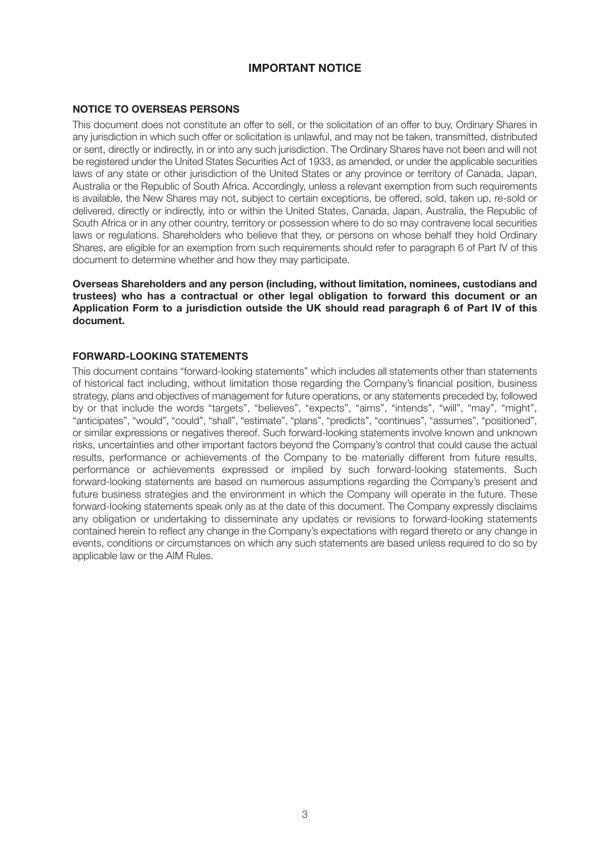# **IMPORTANT NOTICE**

#### **NOTICE TO OVERSEAS PERSONS**

This document does not constitute an offer to sell, or the solicitation of an offer to buy, Ordinary Shares in any jurisdiction in which such offer or solicitation is unlawful, and may not be taken, transmitted, distributed or sent, directly or indirectly, in or into any such jurisdiction. The Ordinary Shares have not been and will not be registered under the United States Securities Act of 1933, as amended, or under the applicable securities laws of any state or other jurisdiction of the United States or any province or territory of Canada, Japan, Australia or the Republic of South Africa. Accordingly, unless a relevant exemption from such requirements is available, the New Shares may not, subject to certain exceptions, be offered, sold, taken up, re-sold or delivered, directly or indirectly, into or within the United States, Canada, Japan, Australia, the Republic of South Africa or in any other country, territory or possession where to do so may contravene local securities laws or regulations. Shareholders who believe that they, or persons on whose behalf they hold Ordinary Shares, are eligible for an exemption from such requirements should refer to paragraph 6 of Part IV of this document to determine whether and how they may participate.

**Overseas Shareholders and any person (including, without limitation, nominees, custodians and trustees) who has a contractual or other legal obligation to forward this document or an Application Form to a jurisdiction outside the UK should read paragraph 6 of Part IV of this document.**

#### **FORWARD-LOOKING STATEMENTS**

This document contains "forward-looking statements" which includes all statements other than statements of historical fact including, without limitation those regarding the Company's financial position, business strategy, plans and objectives of management for future operations, or any statements preceded by, followed by or that include the words "targets", "believes", "expects", "aims", "intends", "will", "may", "might", "anticipates", "would", "could", "shall", "estimate", "plans", "predicts", "continues", "assumes", "positioned", or similar expressions or negatives thereof. Such forward-looking statements involve known and unknown risks, uncertainties and other important factors beyond the Company's control that could cause the actual results, performance or achievements of the Company to be materially different from future results, performance or achievements expressed or implied by such forward-looking statements. Such forward-looking statements are based on numerous assumptions regarding the Company's present and future business strategies and the environment in which the Company will operate in the future. These forward-looking statements speak only as at the date of this document. The Company expressly disclaims any obligation or undertaking to disseminate any updates or revisions to forward-looking statements contained herein to reflect any change in the Company's expectations with regard thereto or any change in events, conditions or circumstances on which any such statements are based unless required to do so by applicable law or the AIM Rules.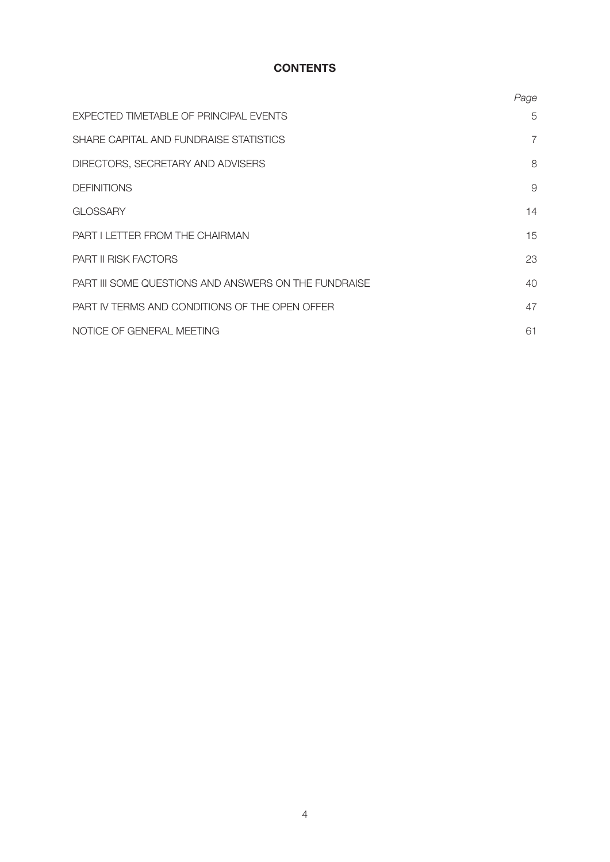# **CONTENTS**

|                                                      | Page |
|------------------------------------------------------|------|
| EXPECTED TIMETABLE OF PRINCIPAL EVENTS               | 5    |
| SHARE CAPITAL AND FUNDRAISE STATISTICS               | 7    |
| DIRECTORS, SECRETARY AND ADVISERS                    | 8    |
| <b>DEFINITIONS</b>                                   | 9    |
| <b>GLOSSARY</b>                                      | 14   |
| PART I LETTER FROM THE CHAIRMAN                      | 15   |
| <b>PART II RISK FACTORS</b>                          | 23   |
| PART III SOME QUESTIONS AND ANSWERS ON THE FUNDRAISE | 40   |
| PART IV TERMS AND CONDITIONS OF THE OPEN OFFER       | 47   |
| NOTICE OF GENERAL MEETING                            | 61   |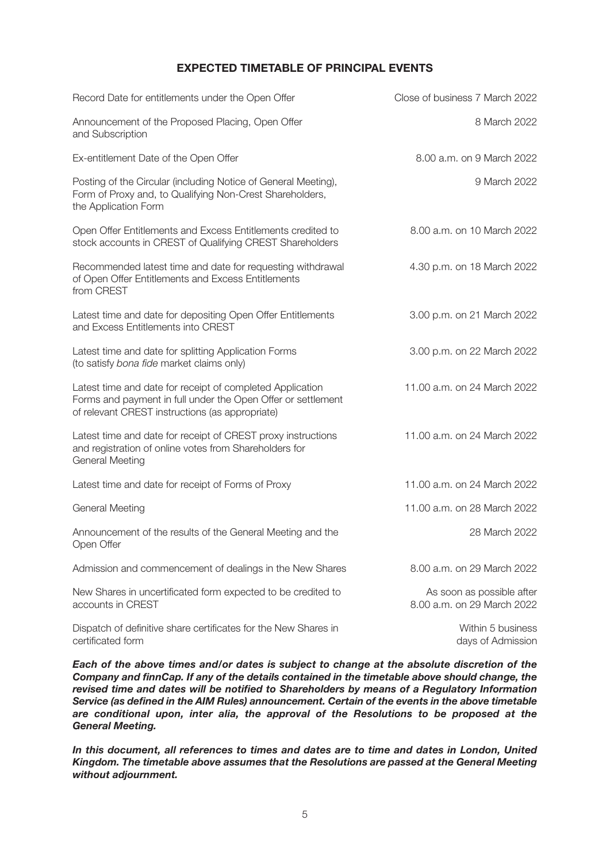# **EXPECTED TIMETABLE OF PRINCIPAL EVENTS**

| Record Date for entitlements under the Open Offer                                                                                                                            | Close of business 7 March 2022                          |
|------------------------------------------------------------------------------------------------------------------------------------------------------------------------------|---------------------------------------------------------|
| Announcement of the Proposed Placing, Open Offer<br>and Subscription                                                                                                         | 8 March 2022                                            |
| Ex-entitlement Date of the Open Offer                                                                                                                                        | 8.00 a.m. on 9 March 2022                               |
| Posting of the Circular (including Notice of General Meeting),<br>Form of Proxy and, to Qualifying Non-Crest Shareholders,<br>the Application Form                           | 9 March 2022                                            |
| Open Offer Entitlements and Excess Entitlements credited to<br>stock accounts in CREST of Qualifying CREST Shareholders                                                      | 8.00 a.m. on 10 March 2022                              |
| Recommended latest time and date for requesting withdrawal<br>of Open Offer Entitlements and Excess Entitlements<br>from CREST                                               | 4.30 p.m. on 18 March 2022                              |
| Latest time and date for depositing Open Offer Entitlements<br>and Excess Entitlements into CREST                                                                            | 3.00 p.m. on 21 March 2022                              |
| Latest time and date for splitting Application Forms<br>(to satisfy bona fide market claims only)                                                                            | 3.00 p.m. on 22 March 2022                              |
| Latest time and date for receipt of completed Application<br>Forms and payment in full under the Open Offer or settlement<br>of relevant CREST instructions (as appropriate) | 11.00 a.m. on 24 March 2022                             |
| Latest time and date for receipt of CREST proxy instructions<br>and registration of online votes from Shareholders for<br><b>General Meeting</b>                             | 11.00 a.m. on 24 March 2022                             |
| Latest time and date for receipt of Forms of Proxy                                                                                                                           | 11.00 a.m. on 24 March 2022                             |
| <b>General Meeting</b>                                                                                                                                                       | 11.00 a.m. on 28 March 2022                             |
| Announcement of the results of the General Meeting and the<br>Open Offer                                                                                                     | 28 March 2022                                           |
| Admission and commencement of dealings in the New Shares                                                                                                                     | 8.00 a.m. on 29 March 2022                              |
| New Shares in uncertificated form expected to be credited to<br>accounts in CREST                                                                                            | As soon as possible after<br>8.00 a.m. on 29 March 2022 |
| Dispatch of definitive share certificates for the New Shares in<br>certificated form                                                                                         | Within 5 business<br>days of Admission                  |

*Each of the above times and/or dates is subject to change at the absolute discretion of the Company and finnCap. If any of the details contained in the timetable above should change, the revised time and dates will be notified to Shareholders by means of a Regulatory Information Service (as defined in the AIM Rules) announcement. Certain of the events in the above timetable are conditional upon, inter alia, the approval of the Resolutions to be proposed at the General Meeting.*

*In this document, all references to times and dates are to time and dates in London, United Kingdom. The timetable above assumes that the Resolutions are passed at the General Meeting without adjournment.*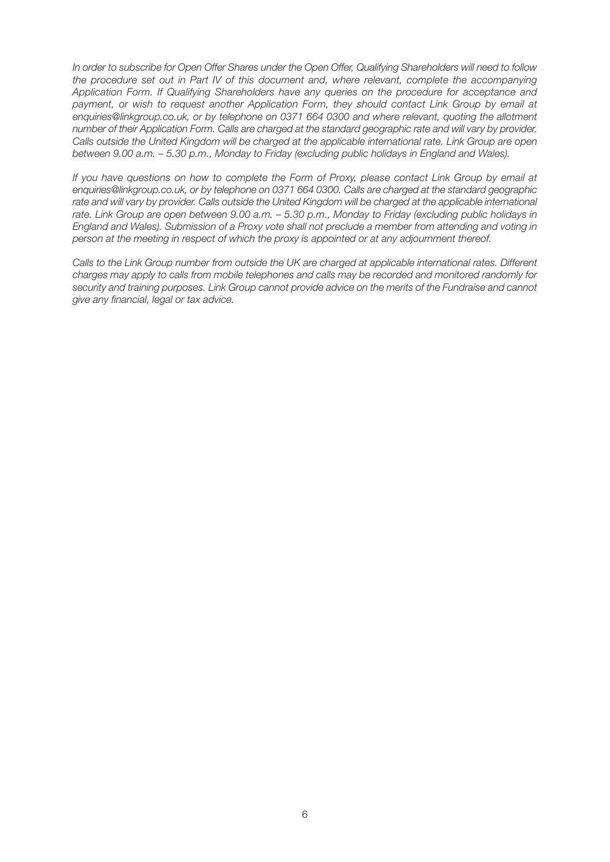In order to subscribe for Open Offer Shares under the Open Offer, Qualifying Shareholders will need to follow the procedure set out in Part IV of this document and, where relevant, complete the accompanying Application Form. If Qualifying Shareholders have any queries on the procedure for acceptance and payment, or wish to request another Application Form, they should contact Link Group by email at enquiries@linkgroup.co.uk, or by telephone on 0371 664 0300 and where relevant, quoting the allotment number of their Application Form. Calls are charged at the standard geographic rate and will vary by provider. Calls outside the United Kingdom will be charged at the applicable international rate. Link Group are open between 9.00 a.m. – 5.30 p.m., Monday to Friday (excluding public holidays in England and Wales).

If you have questions on how to complete the Form of Proxy, please contact Link Group by email at enquiries@linkgroup.co.uk, or by telephone on 0371 664 0300. Calls are charged at the standard geographic rate and will vary by provider. Calls outside the United Kingdom will be charged at the applicable international rate. Link Group are open between 9.00 a.m. – 5.30 p.m., Monday to Friday (excluding public holidays in England and Wales). Submission of a Proxy vote shall not preclude a member from attending and voting in person at the meeting in respect of which the proxy is appointed or at any adjournment thereof.

Calls to the Link Group number from outside the UK are charged at applicable international rates. Different charges may apply to calls from mobile telephones and calls may be recorded and monitored randomly for security and training purposes. Link Group cannot provide advice on the merits of the Fundraise and cannot give any financial, legal or tax advice.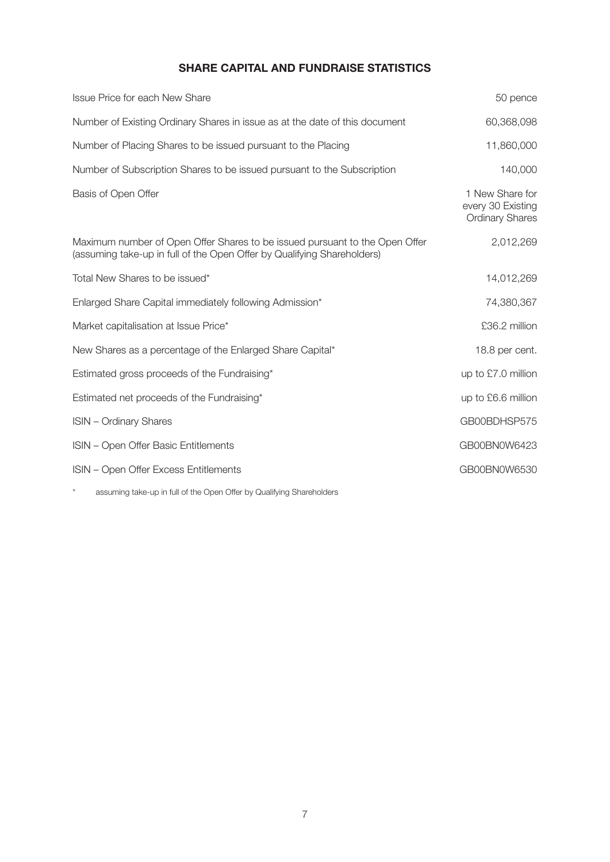# **SHARE CAPITAL AND FUNDRAISE STATISTICS**

| <b>Issue Price for each New Share</b>                                                                                                                  | 50 pence                                                       |
|--------------------------------------------------------------------------------------------------------------------------------------------------------|----------------------------------------------------------------|
| Number of Existing Ordinary Shares in issue as at the date of this document                                                                            | 60,368,098                                                     |
| Number of Placing Shares to be issued pursuant to the Placing                                                                                          | 11,860,000                                                     |
| Number of Subscription Shares to be issued pursuant to the Subscription                                                                                | 140,000                                                        |
| Basis of Open Offer                                                                                                                                    | 1 New Share for<br>every 30 Existing<br><b>Ordinary Shares</b> |
| Maximum number of Open Offer Shares to be issued pursuant to the Open Offer<br>(assuming take-up in full of the Open Offer by Qualifying Shareholders) | 2,012,269                                                      |
| Total New Shares to be issued*                                                                                                                         | 14,012,269                                                     |
| Enlarged Share Capital immediately following Admission*                                                                                                | 74,380,367                                                     |
| Market capitalisation at Issue Price*                                                                                                                  | £36.2 million                                                  |
| New Shares as a percentage of the Enlarged Share Capital*                                                                                              | 18.8 per cent.                                                 |
| Estimated gross proceeds of the Fundraising*                                                                                                           | up to £7.0 million                                             |
| Estimated net proceeds of the Fundraising*                                                                                                             | up to £6.6 million                                             |
| <b>ISIN</b> - Ordinary Shares                                                                                                                          | GB00BDHSP575                                                   |
| ISIN - Open Offer Basic Entitlements                                                                                                                   | GB00BN0W6423                                                   |
| ISIN - Open Offer Excess Entitlements                                                                                                                  | GB00BN0W6530                                                   |

\* assuming take-up in full of the Open Offer by Qualifying Shareholders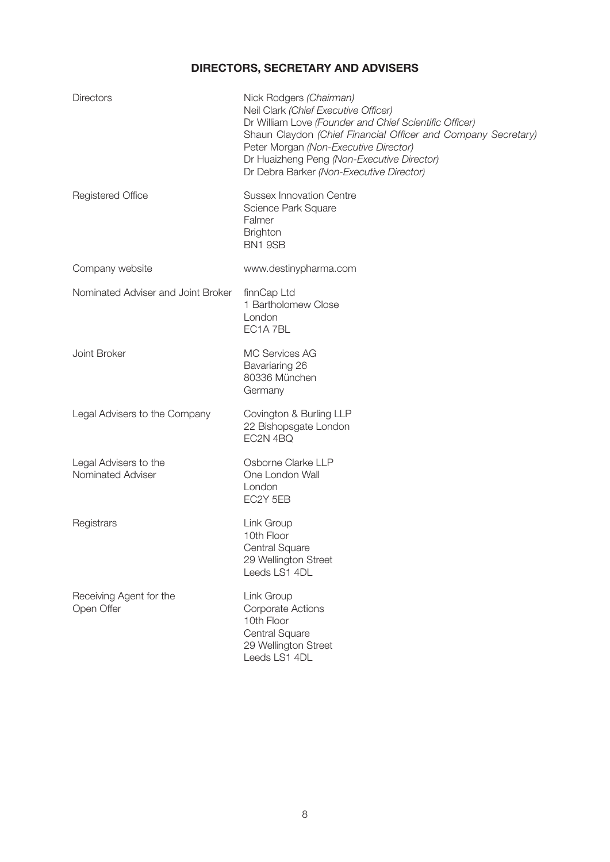# **DIRECTORS, SECRETARY AND ADVISERS**

| <b>Directors</b>                           | Nick Rodgers (Chairman)<br>Neil Clark (Chief Executive Officer)<br>Dr William Love (Founder and Chief Scientific Officer)<br>Shaun Claydon (Chief Financial Officer and Company Secretary)<br>Peter Morgan (Non-Executive Director)<br>Dr Huaizheng Peng (Non-Executive Director)<br>Dr Debra Barker (Non-Executive Director) |
|--------------------------------------------|-------------------------------------------------------------------------------------------------------------------------------------------------------------------------------------------------------------------------------------------------------------------------------------------------------------------------------|
| <b>Registered Office</b>                   | <b>Sussex Innovation Centre</b><br>Science Park Square<br>Falmer<br><b>Brighton</b><br>BN1 9SB                                                                                                                                                                                                                                |
| Company website                            | www.destinypharma.com                                                                                                                                                                                                                                                                                                         |
| Nominated Adviser and Joint Broker         | finnCap Ltd<br>1 Bartholomew Close<br>London<br>EC1A 7BL                                                                                                                                                                                                                                                                      |
| Joint Broker                               | <b>MC Services AG</b><br>Bavariaring 26<br>80336 München<br>Germany                                                                                                                                                                                                                                                           |
| Legal Advisers to the Company              | Covington & Burling LLP<br>22 Bishopsgate London<br>EC2N 4BQ                                                                                                                                                                                                                                                                  |
| Legal Advisers to the<br>Nominated Adviser | Osborne Clarke LLP<br>One London Wall<br>London<br>EC2Y 5EB                                                                                                                                                                                                                                                                   |
| Registrars                                 | Link Group<br>10th Floor<br>Central Square<br>29 Wellington Street<br>Leeds LS1 4DL                                                                                                                                                                                                                                           |
| Receiving Agent for the<br>Open Offer      | Link Group<br><b>Corporate Actions</b><br>10th Floor<br>Central Square<br>29 Wellington Street<br>Leeds LS1 4DL                                                                                                                                                                                                               |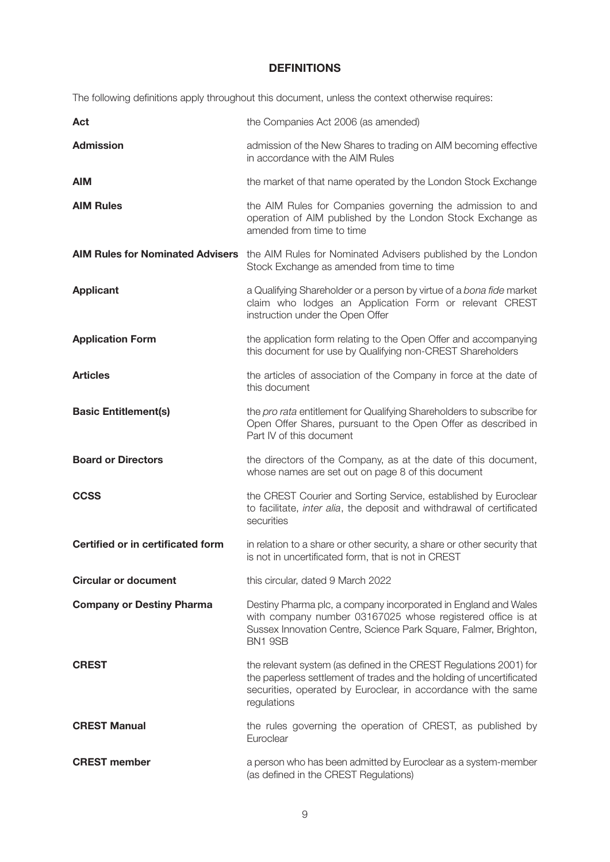# **DEFINITIONS**

The following definitions apply throughout this document, unless the context otherwise requires:

| Act                                      | the Companies Act 2006 (as amended)                                                                                                                                                                                         |
|------------------------------------------|-----------------------------------------------------------------------------------------------------------------------------------------------------------------------------------------------------------------------------|
| <b>Admission</b>                         | admission of the New Shares to trading on AIM becoming effective<br>in accordance with the AIM Rules                                                                                                                        |
| <b>AIM</b>                               | the market of that name operated by the London Stock Exchange                                                                                                                                                               |
| <b>AIM Rules</b>                         | the AIM Rules for Companies governing the admission to and<br>operation of AIM published by the London Stock Exchange as<br>amended from time to time                                                                       |
| <b>AIM Rules for Nominated Advisers</b>  | the AIM Rules for Nominated Advisers published by the London<br>Stock Exchange as amended from time to time                                                                                                                 |
| <b>Applicant</b>                         | a Qualifying Shareholder or a person by virtue of a bona fide market<br>claim who lodges an Application Form or relevant CREST<br>instruction under the Open Offer                                                          |
| <b>Application Form</b>                  | the application form relating to the Open Offer and accompanying<br>this document for use by Qualifying non-CREST Shareholders                                                                                              |
| <b>Articles</b>                          | the articles of association of the Company in force at the date of<br>this document                                                                                                                                         |
| <b>Basic Entitlement(s)</b>              | the pro rata entitlement for Qualifying Shareholders to subscribe for<br>Open Offer Shares, pursuant to the Open Offer as described in<br>Part IV of this document                                                          |
| <b>Board or Directors</b>                | the directors of the Company, as at the date of this document,<br>whose names are set out on page 8 of this document                                                                                                        |
| <b>CCSS</b>                              | the CREST Courier and Sorting Service, established by Euroclear<br>to facilitate, inter alia, the deposit and withdrawal of certificated<br>securities                                                                      |
| <b>Certified or in certificated form</b> | in relation to a share or other security, a share or other security that<br>is not in uncertificated form, that is not in CREST                                                                                             |
| <b>Circular or document</b>              | this circular, dated 9 March 2022                                                                                                                                                                                           |
| <b>Company or Destiny Pharma</b>         |                                                                                                                                                                                                                             |
|                                          | Destiny Pharma plc, a company incorporated in England and Wales<br>with company number 03167025 whose registered office is at<br>Sussex Innovation Centre, Science Park Square, Falmer, Brighton,<br>BN1 9SB                |
| <b>CREST</b>                             | the relevant system (as defined in the CREST Regulations 2001) for<br>the paperless settlement of trades and the holding of uncertificated<br>securities, operated by Euroclear, in accordance with the same<br>regulations |
| <b>CREST Manual</b>                      | the rules governing the operation of CREST, as published by<br>Euroclear                                                                                                                                                    |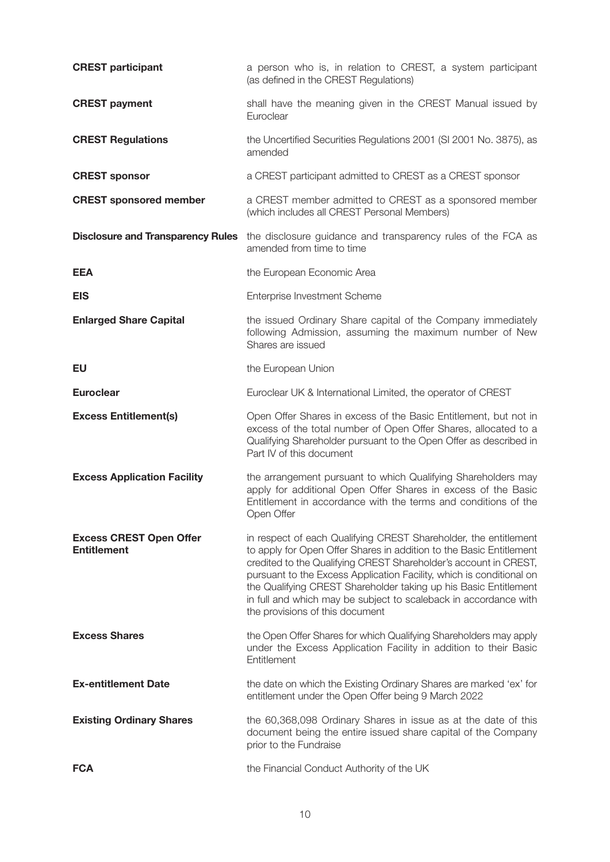| <b>CREST participant</b>                             | a person who is, in relation to CREST, a system participant<br>(as defined in the CREST Regulations)                                                                                                                                                                                                                                                                                                                                                           |
|------------------------------------------------------|----------------------------------------------------------------------------------------------------------------------------------------------------------------------------------------------------------------------------------------------------------------------------------------------------------------------------------------------------------------------------------------------------------------------------------------------------------------|
| <b>CREST payment</b>                                 | shall have the meaning given in the CREST Manual issued by<br>Euroclear                                                                                                                                                                                                                                                                                                                                                                                        |
| <b>CREST Regulations</b>                             | the Uncertified Securities Regulations 2001 (SI 2001 No. 3875), as<br>amended                                                                                                                                                                                                                                                                                                                                                                                  |
| <b>CREST sponsor</b>                                 | a CREST participant admitted to CREST as a CREST sponsor                                                                                                                                                                                                                                                                                                                                                                                                       |
| <b>CREST sponsored member</b>                        | a CREST member admitted to CREST as a sponsored member<br>(which includes all CREST Personal Members)                                                                                                                                                                                                                                                                                                                                                          |
| <b>Disclosure and Transparency Rules</b>             | the disclosure guidance and transparency rules of the FCA as<br>amended from time to time                                                                                                                                                                                                                                                                                                                                                                      |
| <b>EEA</b>                                           | the European Economic Area                                                                                                                                                                                                                                                                                                                                                                                                                                     |
| <b>EIS</b>                                           | Enterprise Investment Scheme                                                                                                                                                                                                                                                                                                                                                                                                                                   |
| <b>Enlarged Share Capital</b>                        | the issued Ordinary Share capital of the Company immediately<br>following Admission, assuming the maximum number of New<br>Shares are issued                                                                                                                                                                                                                                                                                                                   |
| EU                                                   | the European Union                                                                                                                                                                                                                                                                                                                                                                                                                                             |
| <b>Euroclear</b>                                     | Euroclear UK & International Limited, the operator of CREST                                                                                                                                                                                                                                                                                                                                                                                                    |
| <b>Excess Entitlement(s)</b>                         | Open Offer Shares in excess of the Basic Entitlement, but not in<br>excess of the total number of Open Offer Shares, allocated to a<br>Qualifying Shareholder pursuant to the Open Offer as described in<br>Part IV of this document                                                                                                                                                                                                                           |
| <b>Excess Application Facility</b>                   | the arrangement pursuant to which Qualifying Shareholders may<br>apply for additional Open Offer Shares in excess of the Basic<br>Entitlement in accordance with the terms and conditions of the<br>Open Offer                                                                                                                                                                                                                                                 |
| <b>Excess CREST Open Offer</b><br><b>Entitlement</b> | in respect of each Qualifying CREST Shareholder, the entitlement<br>to apply for Open Offer Shares in addition to the Basic Entitlement<br>credited to the Qualifying CREST Shareholder's account in CREST,<br>pursuant to the Excess Application Facility, which is conditional on<br>the Qualifying CREST Shareholder taking up his Basic Entitlement<br>in full and which may be subject to scaleback in accordance with<br>the provisions of this document |
| <b>Excess Shares</b>                                 | the Open Offer Shares for which Qualifying Shareholders may apply<br>under the Excess Application Facility in addition to their Basic<br>Entitlement                                                                                                                                                                                                                                                                                                           |
| <b>Ex-entitlement Date</b>                           | the date on which the Existing Ordinary Shares are marked 'ex' for<br>entitlement under the Open Offer being 9 March 2022                                                                                                                                                                                                                                                                                                                                      |
| <b>Existing Ordinary Shares</b>                      | the 60,368,098 Ordinary Shares in issue as at the date of this<br>document being the entire issued share capital of the Company<br>prior to the Fundraise                                                                                                                                                                                                                                                                                                      |
| <b>FCA</b>                                           | the Financial Conduct Authority of the UK                                                                                                                                                                                                                                                                                                                                                                                                                      |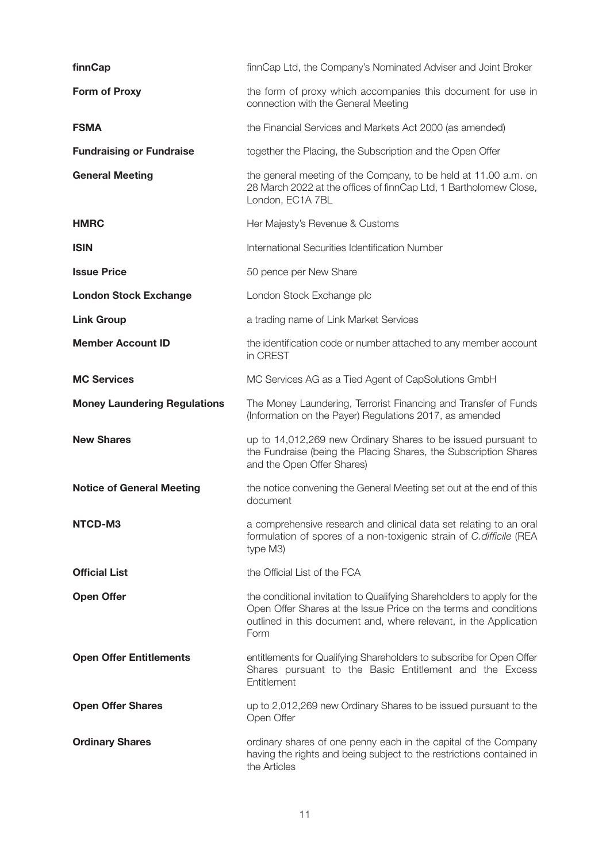| finnCap                             | finnCap Ltd, the Company's Nominated Adviser and Joint Broker                                                                                                                                                           |
|-------------------------------------|-------------------------------------------------------------------------------------------------------------------------------------------------------------------------------------------------------------------------|
| <b>Form of Proxy</b>                | the form of proxy which accompanies this document for use in<br>connection with the General Meeting                                                                                                                     |
| <b>FSMA</b>                         | the Financial Services and Markets Act 2000 (as amended)                                                                                                                                                                |
| <b>Fundraising or Fundraise</b>     | together the Placing, the Subscription and the Open Offer                                                                                                                                                               |
| <b>General Meeting</b>              | the general meeting of the Company, to be held at 11.00 a.m. on<br>28 March 2022 at the offices of finnCap Ltd, 1 Bartholomew Close,<br>London, EC1A 7BL                                                                |
| <b>HMRC</b>                         | Her Majesty's Revenue & Customs                                                                                                                                                                                         |
| <b>ISIN</b>                         | International Securities Identification Number                                                                                                                                                                          |
| <b>Issue Price</b>                  | 50 pence per New Share                                                                                                                                                                                                  |
| <b>London Stock Exchange</b>        | London Stock Exchange plc                                                                                                                                                                                               |
| <b>Link Group</b>                   | a trading name of Link Market Services                                                                                                                                                                                  |
| <b>Member Account ID</b>            | the identification code or number attached to any member account<br>in CREST                                                                                                                                            |
| <b>MC Services</b>                  | MC Services AG as a Tied Agent of CapSolutions GmbH                                                                                                                                                                     |
| <b>Money Laundering Regulations</b> | The Money Laundering, Terrorist Financing and Transfer of Funds<br>(Information on the Payer) Regulations 2017, as amended                                                                                              |
| <b>New Shares</b>                   | up to 14,012,269 new Ordinary Shares to be issued pursuant to<br>the Fundraise (being the Placing Shares, the Subscription Shares<br>and the Open Offer Shares)                                                         |
| <b>Notice of General Meeting</b>    | the notice convening the General Meeting set out at the end of this<br>document                                                                                                                                         |
| NTCD-M3                             | a comprehensive research and clinical data set relating to an oral<br>formulation of spores of a non-toxigenic strain of C. difficile (REA<br>type M3)                                                                  |
| <b>Official List</b>                | the Official List of the FCA                                                                                                                                                                                            |
| <b>Open Offer</b>                   | the conditional invitation to Qualifying Shareholders to apply for the<br>Open Offer Shares at the Issue Price on the terms and conditions<br>outlined in this document and, where relevant, in the Application<br>Form |
| <b>Open Offer Entitlements</b>      | entitlements for Qualifying Shareholders to subscribe for Open Offer<br>Shares pursuant to the Basic Entitlement and the Excess<br>Entitlement                                                                          |
| <b>Open Offer Shares</b>            | up to 2,012,269 new Ordinary Shares to be issued pursuant to the<br>Open Offer                                                                                                                                          |
| <b>Ordinary Shares</b>              | ordinary shares of one penny each in the capital of the Company<br>having the rights and being subject to the restrictions contained in<br>the Articles                                                                 |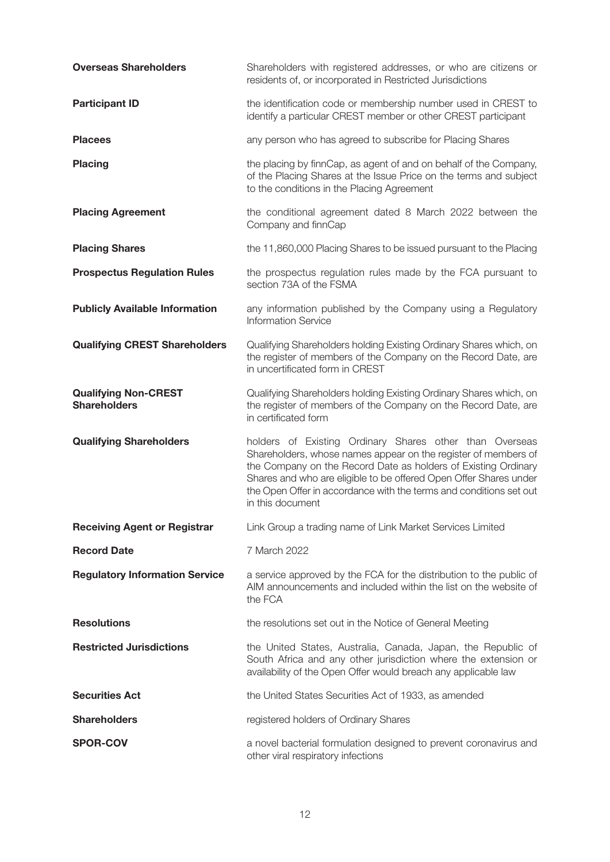| <b>Overseas Shareholders</b>                       | Shareholders with registered addresses, or who are citizens or<br>residents of, or incorporated in Restricted Jurisdictions                                                                                                                                                                                                                                |
|----------------------------------------------------|------------------------------------------------------------------------------------------------------------------------------------------------------------------------------------------------------------------------------------------------------------------------------------------------------------------------------------------------------------|
| <b>Participant ID</b>                              | the identification code or membership number used in CREST to<br>identify a particular CREST member or other CREST participant                                                                                                                                                                                                                             |
| <b>Placees</b>                                     | any person who has agreed to subscribe for Placing Shares                                                                                                                                                                                                                                                                                                  |
| <b>Placing</b>                                     | the placing by finnCap, as agent of and on behalf of the Company,<br>of the Placing Shares at the Issue Price on the terms and subject<br>to the conditions in the Placing Agreement                                                                                                                                                                       |
| <b>Placing Agreement</b>                           | the conditional agreement dated 8 March 2022 between the<br>Company and finnCap                                                                                                                                                                                                                                                                            |
| <b>Placing Shares</b>                              | the 11,860,000 Placing Shares to be issued pursuant to the Placing                                                                                                                                                                                                                                                                                         |
| <b>Prospectus Regulation Rules</b>                 | the prospectus regulation rules made by the FCA pursuant to<br>section 73A of the FSMA                                                                                                                                                                                                                                                                     |
| <b>Publicly Available Information</b>              | any information published by the Company using a Regulatory<br><b>Information Service</b>                                                                                                                                                                                                                                                                  |
| <b>Qualifying CREST Shareholders</b>               | Qualifying Shareholders holding Existing Ordinary Shares which, on<br>the register of members of the Company on the Record Date, are<br>in uncertificated form in CREST                                                                                                                                                                                    |
| <b>Qualifying Non-CREST</b><br><b>Shareholders</b> | Qualifying Shareholders holding Existing Ordinary Shares which, on<br>the register of members of the Company on the Record Date, are<br>in certificated form                                                                                                                                                                                               |
| <b>Qualifying Shareholders</b>                     | holders of Existing Ordinary Shares other than Overseas<br>Shareholders, whose names appear on the register of members of<br>the Company on the Record Date as holders of Existing Ordinary<br>Shares and who are eligible to be offered Open Offer Shares under<br>the Open Offer in accordance with the terms and conditions set out<br>in this document |
| <b>Receiving Agent or Registrar</b>                | Link Group a trading name of Link Market Services Limited                                                                                                                                                                                                                                                                                                  |
| <b>Record Date</b>                                 | 7 March 2022                                                                                                                                                                                                                                                                                                                                               |
| <b>Regulatory Information Service</b>              | a service approved by the FCA for the distribution to the public of<br>AIM announcements and included within the list on the website of<br>the FCA                                                                                                                                                                                                         |
| <b>Resolutions</b>                                 | the resolutions set out in the Notice of General Meeting                                                                                                                                                                                                                                                                                                   |
| <b>Restricted Jurisdictions</b>                    | the United States, Australia, Canada, Japan, the Republic of<br>South Africa and any other jurisdiction where the extension or<br>availability of the Open Offer would breach any applicable law                                                                                                                                                           |
| <b>Securities Act</b>                              | the United States Securities Act of 1933, as amended                                                                                                                                                                                                                                                                                                       |
| <b>Shareholders</b>                                | registered holders of Ordinary Shares                                                                                                                                                                                                                                                                                                                      |
| <b>SPOR-COV</b>                                    | a novel bacterial formulation designed to prevent coronavirus and<br>other viral respiratory infections                                                                                                                                                                                                                                                    |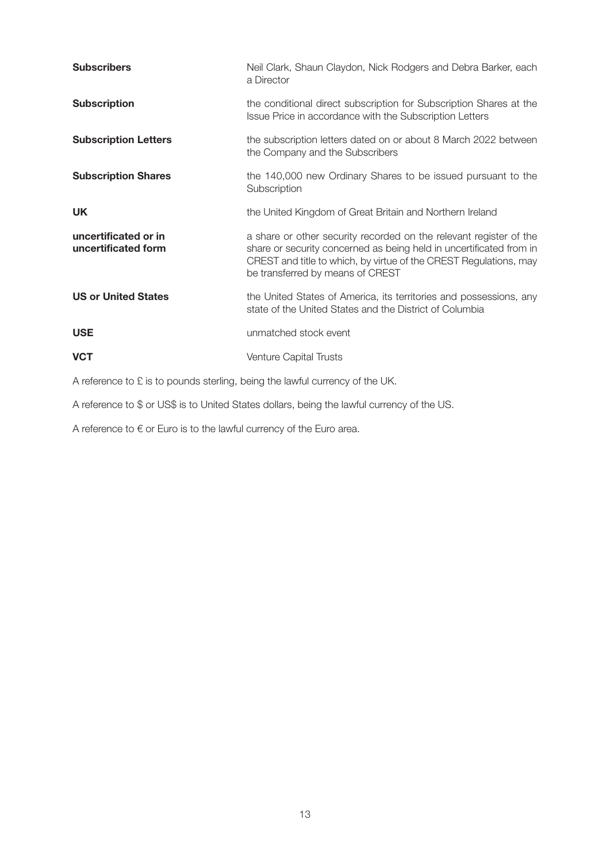| <b>Subscribers</b>                                                             | Neil Clark, Shaun Claydon, Nick Rodgers and Debra Barker, each<br>a Director                                                                                                                                                                       |  |  |
|--------------------------------------------------------------------------------|----------------------------------------------------------------------------------------------------------------------------------------------------------------------------------------------------------------------------------------------------|--|--|
| <b>Subscription</b>                                                            | the conditional direct subscription for Subscription Shares at the<br>Issue Price in accordance with the Subscription Letters                                                                                                                      |  |  |
| <b>Subscription Letters</b>                                                    | the subscription letters dated on or about 8 March 2022 between<br>the Company and the Subscribers                                                                                                                                                 |  |  |
| <b>Subscription Shares</b>                                                     | the 140,000 new Ordinary Shares to be issued pursuant to the<br>Subscription                                                                                                                                                                       |  |  |
| <b>UK</b>                                                                      | the United Kingdom of Great Britain and Northern Ireland                                                                                                                                                                                           |  |  |
| uncertificated or in<br>uncertificated form                                    | a share or other security recorded on the relevant register of the<br>share or security concerned as being held in uncertificated from in<br>CREST and title to which, by virtue of the CREST Regulations, may<br>be transferred by means of CREST |  |  |
| <b>US or United States</b>                                                     | the United States of America, its territories and possessions, any<br>state of the United States and the District of Columbia                                                                                                                      |  |  |
| <b>USE</b>                                                                     | unmatched stock event                                                                                                                                                                                                                              |  |  |
| <b>VCT</b>                                                                     | <b>Venture Capital Trusts</b>                                                                                                                                                                                                                      |  |  |
| A reference to $E$ is to pounds sterling, being the lawful currency of the UK. |                                                                                                                                                                                                                                                    |  |  |

A reference to \$ or US\$ is to United States dollars, being the lawful currency of the US.

A reference to  $\epsilon$  or Euro is to the lawful currency of the Euro area.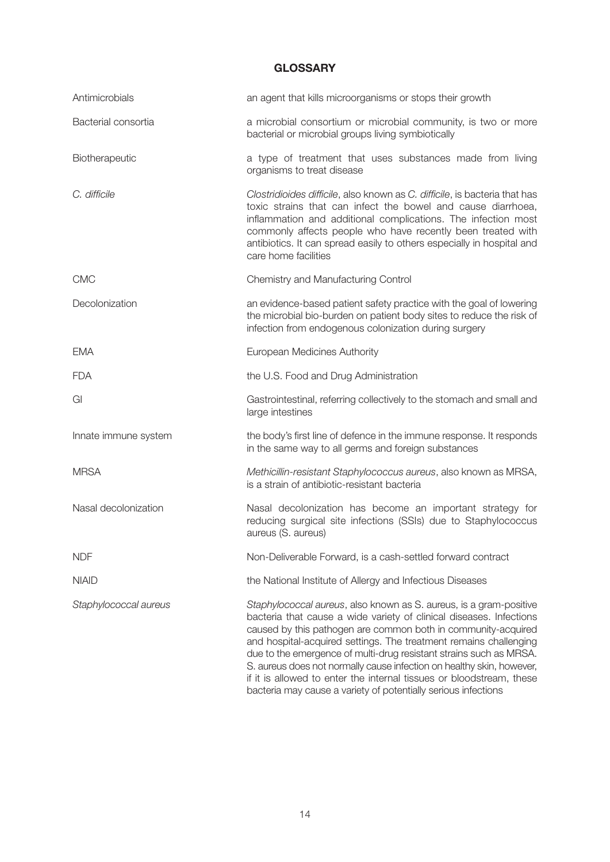# **GLOSSARY**

| Antimicrobials        | an agent that kills microorganisms or stops their growth                                                                                                                                                                                                                                                                                                                                                                                                                                                                                                                 |
|-----------------------|--------------------------------------------------------------------------------------------------------------------------------------------------------------------------------------------------------------------------------------------------------------------------------------------------------------------------------------------------------------------------------------------------------------------------------------------------------------------------------------------------------------------------------------------------------------------------|
| Bacterial consortia   | a microbial consortium or microbial community, is two or more<br>bacterial or microbial groups living symbiotically                                                                                                                                                                                                                                                                                                                                                                                                                                                      |
| Biotherapeutic        | a type of treatment that uses substances made from living<br>organisms to treat disease                                                                                                                                                                                                                                                                                                                                                                                                                                                                                  |
| C. difficile          | Clostridioides difficile, also known as C. difficile, is bacteria that has<br>toxic strains that can infect the bowel and cause diarrhoea,<br>inflammation and additional complications. The infection most<br>commonly affects people who have recently been treated with<br>antibiotics. It can spread easily to others especially in hospital and<br>care home facilities                                                                                                                                                                                             |
| <b>CMC</b>            | Chemistry and Manufacturing Control                                                                                                                                                                                                                                                                                                                                                                                                                                                                                                                                      |
| Decolonization        | an evidence-based patient safety practice with the goal of lowering<br>the microbial bio-burden on patient body sites to reduce the risk of<br>infection from endogenous colonization during surgery                                                                                                                                                                                                                                                                                                                                                                     |
| <b>EMA</b>            | European Medicines Authority                                                                                                                                                                                                                                                                                                                                                                                                                                                                                                                                             |
| <b>FDA</b>            | the U.S. Food and Drug Administration                                                                                                                                                                                                                                                                                                                                                                                                                                                                                                                                    |
| GI                    | Gastrointestinal, referring collectively to the stomach and small and<br>large intestines                                                                                                                                                                                                                                                                                                                                                                                                                                                                                |
| Innate immune system  | the body's first line of defence in the immune response. It responds<br>in the same way to all germs and foreign substances                                                                                                                                                                                                                                                                                                                                                                                                                                              |
| <b>MRSA</b>           | Methicillin-resistant Staphylococcus aureus, also known as MRSA,<br>is a strain of antibiotic-resistant bacteria                                                                                                                                                                                                                                                                                                                                                                                                                                                         |
| Nasal decolonization  | Nasal decolonization has become an important strategy for<br>reducing surgical site infections (SSIs) due to Staphylococcus<br>aureus (S. aureus)                                                                                                                                                                                                                                                                                                                                                                                                                        |
| <b>NDF</b>            | Non-Deliverable Forward, is a cash-settled forward contract                                                                                                                                                                                                                                                                                                                                                                                                                                                                                                              |
| <b>NIAID</b>          | the National Institute of Allergy and Infectious Diseases                                                                                                                                                                                                                                                                                                                                                                                                                                                                                                                |
| Staphylococcal aureus | Staphylococcal aureus, also known as S. aureus, is a gram-positive<br>bacteria that cause a wide variety of clinical diseases. Infections<br>caused by this pathogen are common both in community-acquired<br>and hospital-acquired settings. The treatment remains challenging<br>due to the emergence of multi-drug resistant strains such as MRSA.<br>S. aureus does not normally cause infection on healthy skin, however,<br>if it is allowed to enter the internal tissues or bloodstream, these<br>bacteria may cause a variety of potentially serious infections |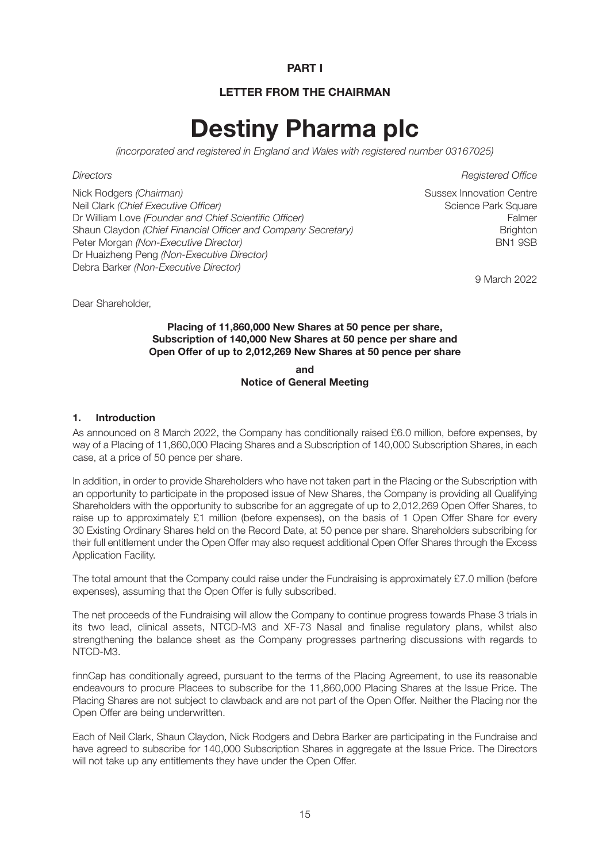#### **PART I**

# **LETTER FROM THE CHAIRMAN**

# **Destiny Pharma plc**

(incorporated and registered in England and Wales with registered number 03167025)

Nick Rodgers (Chairman) Sussex Innovation Centre Neil Clark (Chief Executive Officer) Neil Clark Square Science Park Square Dr William Love (Founder and Chief Scientific Officer) example and Chief Scientific Officer) Shaun Claydon (Chief Financial Officer and Company Secretary) Shaun Claydon Brighton Peter Morgan *(Non-Executive Director)* BN1 9SB Dr Huaizheng Peng (Non-Executive Director) Debra Barker (Non-Executive Director)

Directors Registered Office

9 March 2022

Dear Shareholder,

#### **Placing of 11,860,000 New Shares at 50 pence per share, Subscription of 140,000 New Shares at 50 pence per share and Open Offer of up to 2,012,269 New Shares at 50 pence per share**

**and Notice of General Meeting**

#### **1. Introduction**

As announced on 8 March 2022, the Company has conditionally raised £6.0 million, before expenses, by way of a Placing of 11,860,000 Placing Shares and a Subscription of 140,000 Subscription Shares, in each case, at a price of 50 pence per share.

In addition, in order to provide Shareholders who have not taken part in the Placing or the Subscription with an opportunity to participate in the proposed issue of New Shares, the Company is providing all Qualifying Shareholders with the opportunity to subscribe for an aggregate of up to 2,012,269 Open Offer Shares, to raise up to approximately £1 million (before expenses), on the basis of 1 Open Offer Share for every 30 Existing Ordinary Shares held on the Record Date, at 50 pence per share. Shareholders subscribing for their full entitlement under the Open Offer may also request additional Open Offer Shares through the Excess Application Facility.

The total amount that the Company could raise under the Fundraising is approximately £7.0 million (before expenses), assuming that the Open Offer is fully subscribed.

The net proceeds of the Fundraising will allow the Company to continue progress towards Phase 3 trials in its two lead, clinical assets, NTCD-M3 and XF-73 Nasal and finalise regulatory plans, whilst also strengthening the balance sheet as the Company progresses partnering discussions with regards to NTCD-M3.

finnCap has conditionally agreed, pursuant to the terms of the Placing Agreement, to use its reasonable endeavours to procure Placees to subscribe for the 11,860,000 Placing Shares at the Issue Price. The Placing Shares are not subject to clawback and are not part of the Open Offer. Neither the Placing nor the Open Offer are being underwritten.

Each of Neil Clark, Shaun Claydon, Nick Rodgers and Debra Barker are participating in the Fundraise and have agreed to subscribe for 140,000 Subscription Shares in aggregate at the Issue Price. The Directors will not take up any entitlements they have under the Open Offer.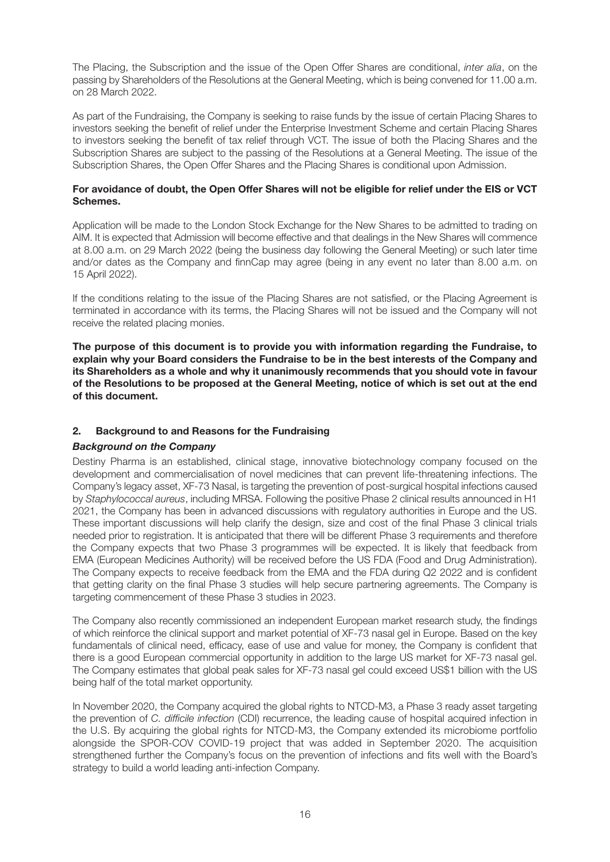The Placing, the Subscription and the issue of the Open Offer Shares are conditional, inter alia, on the passing by Shareholders of the Resolutions at the General Meeting, which is being convened for 11.00 a.m. on 28 March 2022.

As part of the Fundraising, the Company is seeking to raise funds by the issue of certain Placing Shares to investors seeking the benefit of relief under the Enterprise Investment Scheme and certain Placing Shares to investors seeking the benefit of tax relief through VCT. The issue of both the Placing Shares and the Subscription Shares are subject to the passing of the Resolutions at a General Meeting. The issue of the Subscription Shares, the Open Offer Shares and the Placing Shares is conditional upon Admission.

#### **For avoidance of doubt, the Open Offer Shares will not be eligible for relief under the EIS or VCT Schemes.**

Application will be made to the London Stock Exchange for the New Shares to be admitted to trading on AIM. It is expected that Admission will become effective and that dealings in the New Shares will commence at 8.00 a.m. on 29 March 2022 (being the business day following the General Meeting) or such later time and/or dates as the Company and finnCap may agree (being in any event no later than 8.00 a.m. on 15 April 2022).

If the conditions relating to the issue of the Placing Shares are not satisfied, or the Placing Agreement is terminated in accordance with its terms, the Placing Shares will not be issued and the Company will not receive the related placing monies.

**The purpose of this document is to provide you with information regarding the Fundraise, to explain why your Board considers the Fundraise to be in the best interests of the Company and its Shareholders as a whole and why it unanimously recommends that you should vote in favour of the Resolutions to be proposed at the General Meeting, notice of which is set out at the end of this document.**

#### **2. Background to and Reasons for the Fundraising**

#### *Background on the Company*

Destiny Pharma is an established, clinical stage, innovative biotechnology company focused on the development and commercialisation of novel medicines that can prevent life-threatening infections. The Company's legacy asset, XF-73 Nasal, is targeting the prevention of post-surgical hospital infections caused by Staphylococcal aureus, including MRSA. Following the positive Phase 2 clinical results announced in H1 2021, the Company has been in advanced discussions with regulatory authorities in Europe and the US. These important discussions will help clarify the design, size and cost of the final Phase 3 clinical trials needed prior to registration. It is anticipated that there will be different Phase 3 requirements and therefore the Company expects that two Phase 3 programmes will be expected. It is likely that feedback from EMA (European Medicines Authority) will be received before the US FDA (Food and Drug Administration). The Company expects to receive feedback from the EMA and the FDA during Q2 2022 and is confident that getting clarity on the final Phase 3 studies will help secure partnering agreements. The Company is targeting commencement of these Phase 3 studies in 2023.

The Company also recently commissioned an independent European market research study, the findings of which reinforce the clinical support and market potential of XF-73 nasal gel in Europe. Based on the key fundamentals of clinical need, efficacy, ease of use and value for money, the Company is confident that there is a good European commercial opportunity in addition to the large US market for XF-73 nasal gel. The Company estimates that global peak sales for XF-73 nasal gel could exceed US\$1 billion with the US being half of the total market opportunity.

In November 2020, the Company acquired the global rights to NTCD-M3, a Phase 3 ready asset targeting the prevention of C. difficile infection (CDI) recurrence, the leading cause of hospital acquired infection in the U.S. By acquiring the global rights for NTCD-M3, the Company extended its microbiome portfolio alongside the SPOR-COV COVID-19 project that was added in September 2020. The acquisition strengthened further the Company's focus on the prevention of infections and fits well with the Board's strategy to build a world leading anti-infection Company.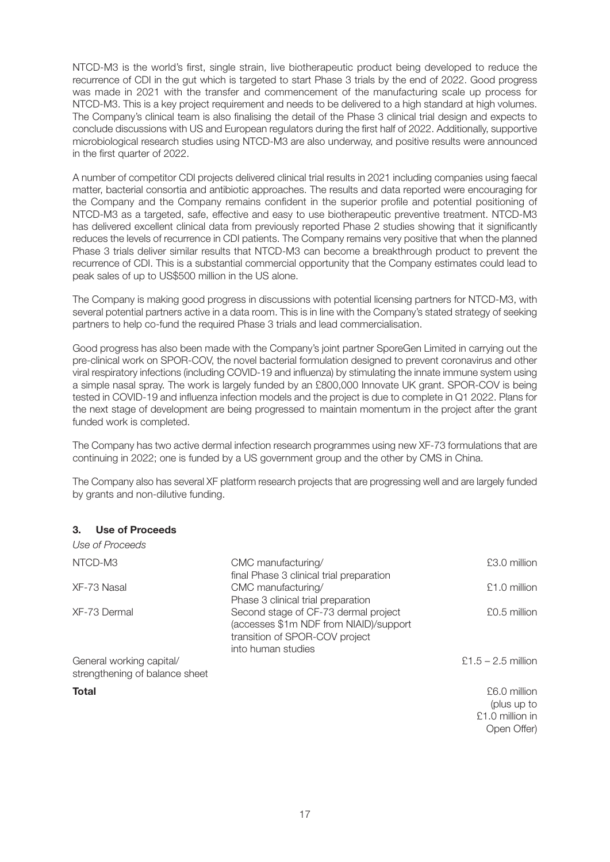NTCD-M3 is the world's first, single strain, live biotherapeutic product being developed to reduce the recurrence of CDI in the gut which is targeted to start Phase 3 trials by the end of 2022. Good progress was made in 2021 with the transfer and commencement of the manufacturing scale up process for NTCD-M3. This is a key project requirement and needs to be delivered to a high standard at high volumes. The Company's clinical team is also finalising the detail of the Phase 3 clinical trial design and expects to conclude discussions with US and European regulators during the first half of 2022. Additionally, supportive microbiological research studies using NTCD-M3 are also underway, and positive results were announced in the first quarter of 2022.

A number of competitor CDI projects delivered clinical trial results in 2021 including companies using faecal matter, bacterial consortia and antibiotic approaches. The results and data reported were encouraging for the Company and the Company remains confident in the superior profile and potential positioning of NTCD-M3 as a targeted, safe, effective and easy to use biotherapeutic preventive treatment. NTCD-M3 has delivered excellent clinical data from previously reported Phase 2 studies showing that it significantly reduces the levels of recurrence in CDI patients. The Company remains very positive that when the planned Phase 3 trials deliver similar results that NTCD-M3 can become a breakthrough product to prevent the recurrence of CDI. This is a substantial commercial opportunity that the Company estimates could lead to peak sales of up to US\$500 million in the US alone.

The Company is making good progress in discussions with potential licensing partners for NTCD-M3, with several potential partners active in a data room. This is in line with the Company's stated strategy of seeking partners to help co-fund the required Phase 3 trials and lead commercialisation.

Good progress has also been made with the Company's joint partner SporeGen Limited in carrying out the pre-clinical work on SPOR-COV, the novel bacterial formulation designed to prevent coronavirus and other viral respiratory infections (including COVID-19 and influenza) by stimulating the innate immune system using a simple nasal spray. The work is largely funded by an £800,000 Innovate UK grant. SPOR-COV is being tested in COVID-19 and influenza infection models and the project is due to complete in Q1 2022. Plans for the next stage of development are being progressed to maintain momentum in the project after the grant funded work is completed.

The Company has two active dermal infection research programmes using new XF-73 formulations that are continuing in 2022; one is funded by a US government group and the other by CMS in China.

The Company also has several XF platform research projects that are progressing well and are largely funded by grants and non-dilutive funding.

#### **3. Use of Proceeds**

Use of Proceeds

| USE OI PIOCEEUS                |                                          |                      |
|--------------------------------|------------------------------------------|----------------------|
| NTCD-M3                        | CMC manufacturing/                       | £3.0 million         |
|                                | final Phase 3 clinical trial preparation |                      |
| XF-73 Nasal                    | CMC manufacturing/                       | £1.0 million         |
|                                | Phase 3 clinical trial preparation       |                      |
| XF-73 Dermal                   | Second stage of CF-73 dermal project     | £0.5 million         |
|                                | (accesses \$1m NDF from NIAID)/support   |                      |
|                                | transition of SPOR-COV project           |                      |
|                                | into human studies                       |                      |
| General working capital/       |                                          | $£1.5 - 2.5$ million |
| strengthening of balance sheet |                                          |                      |
| <b>Total</b>                   |                                          | £6.0 million         |
|                                |                                          | (plus up to          |
|                                |                                          | £1.0 million in      |
|                                |                                          | Open Offer)          |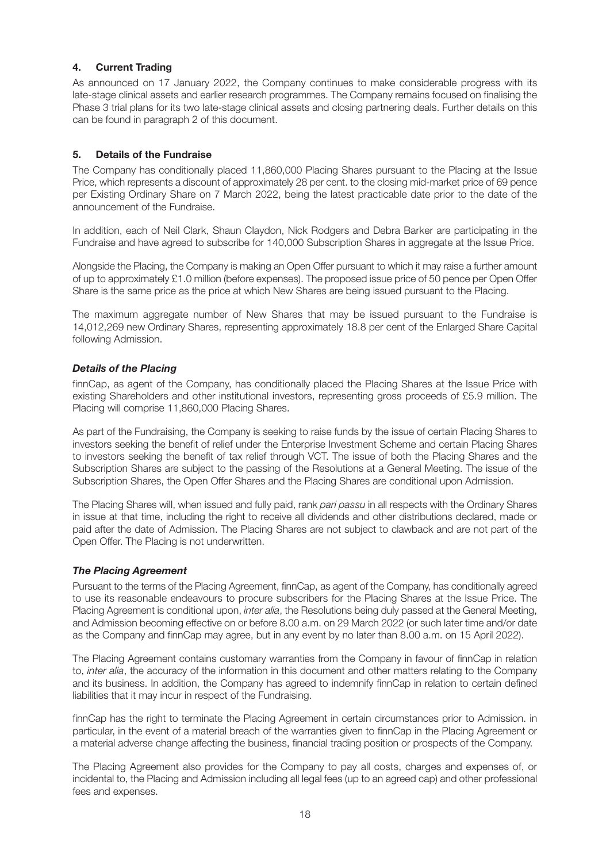# **4. Current Trading**

As announced on 17 January 2022, the Company continues to make considerable progress with its late-stage clinical assets and earlier research programmes. The Company remains focused on finalising the Phase 3 trial plans for its two late-stage clinical assets and closing partnering deals. Further details on this can be found in paragraph 2 of this document.

#### **5. Details of the Fundraise**

The Company has conditionally placed 11,860,000 Placing Shares pursuant to the Placing at the Issue Price, which represents a discount of approximately 28 per cent. to the closing mid-market price of 69 pence per Existing Ordinary Share on 7 March 2022, being the latest practicable date prior to the date of the announcement of the Fundraise.

In addition, each of Neil Clark, Shaun Claydon, Nick Rodgers and Debra Barker are participating in the Fundraise and have agreed to subscribe for 140,000 Subscription Shares in aggregate at the Issue Price.

Alongside the Placing, the Company is making an Open Offer pursuant to which it may raise a further amount of up to approximately £1.0 million (before expenses). The proposed issue price of 50 pence per Open Offer Share is the same price as the price at which New Shares are being issued pursuant to the Placing.

The maximum aggregate number of New Shares that may be issued pursuant to the Fundraise is 14,012,269 new Ordinary Shares, representing approximately 18.8 per cent of the Enlarged Share Capital following Admission.

#### *Details of the Placing*

finnCap, as agent of the Company, has conditionally placed the Placing Shares at the Issue Price with existing Shareholders and other institutional investors, representing gross proceeds of £5.9 million. The Placing will comprise 11,860,000 Placing Shares.

As part of the Fundraising, the Company is seeking to raise funds by the issue of certain Placing Shares to investors seeking the benefit of relief under the Enterprise Investment Scheme and certain Placing Shares to investors seeking the benefit of tax relief through VCT. The issue of both the Placing Shares and the Subscription Shares are subject to the passing of the Resolutions at a General Meeting. The issue of the Subscription Shares, the Open Offer Shares and the Placing Shares are conditional upon Admission.

The Placing Shares will, when issued and fully paid, rank pari passu in all respects with the Ordinary Shares in issue at that time, including the right to receive all dividends and other distributions declared, made or paid after the date of Admission. The Placing Shares are not subject to clawback and are not part of the Open Offer. The Placing is not underwritten.

#### *The Placing Agreement*

Pursuant to the terms of the Placing Agreement, finnCap, as agent of the Company, has conditionally agreed to use its reasonable endeavours to procure subscribers for the Placing Shares at the Issue Price. The Placing Agreement is conditional upon, inter alia, the Resolutions being duly passed at the General Meeting, and Admission becoming effective on or before 8.00 a.m. on 29 March 2022 (or such later time and/or date as the Company and finnCap may agree, but in any event by no later than 8.00 a.m. on 15 April 2022).

The Placing Agreement contains customary warranties from the Company in favour of finnCap in relation to, inter alia, the accuracy of the information in this document and other matters relating to the Company and its business. In addition, the Company has agreed to indemnify finnCap in relation to certain defined liabilities that it may incur in respect of the Fundraising.

finnCap has the right to terminate the Placing Agreement in certain circumstances prior to Admission. in particular, in the event of a material breach of the warranties given to finnCap in the Placing Agreement or a material adverse change affecting the business, financial trading position or prospects of the Company.

The Placing Agreement also provides for the Company to pay all costs, charges and expenses of, or incidental to, the Placing and Admission including all legal fees (up to an agreed cap) and other professional fees and expenses.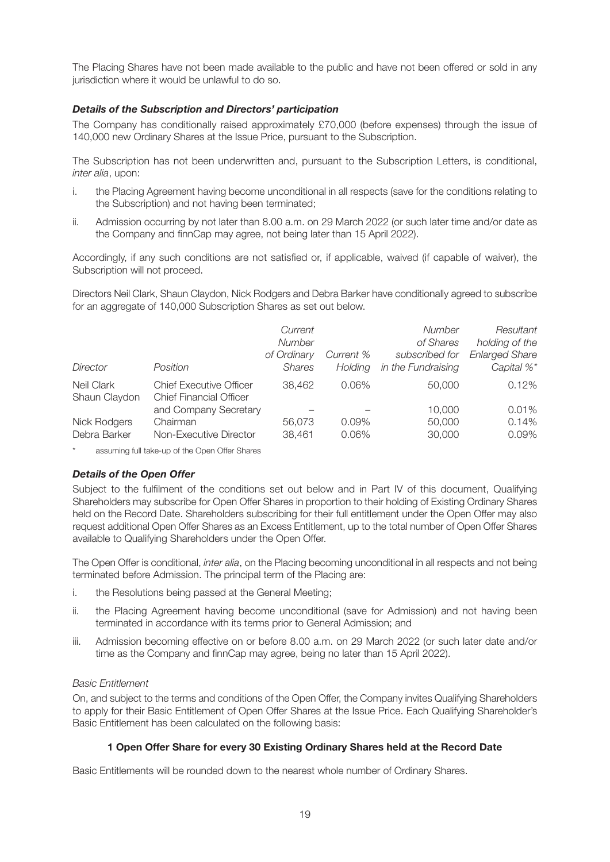The Placing Shares have not been made available to the public and have not been offered or sold in any jurisdiction where it would be unlawful to do so.

#### *Details of the Subscription and Directors' participation*

The Company has conditionally raised approximately £70,000 (before expenses) through the issue of 140,000 new Ordinary Shares at the Issue Price, pursuant to the Subscription.

The Subscription has not been underwritten and, pursuant to the Subscription Letters, is conditional, inter alia, upon:

- i. the Placing Agreement having become unconditional in all respects (save for the conditions relating to the Subscription) and not having been terminated;
- ii. Admission occurring by not later than 8.00 a.m. on 29 March 2022 (or such later time and/or date as the Company and finnCap may agree, not being later than 15 April 2022).

Accordingly, if any such conditions are not satisfied or, if applicable, waived (if capable of waiver), the Subscription will not proceed.

Directors Neil Clark, Shaun Claydon, Nick Rodgers and Debra Barker have conditionally agreed to subscribe for an aggregate of 140,000 Subscription Shares as set out below.

| Director                    | Position                                                         | Current<br>Number<br>of Ordinary<br><b>Shares</b> | Current %<br>Holding | Number<br>of Shares<br>subscribed for<br>in the Fundraising | Resultant<br>holding of the<br><b>Enlarged Share</b><br>Capital %* |
|-----------------------------|------------------------------------------------------------------|---------------------------------------------------|----------------------|-------------------------------------------------------------|--------------------------------------------------------------------|
| Neil Clark<br>Shaun Claydon | <b>Chief Executive Officer</b><br><b>Chief Financial Officer</b> | 38,462                                            | 0.06%                | 50,000                                                      | 0.12%                                                              |
|                             | and Company Secretary                                            |                                                   |                      | 10,000                                                      | 0.01%                                                              |
| <b>Nick Rodgers</b>         | Chairman                                                         | 56,073                                            | 0.09%                | 50,000                                                      | 0.14%                                                              |
| Debra Barker                | Non-Executive Director                                           | 38,461                                            | $0.06\%$             | 30,000                                                      | 0.09%                                                              |

assuming full take-up of the Open Offer Shares

#### *Details of the Open Offer*

Subject to the fulfilment of the conditions set out below and in Part IV of this document, Qualifying Shareholders may subscribe for Open Offer Shares in proportion to their holding of Existing Ordinary Shares held on the Record Date. Shareholders subscribing for their full entitlement under the Open Offer may also request additional Open Offer Shares as an Excess Entitlement, up to the total number of Open Offer Shares available to Qualifying Shareholders under the Open Offer.

The Open Offer is conditional, inter alia, on the Placing becoming unconditional in all respects and not being terminated before Admission. The principal term of the Placing are:

- i. the Resolutions being passed at the General Meeting;
- ii. the Placing Agreement having become unconditional (save for Admission) and not having been terminated in accordance with its terms prior to General Admission; and
- iii. Admission becoming effective on or before 8.00 a.m. on 29 March 2022 (or such later date and/or time as the Company and finnCap may agree, being no later than 15 April 2022).

#### Basic Entitlement

On, and subject to the terms and conditions of the Open Offer, the Company invites Qualifying Shareholders to apply for their Basic Entitlement of Open Offer Shares at the Issue Price. Each Qualifying Shareholder's Basic Entitlement has been calculated on the following basis:

#### **1 Open Offer Share for every 30 Existing Ordinary Shares held at the Record Date**

Basic Entitlements will be rounded down to the nearest whole number of Ordinary Shares.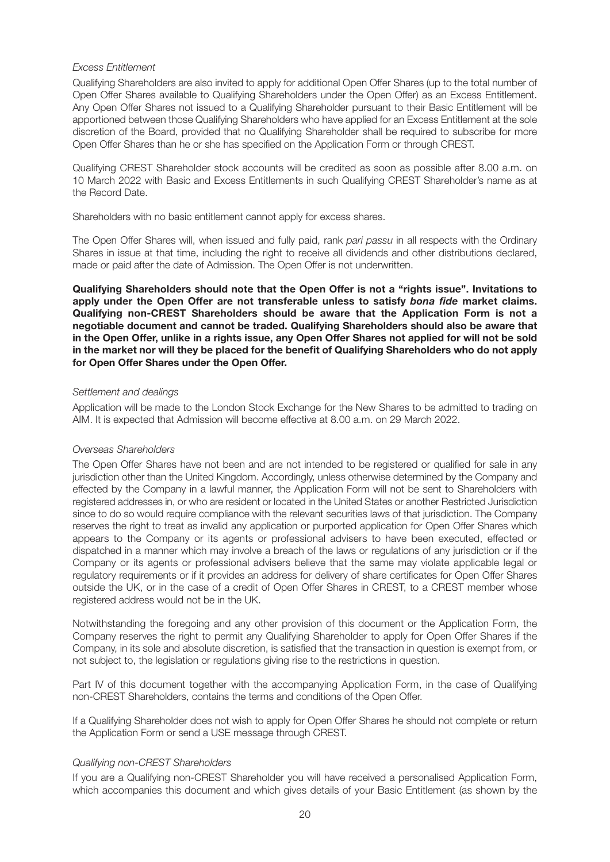#### Excess Entitlement

Qualifying Shareholders are also invited to apply for additional Open Offer Shares (up to the total number of Open Offer Shares available to Qualifying Shareholders under the Open Offer) as an Excess Entitlement. Any Open Offer Shares not issued to a Qualifying Shareholder pursuant to their Basic Entitlement will be apportioned between those Qualifying Shareholders who have applied for an Excess Entitlement at the sole discretion of the Board, provided that no Qualifying Shareholder shall be required to subscribe for more Open Offer Shares than he or she has specified on the Application Form or through CREST.

Qualifying CREST Shareholder stock accounts will be credited as soon as possible after 8.00 a.m. on 10 March 2022 with Basic and Excess Entitlements in such Qualifying CREST Shareholder's name as at the Record Date.

Shareholders with no basic entitlement cannot apply for excess shares.

The Open Offer Shares will, when issued and fully paid, rank pari passu in all respects with the Ordinary Shares in issue at that time, including the right to receive all dividends and other distributions declared, made or paid after the date of Admission. The Open Offer is not underwritten.

**Qualifying Shareholders should note that the Open Offer is not a "rights issue". Invitations to apply under the Open Offer are not transferable unless to satisfy** *bona fide* **market claims. Qualifying non-CREST Shareholders should be aware that the Application Form is not a negotiable document and cannot be traded. Qualifying Shareholders should also be aware that in the Open Offer, unlike in a rights issue, any Open Offer Shares not applied for will not be sold in the market nor will they be placed for the benefit of Qualifying Shareholders who do not apply for Open Offer Shares under the Open Offer.**

#### Settlement and dealings

Application will be made to the London Stock Exchange for the New Shares to be admitted to trading on AIM. It is expected that Admission will become effective at 8.00 a.m. on 29 March 2022.

#### Overseas Shareholders

The Open Offer Shares have not been and are not intended to be registered or qualified for sale in any jurisdiction other than the United Kingdom. Accordingly, unless otherwise determined by the Company and effected by the Company in a lawful manner, the Application Form will not be sent to Shareholders with registered addresses in, or who are resident or located in the United States or another Restricted Jurisdiction since to do so would require compliance with the relevant securities laws of that jurisdiction. The Company reserves the right to treat as invalid any application or purported application for Open Offer Shares which appears to the Company or its agents or professional advisers to have been executed, effected or dispatched in a manner which may involve a breach of the laws or regulations of any jurisdiction or if the Company or its agents or professional advisers believe that the same may violate applicable legal or regulatory requirements or if it provides an address for delivery of share certificates for Open Offer Shares outside the UK, or in the case of a credit of Open Offer Shares in CREST, to a CREST member whose registered address would not be in the UK.

Notwithstanding the foregoing and any other provision of this document or the Application Form, the Company reserves the right to permit any Qualifying Shareholder to apply for Open Offer Shares if the Company, in its sole and absolute discretion, is satisfied that the transaction in question is exempt from, or not subject to, the legislation or regulations giving rise to the restrictions in question.

Part IV of this document together with the accompanying Application Form, in the case of Qualifying non-CREST Shareholders, contains the terms and conditions of the Open Offer.

If a Qualifying Shareholder does not wish to apply for Open Offer Shares he should not complete or return the Application Form or send a USE message through CREST.

#### Qualifying non-CREST Shareholders

If you are a Qualifying non-CREST Shareholder you will have received a personalised Application Form, which accompanies this document and which gives details of your Basic Entitlement (as shown by the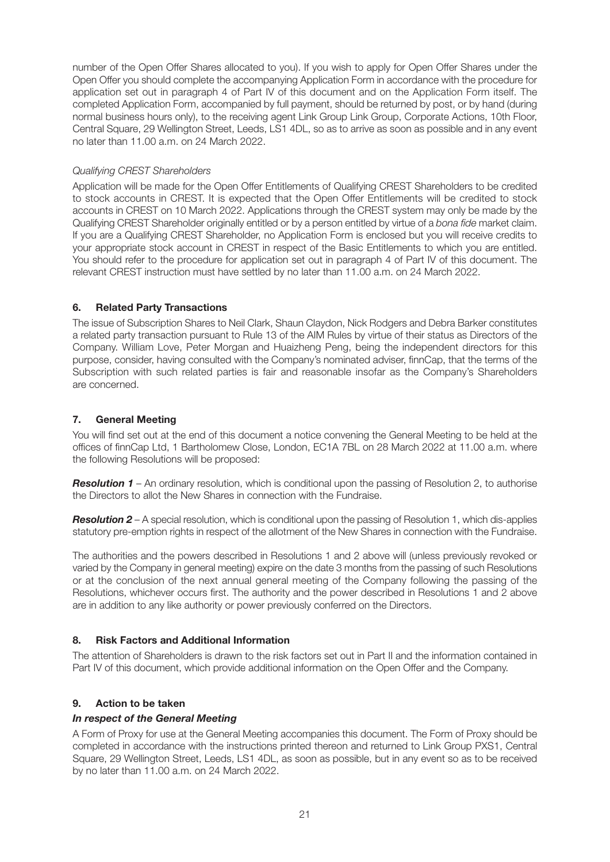number of the Open Offer Shares allocated to you). If you wish to apply for Open Offer Shares under the Open Offer you should complete the accompanying Application Form in accordance with the procedure for application set out in paragraph 4 of Part IV of this document and on the Application Form itself. The completed Application Form, accompanied by full payment, should be returned by post, or by hand (during normal business hours only), to the receiving agent Link Group Link Group, Corporate Actions, 10th Floor, Central Square, 29 Wellington Street, Leeds, LS1 4DL, so as to arrive as soon as possible and in any event no later than 11.00 a.m. on 24 March 2022.

#### Qualifying CREST Shareholders

Application will be made for the Open Offer Entitlements of Qualifying CREST Shareholders to be credited to stock accounts in CREST. It is expected that the Open Offer Entitlements will be credited to stock accounts in CREST on 10 March 2022. Applications through the CREST system may only be made by the Qualifying CREST Shareholder originally entitled or by a person entitled by virtue of a bona fide market claim. If you are a Qualifying CREST Shareholder, no Application Form is enclosed but you will receive credits to your appropriate stock account in CREST in respect of the Basic Entitlements to which you are entitled. You should refer to the procedure for application set out in paragraph 4 of Part IV of this document. The relevant CREST instruction must have settled by no later than 11.00 a.m. on 24 March 2022.

#### **6. Related Party Transactions**

The issue of Subscription Shares to Neil Clark, Shaun Claydon, Nick Rodgers and Debra Barker constitutes a related party transaction pursuant to Rule 13 of the AIM Rules by virtue of their status as Directors of the Company. William Love, Peter Morgan and Huaizheng Peng, being the independent directors for this purpose, consider, having consulted with the Company's nominated adviser, finnCap, that the terms of the Subscription with such related parties is fair and reasonable insofar as the Company's Shareholders are concerned.

# **7. General Meeting**

You will find set out at the end of this document a notice convening the General Meeting to be held at the offices of finnCap Ltd, 1 Bartholomew Close, London, EC1A 7BL on 28 March 2022 at 11.00 a.m. where the following Resolutions will be proposed:

**Resolution 1** – An ordinary resolution, which is conditional upon the passing of Resolution 2, to authorise the Directors to allot the New Shares in connection with the Fundraise.

*Resolution 2* – A special resolution, which is conditional upon the passing of Resolution 1, which dis-applies statutory pre-emption rights in respect of the allotment of the New Shares in connection with the Fundraise.

The authorities and the powers described in Resolutions 1 and 2 above will (unless previously revoked or varied by the Company in general meeting) expire on the date 3 months from the passing of such Resolutions or at the conclusion of the next annual general meeting of the Company following the passing of the Resolutions, whichever occurs first. The authority and the power described in Resolutions 1 and 2 above are in addition to any like authority or power previously conferred on the Directors.

# **8. Risk Factors and Additional Information**

The attention of Shareholders is drawn to the risk factors set out in Part II and the information contained in Part IV of this document, which provide additional information on the Open Offer and the Company.

# **9. Action to be taken**

#### *In respect of the General Meeting*

A Form of Proxy for use at the General Meeting accompanies this document. The Form of Proxy should be completed in accordance with the instructions printed thereon and returned to Link Group PXS1, Central Square, 29 Wellington Street, Leeds, LS1 4DL, as soon as possible, but in any event so as to be received by no later than 11.00 a.m. on 24 March 2022.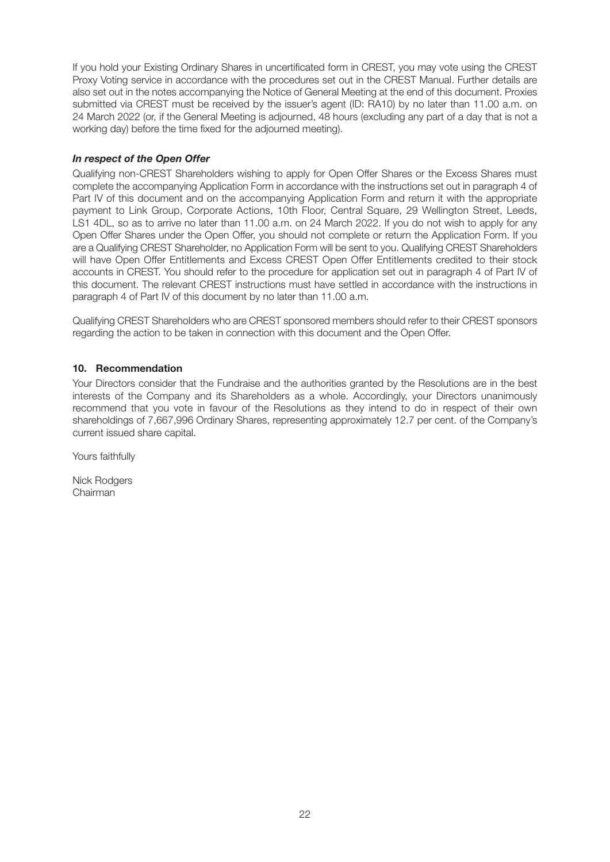If you hold your Existing Ordinary Shares in uncertificated form in CREST, you may vote using the CREST Proxy Voting service in accordance with the procedures set out in the CREST Manual. Further details are also set out in the notes accompanying the Notice of General Meeting at the end of this document. Proxies submitted via CREST must be received by the issuer's agent (ID: RA10) by no later than 11.00 a.m. on 24 March 2022 (or, if the General Meeting is adjourned, 48 hours (excluding any part of a day that is not a working day) before the time fixed for the adjourned meeting).

### *In respect of the Open Offer*

Qualifying non-CREST Shareholders wishing to apply for Open Offer Shares or the Excess Shares must complete the accompanying Application Form in accordance with the instructions set out in paragraph 4 of Part IV of this document and on the accompanying Application Form and return it with the appropriate payment to Link Group, Corporate Actions, 10th Floor, Central Square, 29 Wellington Street, Leeds, LS1 4DL, so as to arrive no later than 11.00 a.m. on 24 March 2022. If you do not wish to apply for any Open Offer Shares under the Open Offer, you should not complete or return the Application Form. If you are a Qualifying CREST Shareholder, no Application Form will be sent to you. Qualifying CREST Shareholders will have Open Offer Entitlements and Excess CREST Open Offer Entitlements credited to their stock accounts in CREST. You should refer to the procedure for application set out in paragraph 4 of Part IV of this document. The relevant CREST instructions must have settled in accordance with the instructions in paragraph 4 of Part IV of this document by no later than 11.00 a.m.

Qualifying CREST Shareholders who are CREST sponsored members should refer to their CREST sponsors regarding the action to be taken in connection with this document and the Open Offer.

#### **10. Recommendation**

Your Directors consider that the Fundraise and the authorities granted by the Resolutions are in the best interests of the Company and its Shareholders as a whole. Accordingly, your Directors unanimously recommend that you vote in favour of the Resolutions as they intend to do in respect of their own shareholdings of 7,667,996 Ordinary Shares, representing approximately 12.7 per cent. of the Company's current issued share capital.

Yours faithfully

Nick Rodgers Chairman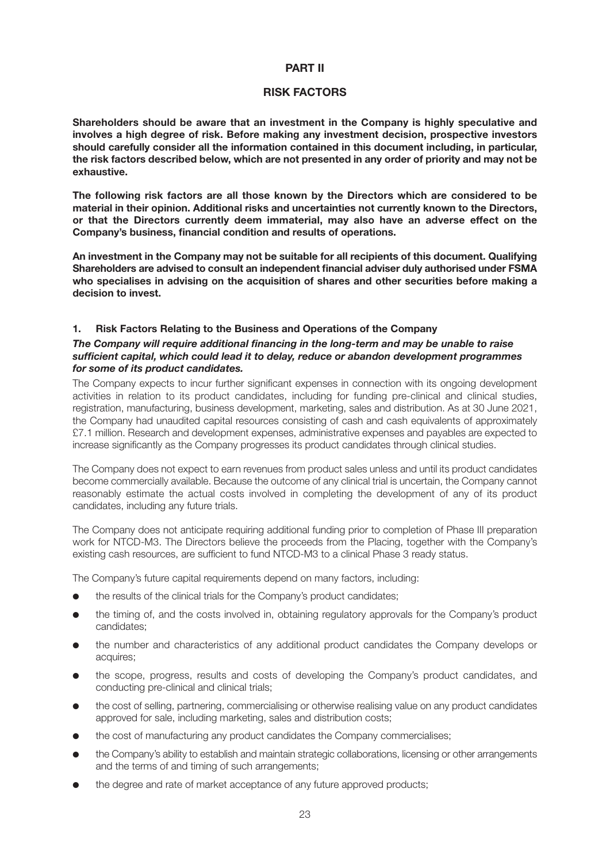#### **PART II**

#### **RISK FACTORS**

**Shareholders should be aware that an investment in the Company is highly speculative and involves a high degree of risk. Before making any investment decision, prospective investors should carefully consider all the information contained in this document including, in particular, the risk factors described below, which are not presented in any order of priority and may not be exhaustive.**

**The following risk factors are all those known by the Directors which are considered to be material in their opinion. Additional risks and uncertainties not currently known to the Directors, or that the Directors currently deem immaterial, may also have an adverse effect on the Company's business, financial condition and results of operations.**

**An investment in the Company may not be suitable for all recipients of this document. Qualifying Shareholders are advised to consult an independent financial adviser duly authorised under FSMA who specialises in advising on the acquisition of shares and other securities before making a decision to invest.**

#### **1. Risk Factors Relating to the Business and Operations of the Company**

#### *The Company will require additional financing in the long-term and may be unable to raise sufficient capital, which could lead it to delay, reduce or abandon development programmes for some of its product candidates.*

The Company expects to incur further significant expenses in connection with its ongoing development activities in relation to its product candidates, including for funding pre-clinical and clinical studies, registration, manufacturing, business development, marketing, sales and distribution. As at 30 June 2021, the Company had unaudited capital resources consisting of cash and cash equivalents of approximately £7.1 million. Research and development expenses, administrative expenses and payables are expected to increase significantly as the Company progresses its product candidates through clinical studies.

The Company does not expect to earn revenues from product sales unless and until its product candidates become commercially available. Because the outcome of any clinical trial is uncertain, the Company cannot reasonably estimate the actual costs involved in completing the development of any of its product candidates, including any future trials.

The Company does not anticipate requiring additional funding prior to completion of Phase III preparation work for NTCD-M3. The Directors believe the proceeds from the Placing, together with the Company's existing cash resources, are sufficient to fund NTCD-M3 to a clinical Phase 3 ready status.

The Company's future capital requirements depend on many factors, including:

- the results of the clinical trials for the Company's product candidates;
- $\bullet$  the timing of, and the costs involved in, obtaining regulatory approvals for the Company's product candidates;
- l the number and characteristics of any additional product candidates the Company develops or acquires;
- l the scope, progress, results and costs of developing the Company's product candidates, and conducting pre-clinical and clinical trials;
- l the cost of selling, partnering, commercialising or otherwise realising value on any product candidates approved for sale, including marketing, sales and distribution costs;
- l the cost of manufacturing any product candidates the Company commercialises;
- the Company's ability to establish and maintain strategic collaborations, licensing or other arrangements and the terms of and timing of such arrangements;
- the degree and rate of market acceptance of any future approved products;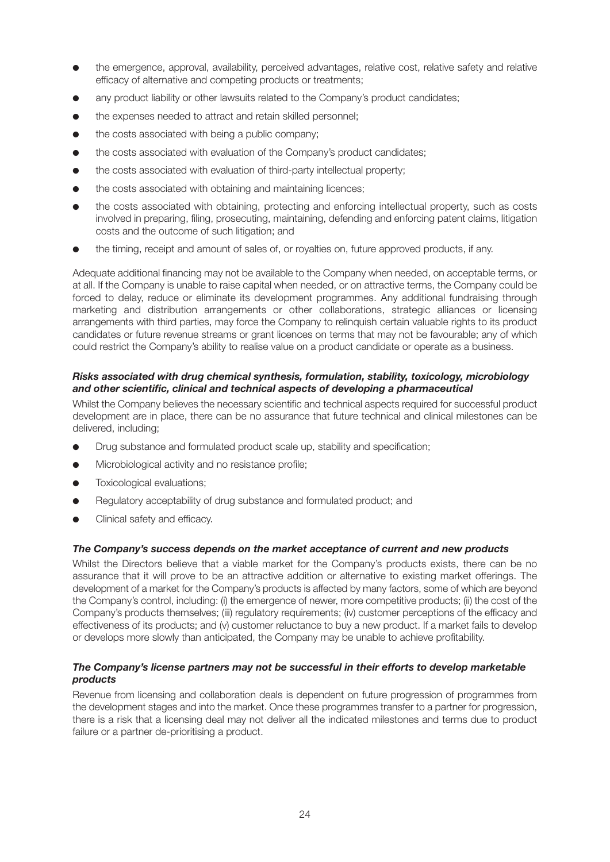- $\bullet$  the emergence, approval, availability, perceived advantages, relative cost, relative safety and relative efficacy of alternative and competing products or treatments;
- any product liability or other lawsuits related to the Company's product candidates;
- the expenses needed to attract and retain skilled personnel;
- $\bullet$  the costs associated with being a public company:
- the costs associated with evaluation of the Company's product candidates;
- $\bullet$  the costs associated with evaluation of third-party intellectual property;
- $\bullet$  the costs associated with obtaining and maintaining licences;
- the costs associated with obtaining, protecting and enforcing intellectual property, such as costs involved in preparing, filing, prosecuting, maintaining, defending and enforcing patent claims, litigation costs and the outcome of such litigation; and
- l the timing, receipt and amount of sales of, or royalties on, future approved products, if any.

Adequate additional financing may not be available to the Company when needed, on acceptable terms, or at all. If the Company is unable to raise capital when needed, or on attractive terms, the Company could be forced to delay, reduce or eliminate its development programmes. Any additional fundraising through marketing and distribution arrangements or other collaborations, strategic alliances or licensing arrangements with third parties, may force the Company to relinquish certain valuable rights to its product candidates or future revenue streams or grant licences on terms that may not be favourable; any of which could restrict the Company's ability to realise value on a product candidate or operate as a business.

#### *Risks associated with drug chemical synthesis, formulation, stability, toxicology, microbiology and other scientific, clinical and technical aspects of developing a pharmaceutical*

Whilst the Company believes the necessary scientific and technical aspects required for successful product development are in place, there can be no assurance that future technical and clinical milestones can be delivered, including;

- $\bullet$  Drug substance and formulated product scale up, stability and specification;
- **In Microbiological activity and no resistance profile;**
- **•** Toxicological evaluations;
- Regulatory acceptability of drug substance and formulated product; and
- Clinical safety and efficacy.

#### *The Company's success depends on the market acceptance of current and new products*

Whilst the Directors believe that a viable market for the Company's products exists, there can be no assurance that it will prove to be an attractive addition or alternative to existing market offerings. The development of a market for the Company's products is affected by many factors, some of which are beyond the Company's control, including: (i) the emergence of newer, more competitive products; (ii) the cost of the Company's products themselves; (iii) regulatory requirements; (iv) customer perceptions of the efficacy and effectiveness of its products; and (v) customer reluctance to buy a new product. If a market fails to develop or develops more slowly than anticipated, the Company may be unable to achieve profitability.

#### *The Company's license partners may not be successful in their efforts to develop marketable products*

Revenue from licensing and collaboration deals is dependent on future progression of programmes from the development stages and into the market. Once these programmes transfer to a partner for progression, there is a risk that a licensing deal may not deliver all the indicated milestones and terms due to product failure or a partner de-prioritising a product.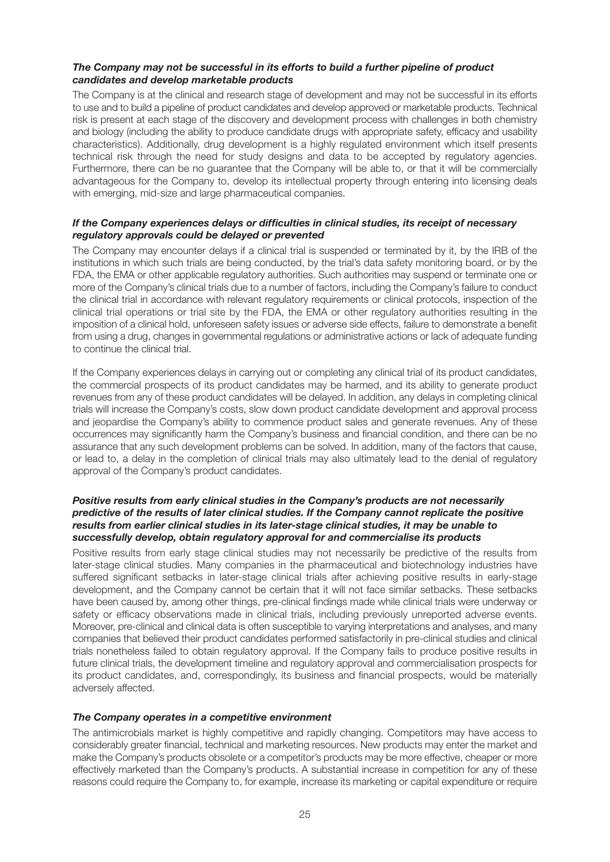#### *The Company may not be successful in its efforts to build a further pipeline of product candidates and develop marketable products*

The Company is at the clinical and research stage of development and may not be successful in its efforts to use and to build a pipeline of product candidates and develop approved or marketable products. Technical risk is present at each stage of the discovery and development process with challenges in both chemistry and biology (including the ability to produce candidate drugs with appropriate safety, efficacy and usability characteristics). Additionally, drug development is a highly regulated environment which itself presents technical risk through the need for study designs and data to be accepted by regulatory agencies. Furthermore, there can be no guarantee that the Company will be able to, or that it will be commercially advantageous for the Company to, develop its intellectual property through entering into licensing deals with emerging, mid-size and large pharmaceutical companies.

#### *If the Company experiences delays or difficulties in clinical studies, its receipt of necessary regulatory approvals could be delayed or prevented*

The Company may encounter delays if a clinical trial is suspended or terminated by it, by the IRB of the institutions in which such trials are being conducted, by the trial's data safety monitoring board, or by the FDA, the EMA or other applicable regulatory authorities. Such authorities may suspend or terminate one or more of the Company's clinical trials due to a number of factors, including the Company's failure to conduct the clinical trial in accordance with relevant regulatory requirements or clinical protocols, inspection of the clinical trial operations or trial site by the FDA, the EMA or other regulatory authorities resulting in the imposition of a clinical hold, unforeseen safety issues or adverse side effects, failure to demonstrate a benefit from using a drug, changes in governmental regulations or administrative actions or lack of adequate funding to continue the clinical trial.

If the Company experiences delays in carrying out or completing any clinical trial of its product candidates, the commercial prospects of its product candidates may be harmed, and its ability to generate product revenues from any of these product candidates will be delayed. In addition, any delays in completing clinical trials will increase the Company's costs, slow down product candidate development and approval process and jeopardise the Company's ability to commence product sales and generate revenues. Any of these occurrences may significantly harm the Company's business and financial condition, and there can be no assurance that any such development problems can be solved. In addition, many of the factors that cause, or lead to, a delay in the completion of clinical trials may also ultimately lead to the denial of regulatory approval of the Company's product candidates.

#### *Positive results from early clinical studies in the Company's products are not necessarily predictive of the results of later clinical studies. If the Company cannot replicate the positive results from earlier clinical studies in its later-stage clinical studies, it may be unable to successfully develop, obtain regulatory approval for and commercialise its products*

Positive results from early stage clinical studies may not necessarily be predictive of the results from later-stage clinical studies. Many companies in the pharmaceutical and biotechnology industries have suffered significant setbacks in later-stage clinical trials after achieving positive results in early-stage development, and the Company cannot be certain that it will not face similar setbacks. These setbacks have been caused by, among other things, pre-clinical findings made while clinical trials were underway or safety or efficacy observations made in clinical trials, including previously unreported adverse events. Moreover, pre-clinical and clinical data is often susceptible to varying interpretations and analyses, and many companies that believed their product candidates performed satisfactorily in pre-clinical studies and clinical trials nonetheless failed to obtain regulatory approval. If the Company fails to produce positive results in future clinical trials, the development timeline and regulatory approval and commercialisation prospects for its product candidates, and, correspondingly, its business and financial prospects, would be materially adversely affected.

#### *The Company operates in a competitive environment*

The antimicrobials market is highly competitive and rapidly changing. Competitors may have access to considerably greater financial, technical and marketing resources. New products may enter the market and make the Company's products obsolete or a competitor's products may be more effective, cheaper or more effectively marketed than the Company's products. A substantial increase in competition for any of these reasons could require the Company to, for example, increase its marketing or capital expenditure or require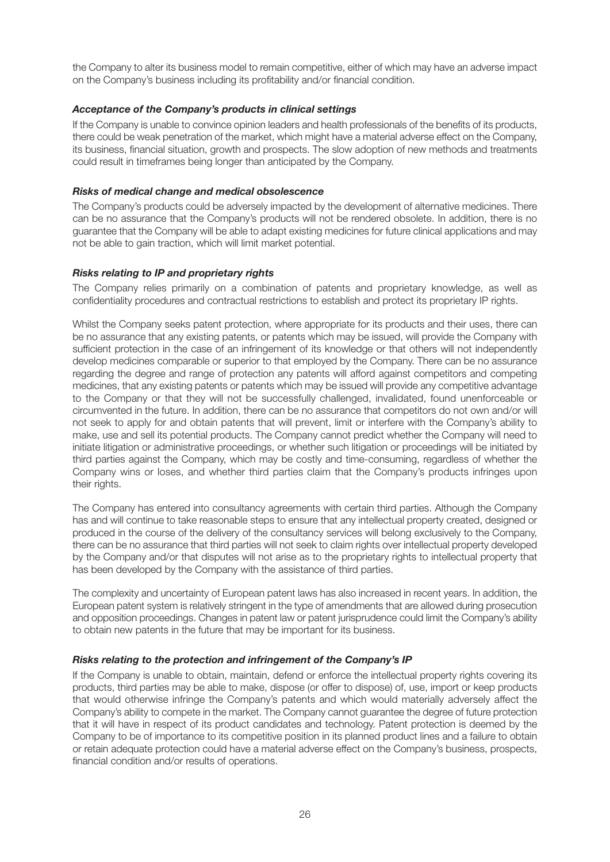the Company to alter its business model to remain competitive, either of which may have an adverse impact on the Company's business including its profitability and/or financial condition.

#### *Acceptance of the Company's products in clinical settings*

If the Company is unable to convince opinion leaders and health professionals of the benefits of its products, there could be weak penetration of the market, which might have a material adverse effect on the Company, its business, financial situation, growth and prospects. The slow adoption of new methods and treatments could result in timeframes being longer than anticipated by the Company.

#### *Risks of medical change and medical obsolescence*

The Company's products could be adversely impacted by the development of alternative medicines. There can be no assurance that the Company's products will not be rendered obsolete. In addition, there is no guarantee that the Company will be able to adapt existing medicines for future clinical applications and may not be able to gain traction, which will limit market potential.

#### *Risks relating to IP and proprietary rights*

The Company relies primarily on a combination of patents and proprietary knowledge, as well as confidentiality procedures and contractual restrictions to establish and protect its proprietary IP rights.

Whilst the Company seeks patent protection, where appropriate for its products and their uses, there can be no assurance that any existing patents, or patents which may be issued, will provide the Company with sufficient protection in the case of an infringement of its knowledge or that others will not independently develop medicines comparable or superior to that employed by the Company. There can be no assurance regarding the degree and range of protection any patents will afford against competitors and competing medicines, that any existing patents or patents which may be issued will provide any competitive advantage to the Company or that they will not be successfully challenged, invalidated, found unenforceable or circumvented in the future. In addition, there can be no assurance that competitors do not own and/or will not seek to apply for and obtain patents that will prevent, limit or interfere with the Company's ability to make, use and sell its potential products. The Company cannot predict whether the Company will need to initiate litigation or administrative proceedings, or whether such litigation or proceedings will be initiated by third parties against the Company, which may be costly and time-consuming, regardless of whether the Company wins or loses, and whether third parties claim that the Company's products infringes upon their rights.

The Company has entered into consultancy agreements with certain third parties. Although the Company has and will continue to take reasonable steps to ensure that any intellectual property created, designed or produced in the course of the delivery of the consultancy services will belong exclusively to the Company, there can be no assurance that third parties will not seek to claim rights over intellectual property developed by the Company and/or that disputes will not arise as to the proprietary rights to intellectual property that has been developed by the Company with the assistance of third parties.

The complexity and uncertainty of European patent laws has also increased in recent years. In addition, the European patent system is relatively stringent in the type of amendments that are allowed during prosecution and opposition proceedings. Changes in patent law or patent jurisprudence could limit the Company's ability to obtain new patents in the future that may be important for its business.

#### *Risks relating to the protection and infringement of the Company's IP*

If the Company is unable to obtain, maintain, defend or enforce the intellectual property rights covering its products, third parties may be able to make, dispose (or offer to dispose) of, use, import or keep products that would otherwise infringe the Company's patents and which would materially adversely affect the Company's ability to compete in the market. The Company cannot guarantee the degree of future protection that it will have in respect of its product candidates and technology. Patent protection is deemed by the Company to be of importance to its competitive position in its planned product lines and a failure to obtain or retain adequate protection could have a material adverse effect on the Company's business, prospects, financial condition and/or results of operations.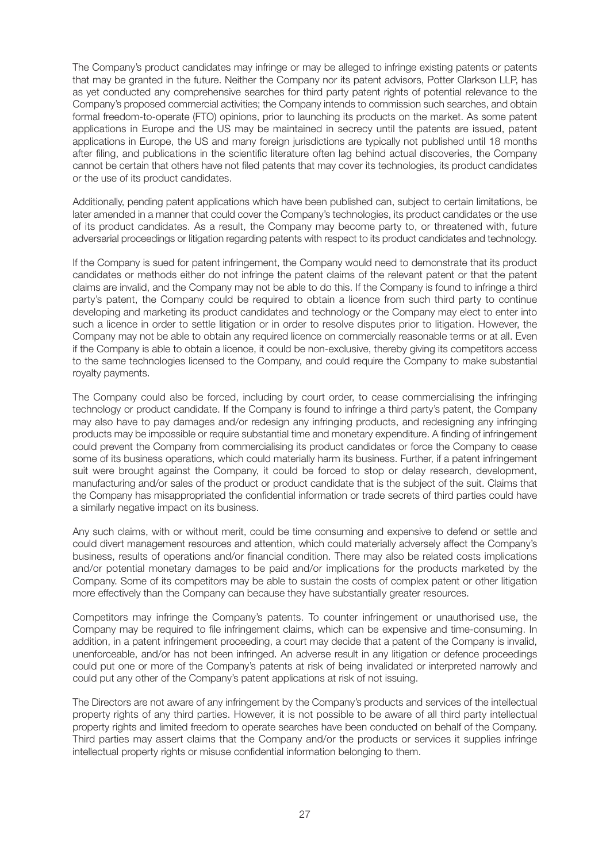The Company's product candidates may infringe or may be alleged to infringe existing patents or patents that may be granted in the future. Neither the Company nor its patent advisors, Potter Clarkson LLP, has as yet conducted any comprehensive searches for third party patent rights of potential relevance to the Company's proposed commercial activities; the Company intends to commission such searches, and obtain formal freedom-to-operate (FTO) opinions, prior to launching its products on the market. As some patent applications in Europe and the US may be maintained in secrecy until the patents are issued, patent applications in Europe, the US and many foreign jurisdictions are typically not published until 18 months after filing, and publications in the scientific literature often lag behind actual discoveries, the Company cannot be certain that others have not filed patents that may cover its technologies, its product candidates or the use of its product candidates.

Additionally, pending patent applications which have been published can, subject to certain limitations, be later amended in a manner that could cover the Company's technologies, its product candidates or the use of its product candidates. As a result, the Company may become party to, or threatened with, future adversarial proceedings or litigation regarding patents with respect to its product candidates and technology.

If the Company is sued for patent infringement, the Company would need to demonstrate that its product candidates or methods either do not infringe the patent claims of the relevant patent or that the patent claims are invalid, and the Company may not be able to do this. If the Company is found to infringe a third party's patent, the Company could be required to obtain a licence from such third party to continue developing and marketing its product candidates and technology or the Company may elect to enter into such a licence in order to settle litigation or in order to resolve disputes prior to litigation. However, the Company may not be able to obtain any required licence on commercially reasonable terms or at all. Even if the Company is able to obtain a licence, it could be non-exclusive, thereby giving its competitors access to the same technologies licensed to the Company, and could require the Company to make substantial royalty payments.

The Company could also be forced, including by court order, to cease commercialising the infringing technology or product candidate. If the Company is found to infringe a third party's patent, the Company may also have to pay damages and/or redesign any infringing products, and redesigning any infringing products may be impossible or require substantial time and monetary expenditure. A finding of infringement could prevent the Company from commercialising its product candidates or force the Company to cease some of its business operations, which could materially harm its business. Further, if a patent infringement suit were brought against the Company, it could be forced to stop or delay research, development, manufacturing and/or sales of the product or product candidate that is the subject of the suit. Claims that the Company has misappropriated the confidential information or trade secrets of third parties could have a similarly negative impact on its business.

Any such claims, with or without merit, could be time consuming and expensive to defend or settle and could divert management resources and attention, which could materially adversely affect the Company's business, results of operations and/or financial condition. There may also be related costs implications and/or potential monetary damages to be paid and/or implications for the products marketed by the Company. Some of its competitors may be able to sustain the costs of complex patent or other litigation more effectively than the Company can because they have substantially greater resources.

Competitors may infringe the Company's patents. To counter infringement or unauthorised use, the Company may be required to file infringement claims, which can be expensive and time-consuming. In addition, in a patent infringement proceeding, a court may decide that a patent of the Company is invalid, unenforceable, and/or has not been infringed. An adverse result in any litigation or defence proceedings could put one or more of the Company's patents at risk of being invalidated or interpreted narrowly and could put any other of the Company's patent applications at risk of not issuing.

The Directors are not aware of any infringement by the Company's products and services of the intellectual property rights of any third parties. However, it is not possible to be aware of all third party intellectual property rights and limited freedom to operate searches have been conducted on behalf of the Company. Third parties may assert claims that the Company and/or the products or services it supplies infringe intellectual property rights or misuse confidential information belonging to them.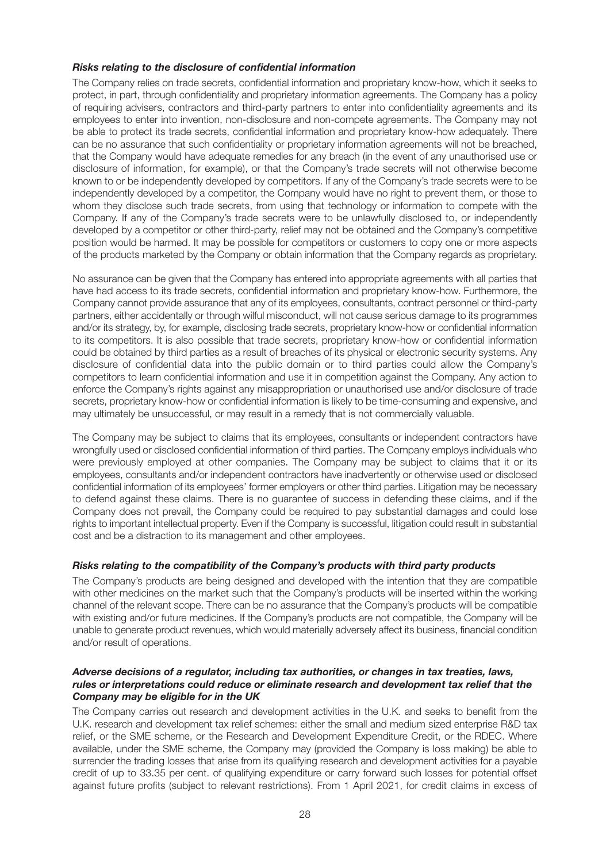#### *Risks relating to the disclosure of confidential information*

The Company relies on trade secrets, confidential information and proprietary know-how, which it seeks to protect, in part, through confidentiality and proprietary information agreements. The Company has a policy of requiring advisers, contractors and third-party partners to enter into confidentiality agreements and its employees to enter into invention, non-disclosure and non-compete agreements. The Company may not be able to protect its trade secrets, confidential information and proprietary know-how adequately. There can be no assurance that such confidentiality or proprietary information agreements will not be breached, that the Company would have adequate remedies for any breach (in the event of any unauthorised use or disclosure of information, for example), or that the Company's trade secrets will not otherwise become known to or be independently developed by competitors. If any of the Company's trade secrets were to be independently developed by a competitor, the Company would have no right to prevent them, or those to whom they disclose such trade secrets, from using that technology or information to compete with the Company. If any of the Company's trade secrets were to be unlawfully disclosed to, or independently developed by a competitor or other third-party, relief may not be obtained and the Company's competitive position would be harmed. It may be possible for competitors or customers to copy one or more aspects of the products marketed by the Company or obtain information that the Company regards as proprietary.

No assurance can be given that the Company has entered into appropriate agreements with all parties that have had access to its trade secrets, confidential information and proprietary know-how. Furthermore, the Company cannot provide assurance that any of its employees, consultants, contract personnel or third-party partners, either accidentally or through wilful misconduct, will not cause serious damage to its programmes and/or its strategy, by, for example, disclosing trade secrets, proprietary know-how or confidential information to its competitors. It is also possible that trade secrets, proprietary know-how or confidential information could be obtained by third parties as a result of breaches of its physical or electronic security systems. Any disclosure of confidential data into the public domain or to third parties could allow the Company's competitors to learn confidential information and use it in competition against the Company. Any action to enforce the Company's rights against any misappropriation or unauthorised use and/or disclosure of trade secrets, proprietary know-how or confidential information is likely to be time-consuming and expensive, and may ultimately be unsuccessful, or may result in a remedy that is not commercially valuable.

The Company may be subject to claims that its employees, consultants or independent contractors have wrongfully used or disclosed confidential information of third parties. The Company employs individuals who were previously employed at other companies. The Company may be subject to claims that it or its employees, consultants and/or independent contractors have inadvertently or otherwise used or disclosed confidential information of its employees' former employers or other third parties. Litigation may be necessary to defend against these claims. There is no guarantee of success in defending these claims, and if the Company does not prevail, the Company could be required to pay substantial damages and could lose rights to important intellectual property. Even if the Company is successful, litigation could result in substantial cost and be a distraction to its management and other employees.

#### *Risks relating to the compatibility of the Company's products with third party products*

The Company's products are being designed and developed with the intention that they are compatible with other medicines on the market such that the Company's products will be inserted within the working channel of the relevant scope. There can be no assurance that the Company's products will be compatible with existing and/or future medicines. If the Company's products are not compatible, the Company will be unable to generate product revenues, which would materially adversely affect its business, financial condition and/or result of operations.

#### *Adverse decisions of a regulator, including tax authorities, or changes in tax treaties, laws, rules or interpretations could reduce or eliminate research and development tax relief that the Company may be eligible for in the UK*

The Company carries out research and development activities in the U.K. and seeks to benefit from the U.K. research and development tax relief schemes: either the small and medium sized enterprise R&D tax relief, or the SME scheme, or the Research and Development Expenditure Credit, or the RDEC. Where available, under the SME scheme, the Company may (provided the Company is loss making) be able to surrender the trading losses that arise from its qualifying research and development activities for a payable credit of up to 33.35 per cent. of qualifying expenditure or carry forward such losses for potential offset against future profits (subject to relevant restrictions). From 1 April 2021, for credit claims in excess of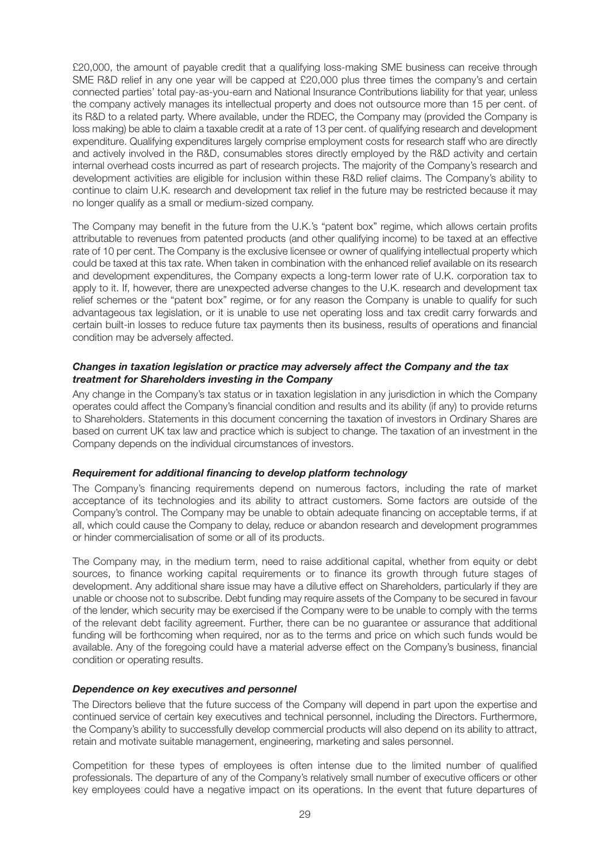£20,000, the amount of payable credit that a qualifying loss-making SME business can receive through SME R&D relief in any one year will be capped at £20,000 plus three times the company's and certain connected parties' total pay-as-you-earn and National Insurance Contributions liability for that year, unless the company actively manages its intellectual property and does not outsource more than 15 per cent. of its R&D to a related party. Where available, under the RDEC, the Company may (provided the Company is loss making) be able to claim a taxable credit at a rate of 13 per cent. of qualifying research and development expenditure. Qualifying expenditures largely comprise employment costs for research staff who are directly and actively involved in the R&D, consumables stores directly employed by the R&D activity and certain internal overhead costs incurred as part of research projects. The majority of the Company's research and development activities are eligible for inclusion within these R&D relief claims. The Company's ability to continue to claim U.K. research and development tax relief in the future may be restricted because it may no longer qualify as a small or medium-sized company.

The Company may benefit in the future from the U.K.'s "patent box" regime, which allows certain profits attributable to revenues from patented products (and other qualifying income) to be taxed at an effective rate of 10 per cent. The Company is the exclusive licensee or owner of qualifying intellectual property which could be taxed at this tax rate. When taken in combination with the enhanced relief available on its research and development expenditures, the Company expects a long-term lower rate of U.K. corporation tax to apply to it. If, however, there are unexpected adverse changes to the U.K. research and development tax relief schemes or the "patent box" regime, or for any reason the Company is unable to qualify for such advantageous tax legislation, or it is unable to use net operating loss and tax credit carry forwards and certain built-in losses to reduce future tax payments then its business, results of operations and financial condition may be adversely affected.

#### *Changes in taxation legislation or practice may adversely affect the Company and the tax treatment for Shareholders investing in the Company*

Any change in the Company's tax status or in taxation legislation in any jurisdiction in which the Company operates could affect the Company's financial condition and results and its ability (if any) to provide returns to Shareholders. Statements in this document concerning the taxation of investors in Ordinary Shares are based on current UK tax law and practice which is subject to change. The taxation of an investment in the Company depends on the individual circumstances of investors.

#### *Requirement for additional financing to develop platform technology*

The Company's financing requirements depend on numerous factors, including the rate of market acceptance of its technologies and its ability to attract customers. Some factors are outside of the Company's control. The Company may be unable to obtain adequate financing on acceptable terms, if at all, which could cause the Company to delay, reduce or abandon research and development programmes or hinder commercialisation of some or all of its products.

The Company may, in the medium term, need to raise additional capital, whether from equity or debt sources, to finance working capital requirements or to finance its growth through future stages of development. Any additional share issue may have a dilutive effect on Shareholders, particularly if they are unable or choose not to subscribe. Debt funding may require assets of the Company to be secured in favour of the lender, which security may be exercised if the Company were to be unable to comply with the terms of the relevant debt facility agreement. Further, there can be no guarantee or assurance that additional funding will be forthcoming when required, nor as to the terms and price on which such funds would be available. Any of the foregoing could have a material adverse effect on the Company's business, financial condition or operating results.

#### *Dependence on key executives and personnel*

The Directors believe that the future success of the Company will depend in part upon the expertise and continued service of certain key executives and technical personnel, including the Directors. Furthermore, the Company's ability to successfully develop commercial products will also depend on its ability to attract, retain and motivate suitable management, engineering, marketing and sales personnel.

Competition for these types of employees is often intense due to the limited number of qualified professionals. The departure of any of the Company's relatively small number of executive officers or other key employees could have a negative impact on its operations. In the event that future departures of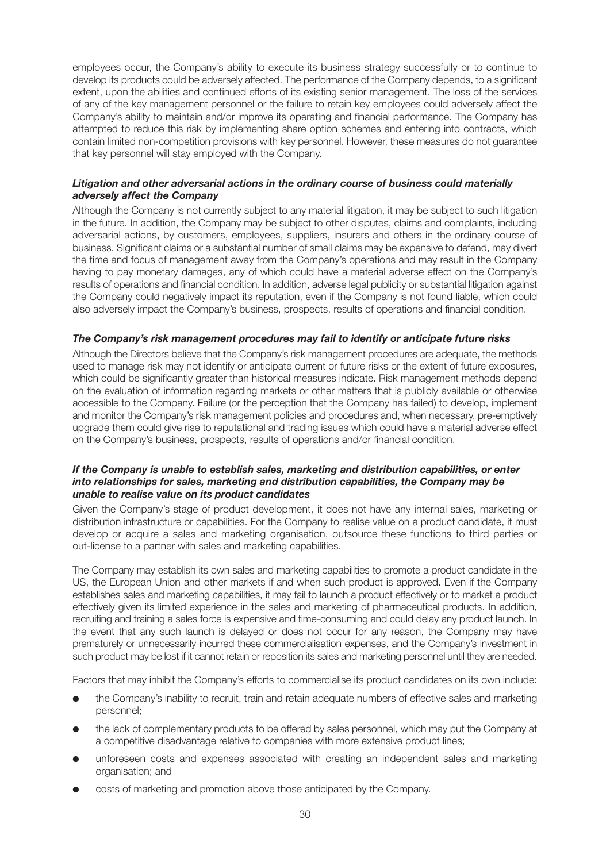employees occur, the Company's ability to execute its business strategy successfully or to continue to develop its products could be adversely affected. The performance of the Company depends, to a significant extent, upon the abilities and continued efforts of its existing senior management. The loss of the services of any of the key management personnel or the failure to retain key employees could adversely affect the Company's ability to maintain and/or improve its operating and financial performance. The Company has attempted to reduce this risk by implementing share option schemes and entering into contracts, which contain limited non-competition provisions with key personnel. However, these measures do not guarantee that key personnel will stay employed with the Company.

#### *Litigation and other adversarial actions in the ordinary course of business could materially adversely affect the Company*

Although the Company is not currently subject to any material litigation, it may be subject to such litigation in the future. In addition, the Company may be subject to other disputes, claims and complaints, including adversarial actions, by customers, employees, suppliers, insurers and others in the ordinary course of business. Significant claims or a substantial number of small claims may be expensive to defend, may divert the time and focus of management away from the Company's operations and may result in the Company having to pay monetary damages, any of which could have a material adverse effect on the Company's results of operations and financial condition. In addition, adverse legal publicity or substantial litigation against the Company could negatively impact its reputation, even if the Company is not found liable, which could also adversely impact the Company's business, prospects, results of operations and financial condition.

#### *The Company's risk management procedures may fail to identify or anticipate future risks*

Although the Directors believe that the Company's risk management procedures are adequate, the methods used to manage risk may not identify or anticipate current or future risks or the extent of future exposures, which could be significantly greater than historical measures indicate. Risk management methods depend on the evaluation of information regarding markets or other matters that is publicly available or otherwise accessible to the Company. Failure (or the perception that the Company has failed) to develop, implement and monitor the Company's risk management policies and procedures and, when necessary, pre-emptively upgrade them could give rise to reputational and trading issues which could have a material adverse effect on the Company's business, prospects, results of operations and/or financial condition.

#### *If the Company is unable to establish sales, marketing and distribution capabilities, or enter into relationships for sales, marketing and distribution capabilities, the Company may be unable to realise value on its product candidates*

Given the Company's stage of product development, it does not have any internal sales, marketing or distribution infrastructure or capabilities. For the Company to realise value on a product candidate, it must develop or acquire a sales and marketing organisation, outsource these functions to third parties or out-license to a partner with sales and marketing capabilities.

The Company may establish its own sales and marketing capabilities to promote a product candidate in the US, the European Union and other markets if and when such product is approved. Even if the Company establishes sales and marketing capabilities, it may fail to launch a product effectively or to market a product effectively given its limited experience in the sales and marketing of pharmaceutical products. In addition, recruiting and training a sales force is expensive and time-consuming and could delay any product launch. In the event that any such launch is delayed or does not occur for any reason, the Company may have prematurely or unnecessarily incurred these commercialisation expenses, and the Company's investment in such product may be lost if it cannot retain or reposition its sales and marketing personnel until they are needed.

Factors that may inhibit the Company's efforts to commercialise its product candidates on its own include:

- l the Company's inability to recruit, train and retain adequate numbers of effective sales and marketing personnel;
- the lack of complementary products to be offered by sales personnel, which may put the Company at a competitive disadvantage relative to companies with more extensive product lines;
- unforeseen costs and expenses associated with creating an independent sales and marketing organisation; and
- costs of marketing and promotion above those anticipated by the Company.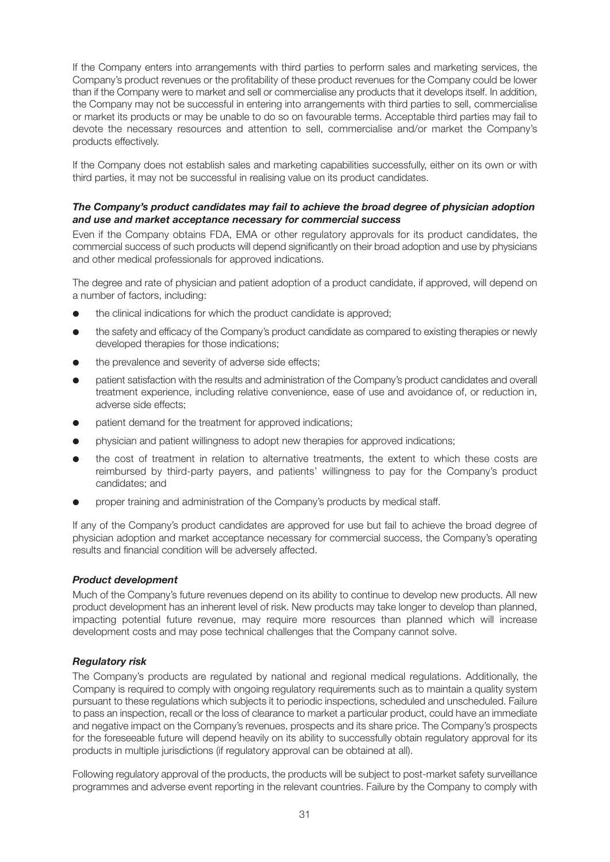If the Company enters into arrangements with third parties to perform sales and marketing services, the Company's product revenues or the profitability of these product revenues for the Company could be lower than if the Company were to market and sell or commercialise any products that it develops itself. In addition, the Company may not be successful in entering into arrangements with third parties to sell, commercialise or market its products or may be unable to do so on favourable terms. Acceptable third parties may fail to devote the necessary resources and attention to sell, commercialise and/or market the Company's products effectively.

If the Company does not establish sales and marketing capabilities successfully, either on its own or with third parties, it may not be successful in realising value on its product candidates.

#### *The Company's product candidates may fail to achieve the broad degree of physician adoption and use and market acceptance necessary for commercial success*

Even if the Company obtains FDA, EMA or other regulatory approvals for its product candidates, the commercial success of such products will depend significantly on their broad adoption and use by physicians and other medical professionals for approved indications.

The degree and rate of physician and patient adoption of a product candidate, if approved, will depend on a number of factors, including:

- the clinical indications for which the product candidate is approved;
- $\bullet$  the safety and efficacy of the Company's product candidate as compared to existing therapies or newly developed therapies for those indications;
- the prevalence and severity of adverse side effects;
- l patient satisfaction with the results and administration of the Company's product candidates and overall treatment experience, including relative convenience, ease of use and avoidance of, or reduction in, adverse side effects;
- patient demand for the treatment for approved indications;
- physician and patient willingness to adopt new therapies for approved indications;
- the cost of treatment in relation to alternative treatments, the extent to which these costs are reimbursed by third-party payers, and patients' willingness to pay for the Company's product candidates; and
- proper training and administration of the Company's products by medical staff.

If any of the Company's product candidates are approved for use but fail to achieve the broad degree of physician adoption and market acceptance necessary for commercial success, the Company's operating results and financial condition will be adversely affected.

#### *Product development*

Much of the Company's future revenues depend on its ability to continue to develop new products. All new product development has an inherent level of risk. New products may take longer to develop than planned, impacting potential future revenue, may require more resources than planned which will increase development costs and may pose technical challenges that the Company cannot solve.

#### *Regulatory risk*

The Company's products are regulated by national and regional medical regulations. Additionally, the Company is required to comply with ongoing regulatory requirements such as to maintain a quality system pursuant to these regulations which subjects it to periodic inspections, scheduled and unscheduled. Failure to pass an inspection, recall or the loss of clearance to market a particular product, could have an immediate and negative impact on the Company's revenues, prospects and its share price. The Company's prospects for the foreseeable future will depend heavily on its ability to successfully obtain regulatory approval for its products in multiple jurisdictions (if regulatory approval can be obtained at all).

Following regulatory approval of the products, the products will be subject to post-market safety surveillance programmes and adverse event reporting in the relevant countries. Failure by the Company to comply with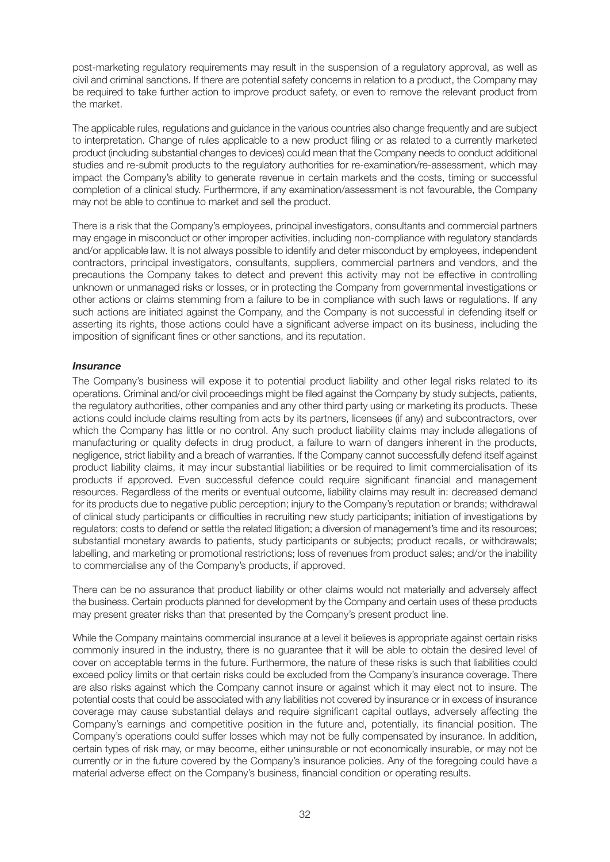post-marketing regulatory requirements may result in the suspension of a regulatory approval, as well as civil and criminal sanctions. If there are potential safety concerns in relation to a product, the Company may be required to take further action to improve product safety, or even to remove the relevant product from the market.

The applicable rules, regulations and guidance in the various countries also change frequently and are subject to interpretation. Change of rules applicable to a new product filing or as related to a currently marketed product (including substantial changes to devices) could mean that the Company needs to conduct additional studies and re-submit products to the regulatory authorities for re-examination/re-assessment, which may impact the Company's ability to generate revenue in certain markets and the costs, timing or successful completion of a clinical study. Furthermore, if any examination/assessment is not favourable, the Company may not be able to continue to market and sell the product.

There is a risk that the Company's employees, principal investigators, consultants and commercial partners may engage in misconduct or other improper activities, including non-compliance with regulatory standards and/or applicable law. It is not always possible to identify and deter misconduct by employees, independent contractors, principal investigators, consultants, suppliers, commercial partners and vendors, and the precautions the Company takes to detect and prevent this activity may not be effective in controlling unknown or unmanaged risks or losses, or in protecting the Company from governmental investigations or other actions or claims stemming from a failure to be in compliance with such laws or regulations. If any such actions are initiated against the Company, and the Company is not successful in defending itself or asserting its rights, those actions could have a significant adverse impact on its business, including the imposition of significant fines or other sanctions, and its reputation.

#### *Insurance*

The Company's business will expose it to potential product liability and other legal risks related to its operations. Criminal and/or civil proceedings might be filed against the Company by study subjects, patients, the regulatory authorities, other companies and any other third party using or marketing its products. These actions could include claims resulting from acts by its partners, licensees (if any) and subcontractors, over which the Company has little or no control. Any such product liability claims may include allegations of manufacturing or quality defects in drug product, a failure to warn of dangers inherent in the products, negligence, strict liability and a breach of warranties. If the Company cannot successfully defend itself against product liability claims, it may incur substantial liabilities or be required to limit commercialisation of its products if approved. Even successful defence could require significant financial and management resources. Regardless of the merits or eventual outcome, liability claims may result in: decreased demand for its products due to negative public perception; injury to the Company's reputation or brands; withdrawal of clinical study participants or difficulties in recruiting new study participants; initiation of investigations by regulators; costs to defend or settle the related litigation; a diversion of management's time and its resources; substantial monetary awards to patients, study participants or subjects; product recalls, or withdrawals; labelling, and marketing or promotional restrictions; loss of revenues from product sales; and/or the inability to commercialise any of the Company's products, if approved.

There can be no assurance that product liability or other claims would not materially and adversely affect the business. Certain products planned for development by the Company and certain uses of these products may present greater risks than that presented by the Company's present product line.

While the Company maintains commercial insurance at a level it believes is appropriate against certain risks commonly insured in the industry, there is no guarantee that it will be able to obtain the desired level of cover on acceptable terms in the future. Furthermore, the nature of these risks is such that liabilities could exceed policy limits or that certain risks could be excluded from the Company's insurance coverage. There are also risks against which the Company cannot insure or against which it may elect not to insure. The potential costs that could be associated with any liabilities not covered by insurance or in excess of insurance coverage may cause substantial delays and require significant capital outlays, adversely affecting the Company's earnings and competitive position in the future and, potentially, its financial position. The Company's operations could suffer losses which may not be fully compensated by insurance. In addition, certain types of risk may, or may become, either uninsurable or not economically insurable, or may not be currently or in the future covered by the Company's insurance policies. Any of the foregoing could have a material adverse effect on the Company's business, financial condition or operating results.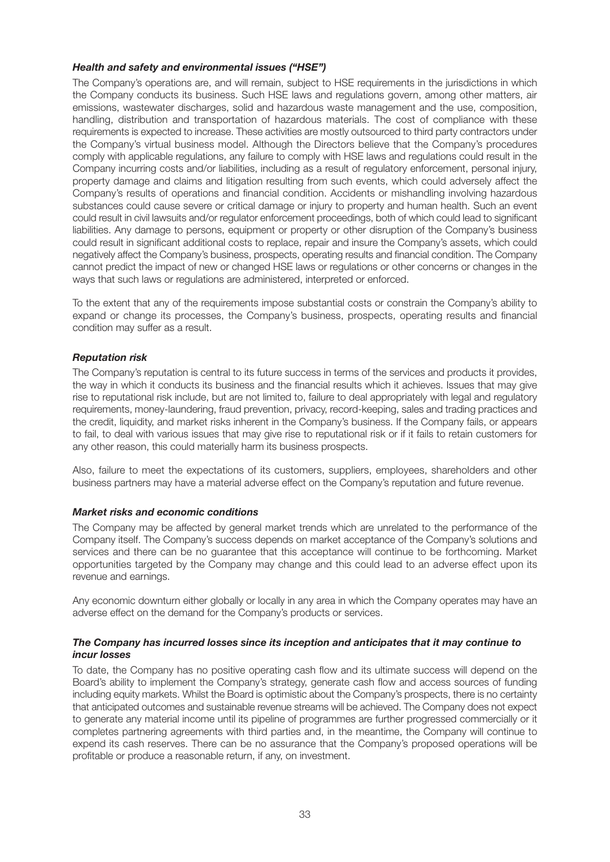#### *Health and safety and environmental issues ("HSE")*

The Company's operations are, and will remain, subject to HSE requirements in the jurisdictions in which the Company conducts its business. Such HSE laws and regulations govern, among other matters, air emissions, wastewater discharges, solid and hazardous waste management and the use, composition, handling, distribution and transportation of hazardous materials. The cost of compliance with these requirements is expected to increase. These activities are mostly outsourced to third party contractors under the Company's virtual business model. Although the Directors believe that the Company's procedures comply with applicable regulations, any failure to comply with HSE laws and regulations could result in the Company incurring costs and/or liabilities, including as a result of regulatory enforcement, personal injury, property damage and claims and litigation resulting from such events, which could adversely affect the Company's results of operations and financial condition. Accidents or mishandling involving hazardous substances could cause severe or critical damage or injury to property and human health. Such an event could result in civil lawsuits and/or regulator enforcement proceedings, both of which could lead to significant liabilities. Any damage to persons, equipment or property or other disruption of the Company's business could result in significant additional costs to replace, repair and insure the Company's assets, which could negatively affect the Company's business, prospects, operating results and financial condition. The Company cannot predict the impact of new or changed HSE laws or regulations or other concerns or changes in the ways that such laws or regulations are administered, interpreted or enforced.

To the extent that any of the requirements impose substantial costs or constrain the Company's ability to expand or change its processes, the Company's business, prospects, operating results and financial condition may suffer as a result.

#### *Reputation risk*

The Company's reputation is central to its future success in terms of the services and products it provides, the way in which it conducts its business and the financial results which it achieves. Issues that may give rise to reputational risk include, but are not limited to, failure to deal appropriately with legal and regulatory requirements, money-laundering, fraud prevention, privacy, record-keeping, sales and trading practices and the credit, liquidity, and market risks inherent in the Company's business. If the Company fails, or appears to fail, to deal with various issues that may give rise to reputational risk or if it fails to retain customers for any other reason, this could materially harm its business prospects.

Also, failure to meet the expectations of its customers, suppliers, employees, shareholders and other business partners may have a material adverse effect on the Company's reputation and future revenue.

#### *Market risks and economic conditions*

The Company may be affected by general market trends which are unrelated to the performance of the Company itself. The Company's success depends on market acceptance of the Company's solutions and services and there can be no guarantee that this acceptance will continue to be forthcoming. Market opportunities targeted by the Company may change and this could lead to an adverse effect upon its revenue and earnings.

Any economic downturn either globally or locally in any area in which the Company operates may have an adverse effect on the demand for the Company's products or services.

#### *The Company has incurred losses since its inception and anticipates that it may continue to incur losses*

To date, the Company has no positive operating cash flow and its ultimate success will depend on the Board's ability to implement the Company's strategy, generate cash flow and access sources of funding including equity markets. Whilst the Board is optimistic about the Company's prospects, there is no certainty that anticipated outcomes and sustainable revenue streams will be achieved. The Company does not expect to generate any material income until its pipeline of programmes are further progressed commercially or it completes partnering agreements with third parties and, in the meantime, the Company will continue to expend its cash reserves. There can be no assurance that the Company's proposed operations will be profitable or produce a reasonable return, if any, on investment.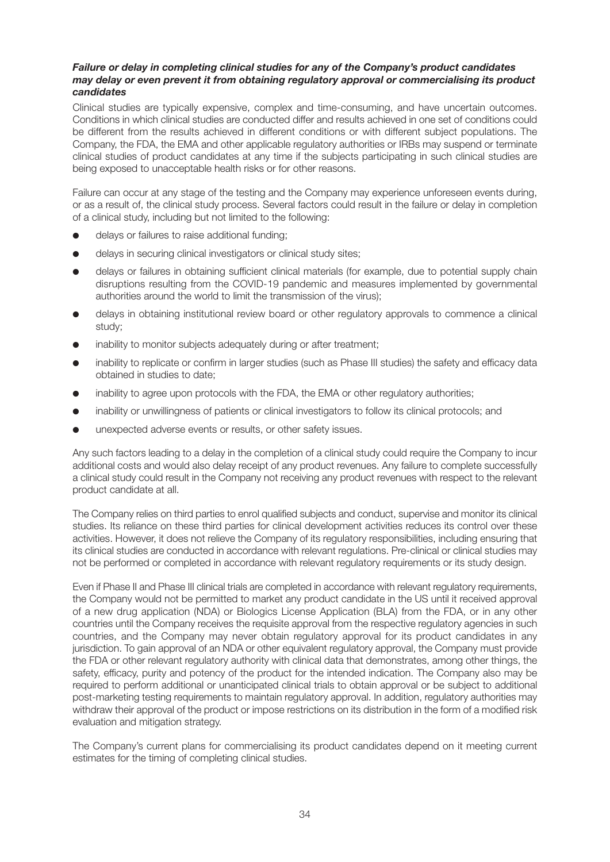#### *Failure or delay in completing clinical studies for any of the Company's product candidates may delay or even prevent it from obtaining regulatory approval or commercialising its product candidates*

Clinical studies are typically expensive, complex and time-consuming, and have uncertain outcomes. Conditions in which clinical studies are conducted differ and results achieved in one set of conditions could be different from the results achieved in different conditions or with different subject populations. The Company, the FDA, the EMA and other applicable regulatory authorities or IRBs may suspend or terminate clinical studies of product candidates at any time if the subjects participating in such clinical studies are being exposed to unacceptable health risks or for other reasons.

Failure can occur at any stage of the testing and the Company may experience unforeseen events during, or as a result of, the clinical study process. Several factors could result in the failure or delay in completion of a clinical study, including but not limited to the following:

- **e** delays or failures to raise additional funding;
- **e** delays in securing clinical investigators or clinical study sites;
- **•** delays or failures in obtaining sufficient clinical materials (for example, due to potential supply chain disruptions resulting from the COVID-19 pandemic and measures implemented by governmental authorities around the world to limit the transmission of the virus);
- $\bullet$  delays in obtaining institutional review board or other regulatory approvals to commence a clinical study;
- inability to monitor subjects adequately during or after treatment;
- inability to replicate or confirm in larger studies (such as Phase III studies) the safety and efficacy data obtained in studies to date;
- inability to agree upon protocols with the FDA, the EMA or other regulatory authorities;
- inability or unwillingness of patients or clinical investigators to follow its clinical protocols; and
- **.** unexpected adverse events or results, or other safety issues.

Any such factors leading to a delay in the completion of a clinical study could require the Company to incur additional costs and would also delay receipt of any product revenues. Any failure to complete successfully a clinical study could result in the Company not receiving any product revenues with respect to the relevant product candidate at all.

The Company relies on third parties to enrol qualified subjects and conduct, supervise and monitor its clinical studies. Its reliance on these third parties for clinical development activities reduces its control over these activities. However, it does not relieve the Company of its regulatory responsibilities, including ensuring that its clinical studies are conducted in accordance with relevant regulations. Pre-clinical or clinical studies may not be performed or completed in accordance with relevant regulatory requirements or its study design.

Even if Phase II and Phase III clinical trials are completed in accordance with relevant regulatory requirements, the Company would not be permitted to market any product candidate in the US until it received approval of a new drug application (NDA) or Biologics License Application (BLA) from the FDA, or in any other countries until the Company receives the requisite approval from the respective regulatory agencies in such countries, and the Company may never obtain regulatory approval for its product candidates in any jurisdiction. To gain approval of an NDA or other equivalent regulatory approval, the Company must provide the FDA or other relevant regulatory authority with clinical data that demonstrates, among other things, the safety, efficacy, purity and potency of the product for the intended indication. The Company also may be required to perform additional or unanticipated clinical trials to obtain approval or be subject to additional post-marketing testing requirements to maintain regulatory approval. In addition, regulatory authorities may withdraw their approval of the product or impose restrictions on its distribution in the form of a modified risk evaluation and mitigation strategy.

The Company's current plans for commercialising its product candidates depend on it meeting current estimates for the timing of completing clinical studies.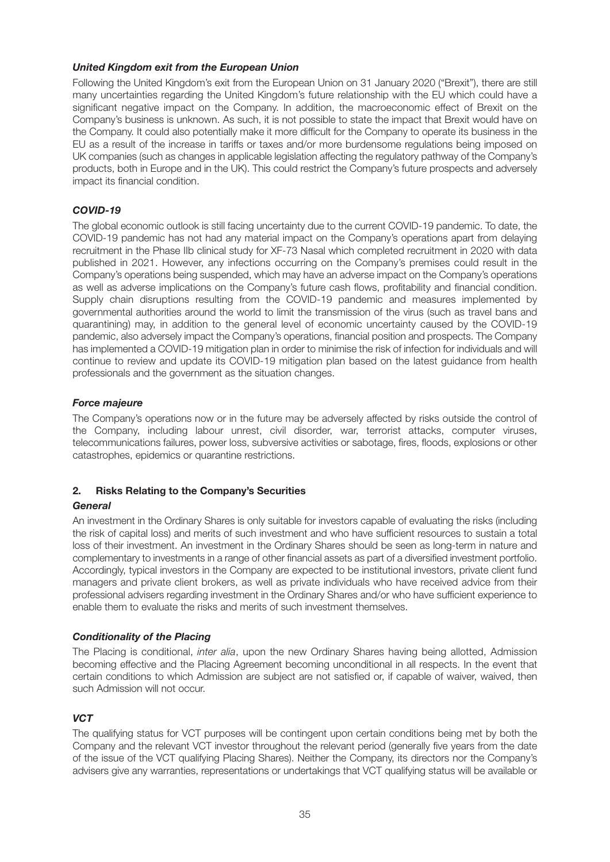#### *United Kingdom exit from the European Union*

Following the United Kingdom's exit from the European Union on 31 January 2020 ("Brexit"), there are still many uncertainties regarding the United Kingdom's future relationship with the EU which could have a significant negative impact on the Company. In addition, the macroeconomic effect of Brexit on the Company's business is unknown. As such, it is not possible to state the impact that Brexit would have on the Company. It could also potentially make it more difficult for the Company to operate its business in the EU as a result of the increase in tariffs or taxes and/or more burdensome regulations being imposed on UK companies (such as changes in applicable legislation affecting the regulatory pathway of the Company's products, both in Europe and in the UK). This could restrict the Company's future prospects and adversely impact its financial condition.

#### *COVID-19*

The global economic outlook is still facing uncertainty due to the current COVID-19 pandemic. To date, the COVID-19 pandemic has not had any material impact on the Company's operations apart from delaying recruitment in the Phase IIb clinical study for XF-73 Nasal which completed recruitment in 2020 with data published in 2021. However, any infections occurring on the Company's premises could result in the Company's operations being suspended, which may have an adverse impact on the Company's operations as well as adverse implications on the Company's future cash flows, profitability and financial condition. Supply chain disruptions resulting from the COVID-19 pandemic and measures implemented by governmental authorities around the world to limit the transmission of the virus (such as travel bans and quarantining) may, in addition to the general level of economic uncertainty caused by the COVID-19 pandemic, also adversely impact the Company's operations, financial position and prospects. The Company has implemented a COVID-19 mitigation plan in order to minimise the risk of infection for individuals and will continue to review and update its COVID-19 mitigation plan based on the latest guidance from health professionals and the government as the situation changes.

#### *Force majeure*

The Company's operations now or in the future may be adversely affected by risks outside the control of the Company, including labour unrest, civil disorder, war, terrorist attacks, computer viruses, telecommunications failures, power loss, subversive activities or sabotage, fires, floods, explosions or other catastrophes, epidemics or quarantine restrictions.

# **2. Risks Relating to the Company's Securities**

#### *General*

An investment in the Ordinary Shares is only suitable for investors capable of evaluating the risks (including the risk of capital loss) and merits of such investment and who have sufficient resources to sustain a total loss of their investment. An investment in the Ordinary Shares should be seen as long-term in nature and complementary to investments in a range of other financial assets as part of a diversified investment portfolio. Accordingly, typical investors in the Company are expected to be institutional investors, private client fund managers and private client brokers, as well as private individuals who have received advice from their professional advisers regarding investment in the Ordinary Shares and/or who have sufficient experience to enable them to evaluate the risks and merits of such investment themselves.

# *Conditionality of the Placing*

The Placing is conditional, inter alia, upon the new Ordinary Shares having being allotted, Admission becoming effective and the Placing Agreement becoming unconditional in all respects. In the event that certain conditions to which Admission are subject are not satisfied or, if capable of waiver, waived, then such Admission will not occur.

# *VCT*

The qualifying status for VCT purposes will be contingent upon certain conditions being met by both the Company and the relevant VCT investor throughout the relevant period (generally five years from the date of the issue of the VCT qualifying Placing Shares). Neither the Company, its directors nor the Company's advisers give any warranties, representations or undertakings that VCT qualifying status will be available or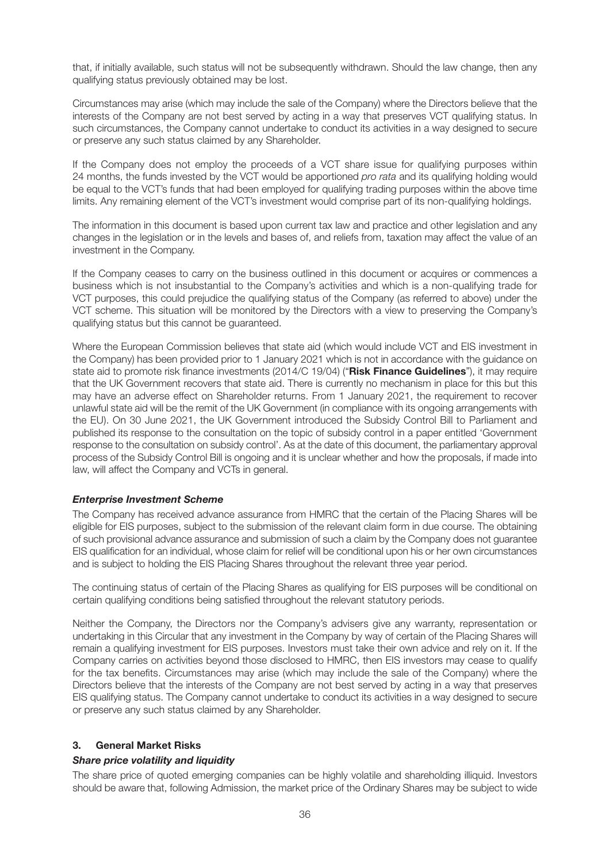that, if initially available, such status will not be subsequently withdrawn. Should the law change, then any qualifying status previously obtained may be lost.

Circumstances may arise (which may include the sale of the Company) where the Directors believe that the interests of the Company are not best served by acting in a way that preserves VCT qualifying status. In such circumstances, the Company cannot undertake to conduct its activities in a way designed to secure or preserve any such status claimed by any Shareholder.

If the Company does not employ the proceeds of a VCT share issue for qualifying purposes within 24 months, the funds invested by the VCT would be apportioned pro rata and its qualifying holding would be equal to the VCT's funds that had been employed for qualifying trading purposes within the above time limits. Any remaining element of the VCT's investment would comprise part of its non-qualifying holdings.

The information in this document is based upon current tax law and practice and other legislation and any changes in the legislation or in the levels and bases of, and reliefs from, taxation may affect the value of an investment in the Company.

If the Company ceases to carry on the business outlined in this document or acquires or commences a business which is not insubstantial to the Company's activities and which is a non-qualifying trade for VCT purposes, this could prejudice the qualifying status of the Company (as referred to above) under the VCT scheme. This situation will be monitored by the Directors with a view to preserving the Company's qualifying status but this cannot be guaranteed.

Where the European Commission believes that state aid (which would include VCT and EIS investment in the Company) has been provided prior to 1 January 2021 which is not in accordance with the guidance on state aid to promote risk finance investments (2014/C 19/04) ("**Risk Finance Guidelines**"), it may require that the UK Government recovers that state aid. There is currently no mechanism in place for this but this may have an adverse effect on Shareholder returns. From 1 January 2021, the requirement to recover unlawful state aid will be the remit of the UK Government (in compliance with its ongoing arrangements with the EU). On 30 June 2021, the UK Government introduced the Subsidy Control Bill to Parliament and published its response to the consultation on the topic of subsidy control in a paper entitled 'Government response to the consultation on subsidy control'. As at the date of this document, the parliamentary approval process of the Subsidy Control Bill is ongoing and it is unclear whether and how the proposals, if made into law, will affect the Company and VCTs in general.

#### *Enterprise Investment Scheme*

The Company has received advance assurance from HMRC that the certain of the Placing Shares will be eligible for EIS purposes, subject to the submission of the relevant claim form in due course. The obtaining of such provisional advance assurance and submission of such a claim by the Company does not guarantee EIS qualification for an individual, whose claim for relief will be conditional upon his or her own circumstances and is subject to holding the EIS Placing Shares throughout the relevant three year period.

The continuing status of certain of the Placing Shares as qualifying for EIS purposes will be conditional on certain qualifying conditions being satisfied throughout the relevant statutory periods.

Neither the Company, the Directors nor the Company's advisers give any warranty, representation or undertaking in this Circular that any investment in the Company by way of certain of the Placing Shares will remain a qualifying investment for EIS purposes. Investors must take their own advice and rely on it. If the Company carries on activities beyond those disclosed to HMRC, then EIS investors may cease to qualify for the tax benefits. Circumstances may arise (which may include the sale of the Company) where the Directors believe that the interests of the Company are not best served by acting in a way that preserves EIS qualifying status. The Company cannot undertake to conduct its activities in a way designed to secure or preserve any such status claimed by any Shareholder.

#### **3. General Market Risks**

#### *Share price volatility and liquidity*

The share price of quoted emerging companies can be highly volatile and shareholding illiquid. Investors should be aware that, following Admission, the market price of the Ordinary Shares may be subject to wide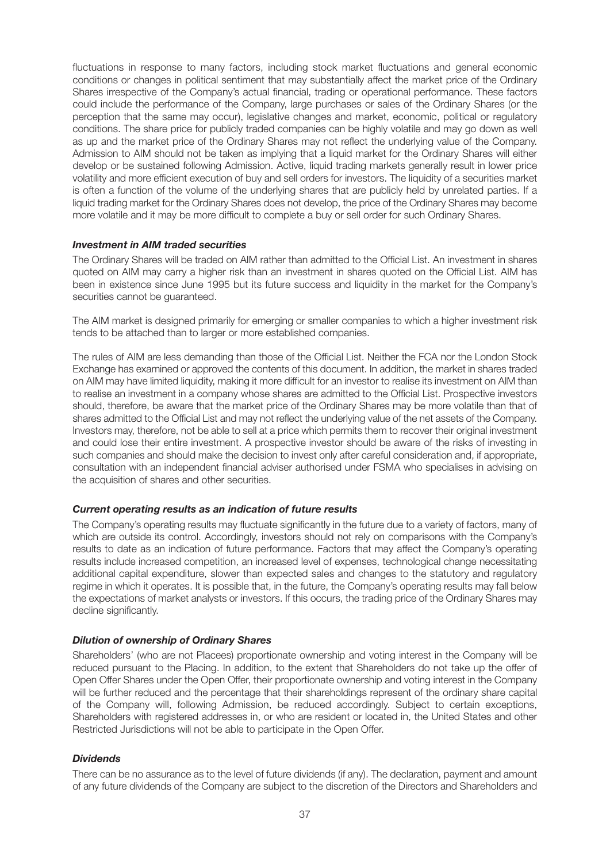fluctuations in response to many factors, including stock market fluctuations and general economic conditions or changes in political sentiment that may substantially affect the market price of the Ordinary Shares irrespective of the Company's actual financial, trading or operational performance. These factors could include the performance of the Company, large purchases or sales of the Ordinary Shares (or the perception that the same may occur), legislative changes and market, economic, political or regulatory conditions. The share price for publicly traded companies can be highly volatile and may go down as well as up and the market price of the Ordinary Shares may not reflect the underlying value of the Company. Admission to AIM should not be taken as implying that a liquid market for the Ordinary Shares will either develop or be sustained following Admission. Active, liquid trading markets generally result in lower price volatility and more efficient execution of buy and sell orders for investors. The liquidity of a securities market is often a function of the volume of the underlying shares that are publicly held by unrelated parties. If a liquid trading market for the Ordinary Shares does not develop, the price of the Ordinary Shares may become more volatile and it may be more difficult to complete a buy or sell order for such Ordinary Shares.

#### *Investment in AIM traded securities*

The Ordinary Shares will be traded on AIM rather than admitted to the Official List. An investment in shares quoted on AIM may carry a higher risk than an investment in shares quoted on the Official List. AIM has been in existence since June 1995 but its future success and liquidity in the market for the Company's securities cannot be guaranteed.

The AIM market is designed primarily for emerging or smaller companies to which a higher investment risk tends to be attached than to larger or more established companies.

The rules of AIM are less demanding than those of the Official List. Neither the FCA nor the London Stock Exchange has examined or approved the contents of this document. In addition, the market in shares traded on AIM may have limited liquidity, making it more difficult for an investor to realise its investment on AIM than to realise an investment in a company whose shares are admitted to the Official List. Prospective investors should, therefore, be aware that the market price of the Ordinary Shares may be more volatile than that of shares admitted to the Official List and may not reflect the underlying value of the net assets of the Company. Investors may, therefore, not be able to sell at a price which permits them to recover their original investment and could lose their entire investment. A prospective investor should be aware of the risks of investing in such companies and should make the decision to invest only after careful consideration and, if appropriate, consultation with an independent financial adviser authorised under FSMA who specialises in advising on the acquisition of shares and other securities.

#### *Current operating results as an indication of future results*

The Company's operating results may fluctuate significantly in the future due to a variety of factors, many of which are outside its control. Accordingly, investors should not rely on comparisons with the Company's results to date as an indication of future performance. Factors that may affect the Company's operating results include increased competition, an increased level of expenses, technological change necessitating additional capital expenditure, slower than expected sales and changes to the statutory and regulatory regime in which it operates. It is possible that, in the future, the Company's operating results may fall below the expectations of market analysts or investors. If this occurs, the trading price of the Ordinary Shares may decline significantly.

#### *Dilution of ownership of Ordinary Shares*

Shareholders' (who are not Placees) proportionate ownership and voting interest in the Company will be reduced pursuant to the Placing. In addition, to the extent that Shareholders do not take up the offer of Open Offer Shares under the Open Offer, their proportionate ownership and voting interest in the Company will be further reduced and the percentage that their shareholdings represent of the ordinary share capital of the Company will, following Admission, be reduced accordingly. Subject to certain exceptions, Shareholders with registered addresses in, or who are resident or located in, the United States and other Restricted Jurisdictions will not be able to participate in the Open Offer.

#### *Dividends*

There can be no assurance as to the level of future dividends (if any). The declaration, payment and amount of any future dividends of the Company are subject to the discretion of the Directors and Shareholders and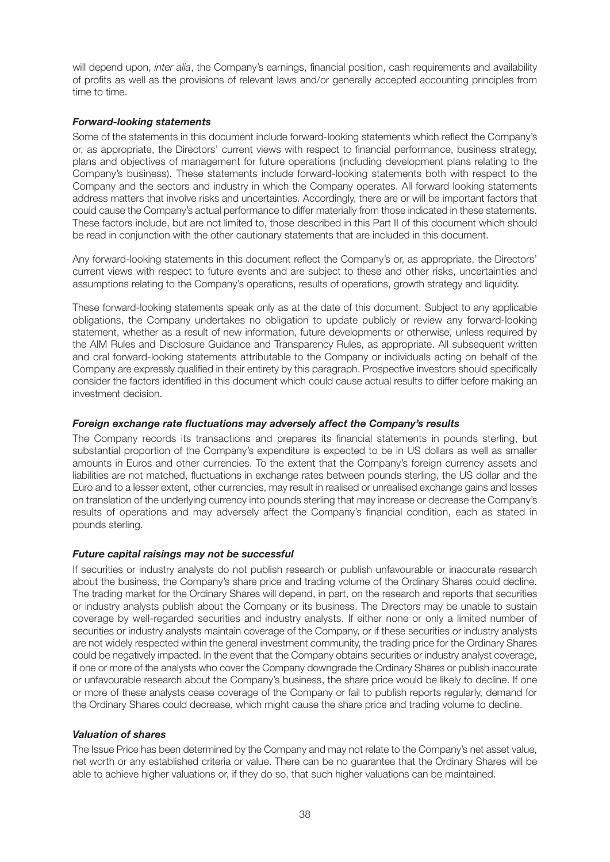will depend upon, inter alia, the Company's earnings, financial position, cash requirements and availability of profits as well as the provisions of relevant laws and/or generally accepted accounting principles from time to time.

#### *Forward-looking statements*

Some of the statements in this document include forward-looking statements which reflect the Company's or, as appropriate, the Directors' current views with respect to financial performance, business strategy, plans and objectives of management for future operations (including development plans relating to the Company's business). These statements include forward-looking statements both with respect to the Company and the sectors and industry in which the Company operates. All forward looking statements address matters that involve risks and uncertainties. Accordingly, there are or will be important factors that could cause the Company's actual performance to differ materially from those indicated in these statements. These factors include, but are not limited to, those described in this Part II of this document which should be read in conjunction with the other cautionary statements that are included in this document.

Any forward-looking statements in this document reflect the Company's or, as appropriate, the Directors' current views with respect to future events and are subject to these and other risks, uncertainties and assumptions relating to the Company's operations, results of operations, growth strategy and liquidity.

These forward-looking statements speak only as at the date of this document. Subject to any applicable obligations, the Company undertakes no obligation to update publicly or review any forward-looking statement, whether as a result of new information, future developments or otherwise, unless required by the AIM Rules and Disclosure Guidance and Transparency Rules, as appropriate. All subsequent written and oral forward-looking statements attributable to the Company or individuals acting on behalf of the Company are expressly qualified in their entirety by this paragraph. Prospective investors should specifically consider the factors identified in this document which could cause actual results to differ before making an investment decision.

#### *Foreign exchange rate fluctuations may adversely affect the Company's results*

The Company records its transactions and prepares its financial statements in pounds sterling, but substantial proportion of the Company's expenditure is expected to be in US dollars as well as smaller amounts in Euros and other currencies. To the extent that the Company's foreign currency assets and liabilities are not matched, fluctuations in exchange rates between pounds sterling, the US dollar and the Euro and to a lesser extent, other currencies, may result in realised or unrealised exchange gains and losses on translation of the underlying currency into pounds sterling that may increase or decrease the Company's results of operations and may adversely affect the Company's financial condition, each as stated in pounds sterling.

#### *Future capital raisings may not be successful*

If securities or industry analysts do not publish research or publish unfavourable or inaccurate research about the business, the Company's share price and trading volume of the Ordinary Shares could decline. The trading market for the Ordinary Shares will depend, in part, on the research and reports that securities or industry analysts publish about the Company or its business. The Directors may be unable to sustain coverage by well-regarded securities and industry analysts. If either none or only a limited number of securities or industry analysts maintain coverage of the Company, or if these securities or industry analysts are not widely respected within the general investment community, the trading price for the Ordinary Shares could be negatively impacted. In the event that the Company obtains securities or industry analyst coverage, if one or more of the analysts who cover the Company downgrade the Ordinary Shares or publish inaccurate or unfavourable research about the Company's business, the share price would be likely to decline. If one or more of these analysts cease coverage of the Company or fail to publish reports regularly, demand for the Ordinary Shares could decrease, which might cause the share price and trading volume to decline.

#### *Valuation of shares*

The Issue Price has been determined by the Company and may not relate to the Company's net asset value, net worth or any established criteria or value. There can be no guarantee that the Ordinary Shares will be able to achieve higher valuations or, if they do so, that such higher valuations can be maintained.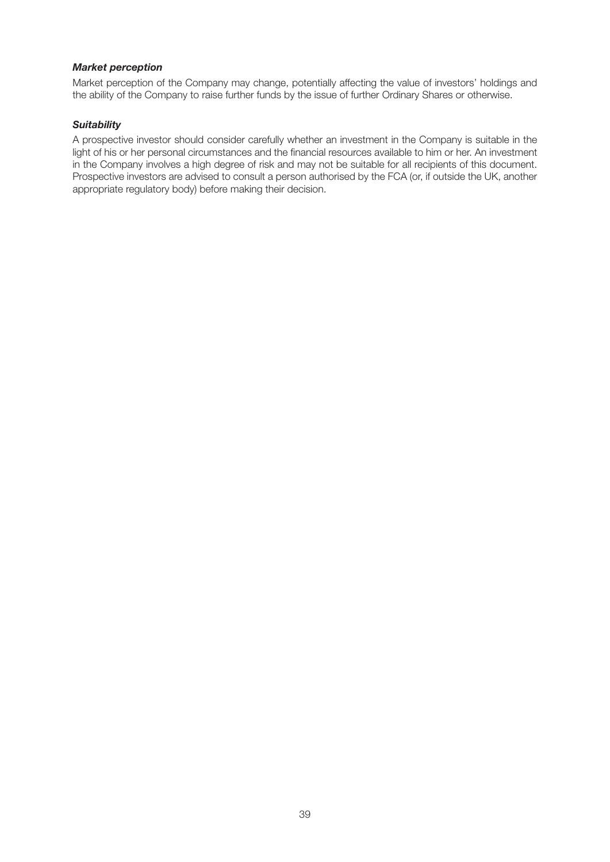#### *Market perception*

Market perception of the Company may change, potentially affecting the value of investors' holdings and the ability of the Company to raise further funds by the issue of further Ordinary Shares or otherwise.

#### *Suitability*

A prospective investor should consider carefully whether an investment in the Company is suitable in the light of his or her personal circumstances and the financial resources available to him or her. An investment in the Company involves a high degree of risk and may not be suitable for all recipients of this document. Prospective investors are advised to consult a person authorised by the FCA (or, if outside the UK, another appropriate regulatory body) before making their decision.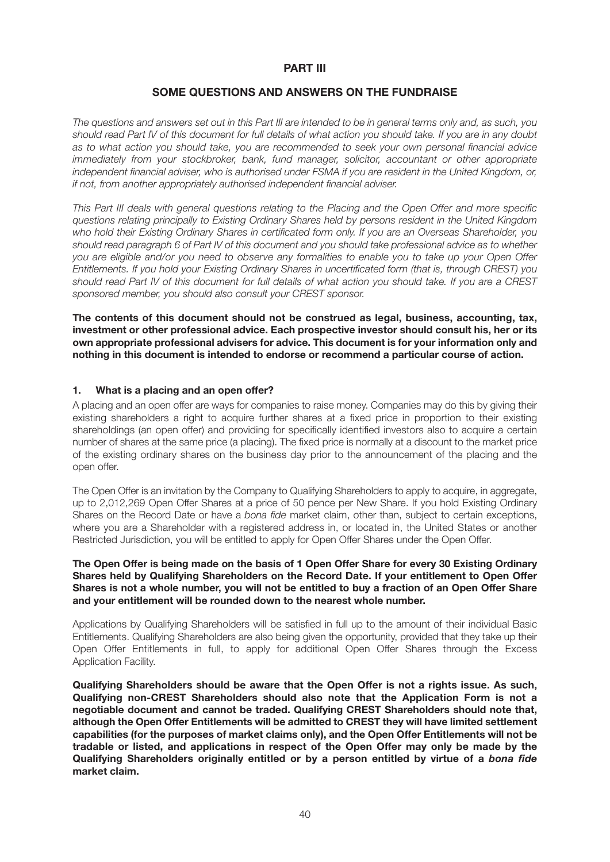#### **PART III**

#### **SOME QUESTIONS AND ANSWERS ON THE FUNDRAISE**

The questions and answers set out in this Part III are intended to be in general terms only and, as such, you should read Part IV of this document for full details of what action you should take. If you are in any doubt as to what action you should take, you are recommended to seek your own personal financial advice immediately from your stockbroker, bank, fund manager, solicitor, accountant or other appropriate independent financial adviser, who is authorised under FSMA if you are resident in the United Kingdom, or, if not, from another appropriately authorised independent financial adviser.

This Part III deals with general questions relating to the Placing and the Open Offer and more specific questions relating principally to Existing Ordinary Shares held by persons resident in the United Kingdom who hold their Existing Ordinary Shares in certificated form only. If you are an Overseas Shareholder, you should read paragraph 6 of Part IV of this document and you should take professional advice as to whether you are eligible and/or you need to observe any formalities to enable you to take up your Open Offer Entitlements. If you hold your Existing Ordinary Shares in uncertificated form (that is, through CREST) you should read Part IV of this document for full details of what action you should take. If you are a CREST sponsored member, you should also consult your CREST sponsor.

**The contents of this document should not be construed as legal, business, accounting, tax, investment or other professional advice. Each prospective investor should consult his, her or its own appropriate professional advisers for advice. This document is for your information only and nothing in this document is intended to endorse or recommend a particular course of action.**

#### **1. What is a placing and an open offer?**

A placing and an open offer are ways for companies to raise money. Companies may do this by giving their existing shareholders a right to acquire further shares at a fixed price in proportion to their existing shareholdings (an open offer) and providing for specifically identified investors also to acquire a certain number of shares at the same price (a placing). The fixed price is normally at a discount to the market price of the existing ordinary shares on the business day prior to the announcement of the placing and the open offer.

The Open Offer is an invitation by the Company to Qualifying Shareholders to apply to acquire, in aggregate, up to 2,012,269 Open Offer Shares at a price of 50 pence per New Share. If you hold Existing Ordinary Shares on the Record Date or have a bona fide market claim, other than, subject to certain exceptions, where you are a Shareholder with a registered address in, or located in, the United States or another Restricted Jurisdiction, you will be entitled to apply for Open Offer Shares under the Open Offer.

#### **The Open Offer is being made on the basis of 1 Open Offer Share for every 30 Existing Ordinary Shares held by Qualifying Shareholders on the Record Date. If your entitlement to Open Offer Shares is not a whole number, you will not be entitled to buy a fraction of an Open Offer Share and your entitlement will be rounded down to the nearest whole number.**

Applications by Qualifying Shareholders will be satisfied in full up to the amount of their individual Basic Entitlements. Qualifying Shareholders are also being given the opportunity, provided that they take up their Open Offer Entitlements in full, to apply for additional Open Offer Shares through the Excess Application Facility.

**Qualifying Shareholders should be aware that the Open Offer is not a rights issue. As such, Qualifying non-CREST Shareholders should also note that the Application Form is not a negotiable document and cannot be traded. Qualifying CREST Shareholders should note that, although the Open Offer Entitlements will be admitted to CREST they will have limited settlement capabilities (for the purposes of market claims only), and the Open Offer Entitlements will not be tradable or listed, and applications in respect of the Open Offer may only be made by the Qualifying Shareholders originally entitled or by a person entitled by virtue of a** *bona fide* **market claim.**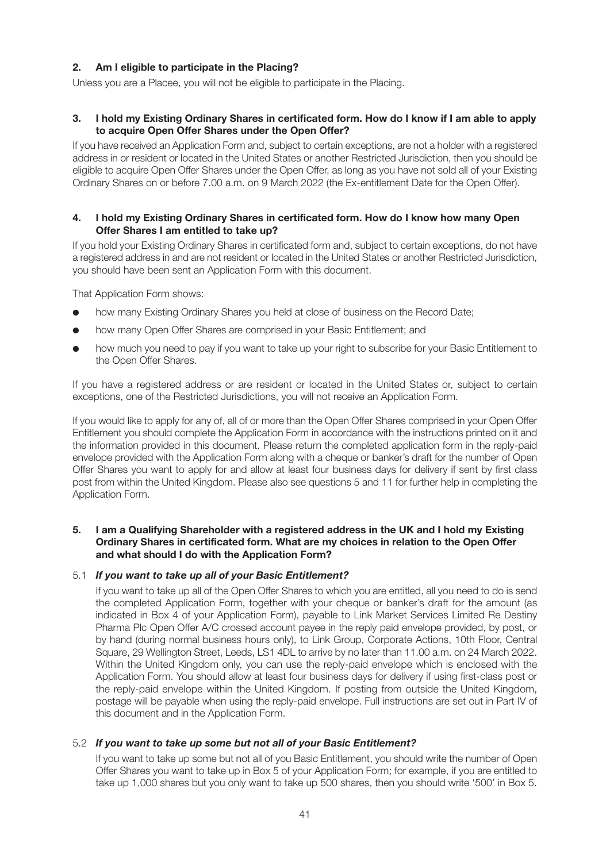# **2. Am I eligible to participate in the Placing?**

Unless you are a Placee, you will not be eligible to participate in the Placing.

#### **3. I hold my Existing Ordinary Shares in certificated form. How do I know if I am able to apply to acquire Open Offer Shares under the Open Offer?**

If you have received an Application Form and, subject to certain exceptions, are not a holder with a registered address in or resident or located in the United States or another Restricted Jurisdiction, then you should be eligible to acquire Open Offer Shares under the Open Offer, as long as you have not sold all of your Existing Ordinary Shares on or before 7.00 a.m. on 9 March 2022 (the Ex-entitlement Date for the Open Offer).

#### **4. I hold my Existing Ordinary Shares in certificated form. How do I know how many Open Offer Shares I am entitled to take up?**

If you hold your Existing Ordinary Shares in certificated form and, subject to certain exceptions, do not have a registered address in and are not resident or located in the United States or another Restricted Jurisdiction, you should have been sent an Application Form with this document.

That Application Form shows:

- how many Existing Ordinary Shares you held at close of business on the Record Date;
- how many Open Offer Shares are comprised in your Basic Entitlement; and
- how much you need to pay if you want to take up your right to subscribe for your Basic Entitlement to the Open Offer Shares.

If you have a registered address or are resident or located in the United States or, subject to certain exceptions, one of the Restricted Jurisdictions, you will not receive an Application Form.

If you would like to apply for any of, all of or more than the Open Offer Shares comprised in your Open Offer Entitlement you should complete the Application Form in accordance with the instructions printed on it and the information provided in this document. Please return the completed application form in the reply-paid envelope provided with the Application Form along with a cheque or banker's draft for the number of Open Offer Shares you want to apply for and allow at least four business days for delivery if sent by first class post from within the United Kingdom. Please also see questions 5 and 11 for further help in completing the Application Form.

#### **5. I am a Qualifying Shareholder with a registered address in the UK and I hold my Existing Ordinary Shares in certificated form. What are my choices in relation to the Open Offer and what should I do with the Application Form?**

#### 5.1 *If you want to take up all of your Basic Entitlement?*

 If you want to take up all of the Open Offer Shares to which you are entitled, all you need to do is send the completed Application Form, together with your cheque or banker's draft for the amount (as indicated in Box 4 of your Application Form), payable to Link Market Services Limited Re Destiny Pharma Plc Open Offer A/C crossed account payee in the reply paid envelope provided, by post, or by hand (during normal business hours only), to Link Group, Corporate Actions, 10th Floor, Central Square, 29 Wellington Street, Leeds, LS1 4DL to arrive by no later than 11.00 a.m. on 24 March 2022. Within the United Kingdom only, you can use the reply-paid envelope which is enclosed with the Application Form. You should allow at least four business days for delivery if using first-class post or the reply-paid envelope within the United Kingdom. If posting from outside the United Kingdom, postage will be payable when using the reply-paid envelope. Full instructions are set out in Part IV of this document and in the Application Form.

#### 5.2 *If you want to take up some but not all of your Basic Entitlement?*

 If you want to take up some but not all of you Basic Entitlement, you should write the number of Open Offer Shares you want to take up in Box 5 of your Application Form; for example, if you are entitled to take up 1,000 shares but you only want to take up 500 shares, then you should write '500' in Box 5.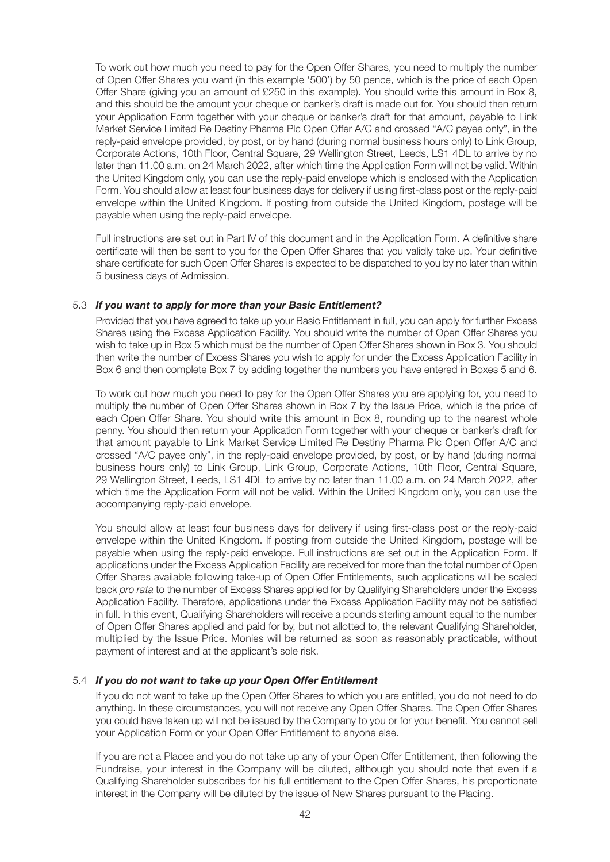To work out how much you need to pay for the Open Offer Shares, you need to multiply the number of Open Offer Shares you want (in this example '500') by 50 pence, which is the price of each Open Offer Share (giving you an amount of £250 in this example). You should write this amount in Box 8, and this should be the amount your cheque or banker's draft is made out for. You should then return your Application Form together with your cheque or banker's draft for that amount, payable to Link Market Service Limited Re Destiny Pharma Plc Open Offer A/C and crossed "A/C payee only", in the reply-paid envelope provided, by post, or by hand (during normal business hours only) to Link Group, Corporate Actions, 10th Floor, Central Square, 29 Wellington Street, Leeds, LS1 4DL to arrive by no later than 11.00 a.m. on 24 March 2022, after which time the Application Form will not be valid. Within the United Kingdom only, you can use the reply-paid envelope which is enclosed with the Application Form. You should allow at least four business days for delivery if using first-class post or the reply-paid envelope within the United Kingdom. If posting from outside the United Kingdom, postage will be payable when using the reply-paid envelope.

 Full instructions are set out in Part IV of this document and in the Application Form. A definitive share certificate will then be sent to you for the Open Offer Shares that you validly take up. Your definitive share certificate for such Open Offer Shares is expected to be dispatched to you by no later than within 5 business days of Admission.

#### 5.3 *If you want to apply for more than your Basic Entitlement?*

 Provided that you have agreed to take up your Basic Entitlement in full, you can apply for further Excess Shares using the Excess Application Facility. You should write the number of Open Offer Shares you wish to take up in Box 5 which must be the number of Open Offer Shares shown in Box 3. You should then write the number of Excess Shares you wish to apply for under the Excess Application Facility in Box 6 and then complete Box 7 by adding together the numbers you have entered in Boxes 5 and 6.

 To work out how much you need to pay for the Open Offer Shares you are applying for, you need to multiply the number of Open Offer Shares shown in Box 7 by the Issue Price, which is the price of each Open Offer Share. You should write this amount in Box 8, rounding up to the nearest whole penny. You should then return your Application Form together with your cheque or banker's draft for that amount payable to Link Market Service Limited Re Destiny Pharma Plc Open Offer A/C and crossed "A/C payee only", in the reply-paid envelope provided, by post, or by hand (during normal business hours only) to Link Group, Link Group, Corporate Actions, 10th Floor, Central Square, 29 Wellington Street, Leeds, LS1 4DL to arrive by no later than 11.00 a.m. on 24 March 2022, after which time the Application Form will not be valid. Within the United Kingdom only, you can use the accompanying reply-paid envelope.

 You should allow at least four business days for delivery if using first-class post or the reply-paid envelope within the United Kingdom. If posting from outside the United Kingdom, postage will be payable when using the reply-paid envelope. Full instructions are set out in the Application Form. If applications under the Excess Application Facility are received for more than the total number of Open Offer Shares available following take-up of Open Offer Entitlements, such applications will be scaled back pro rata to the number of Excess Shares applied for by Qualifying Shareholders under the Excess Application Facility. Therefore, applications under the Excess Application Facility may not be satisfied in full. In this event, Qualifying Shareholders will receive a pounds sterling amount equal to the number of Open Offer Shares applied and paid for by, but not allotted to, the relevant Qualifying Shareholder, multiplied by the Issue Price. Monies will be returned as soon as reasonably practicable, without payment of interest and at the applicant's sole risk.

#### 5.4 *If you do not want to take up your Open Offer Entitlement*

 If you do not want to take up the Open Offer Shares to which you are entitled, you do not need to do anything. In these circumstances, you will not receive any Open Offer Shares. The Open Offer Shares you could have taken up will not be issued by the Company to you or for your benefit. You cannot sell your Application Form or your Open Offer Entitlement to anyone else.

 If you are not a Placee and you do not take up any of your Open Offer Entitlement, then following the Fundraise, your interest in the Company will be diluted, although you should note that even if a Qualifying Shareholder subscribes for his full entitlement to the Open Offer Shares, his proportionate interest in the Company will be diluted by the issue of New Shares pursuant to the Placing.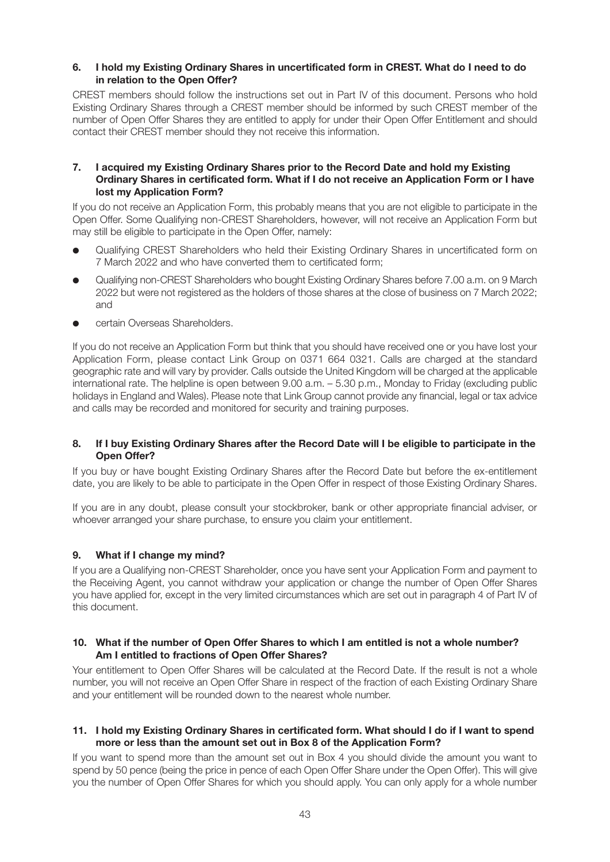#### **6. I hold my Existing Ordinary Shares in uncertificated form in CREST. What do I need to do in relation to the Open Offer?**

CREST members should follow the instructions set out in Part IV of this document. Persons who hold Existing Ordinary Shares through a CREST member should be informed by such CREST member of the number of Open Offer Shares they are entitled to apply for under their Open Offer Entitlement and should contact their CREST member should they not receive this information.

#### **7. I acquired my Existing Ordinary Shares prior to the Record Date and hold my Existing Ordinary Shares in certificated form. What if I do not receive an Application Form or I have lost my Application Form?**

If you do not receive an Application Form, this probably means that you are not eligible to participate in the Open Offer. Some Qualifying non-CREST Shareholders, however, will not receive an Application Form but may still be eligible to participate in the Open Offer, namely:

- l Qualifying CREST Shareholders who held their Existing Ordinary Shares in uncertificated form on 7 March 2022 and who have converted them to certificated form;
- l Qualifying non-CREST Shareholders who bought Existing Ordinary Shares before 7.00 a.m. on 9 March 2022 but were not registered as the holders of those shares at the close of business on 7 March 2022; and
- certain Overseas Shareholders.

If you do not receive an Application Form but think that you should have received one or you have lost your Application Form, please contact Link Group on 0371 664 0321. Calls are charged at the standard geographic rate and will vary by provider. Calls outside the United Kingdom will be charged at the applicable international rate. The helpline is open between 9.00 a.m. – 5.30 p.m., Monday to Friday (excluding public holidays in England and Wales). Please note that Link Group cannot provide any financial, legal or tax advice and calls may be recorded and monitored for security and training purposes.

#### **8. If I buy Existing Ordinary Shares after the Record Date will I be eligible to participate in the Open Offer?**

If you buy or have bought Existing Ordinary Shares after the Record Date but before the ex-entitlement date, you are likely to be able to participate in the Open Offer in respect of those Existing Ordinary Shares.

If you are in any doubt, please consult your stockbroker, bank or other appropriate financial adviser, or whoever arranged your share purchase, to ensure you claim your entitlement.

# **9. What if I change my mind?**

If you are a Qualifying non-CREST Shareholder, once you have sent your Application Form and payment to the Receiving Agent, you cannot withdraw your application or change the number of Open Offer Shares you have applied for, except in the very limited circumstances which are set out in paragraph 4 of Part IV of this document.

#### **10. What if the number of Open Offer Shares to which I am entitled is not a whole number? Am I entitled to fractions of Open Offer Shares?**

Your entitlement to Open Offer Shares will be calculated at the Record Date. If the result is not a whole number, you will not receive an Open Offer Share in respect of the fraction of each Existing Ordinary Share and your entitlement will be rounded down to the nearest whole number.

#### **11. I hold my Existing Ordinary Shares in certificated form. What should I do if I want to spend more or less than the amount set out in Box 8 of the Application Form?**

If you want to spend more than the amount set out in Box 4 you should divide the amount you want to spend by 50 pence (being the price in pence of each Open Offer Share under the Open Offer). This will give you the number of Open Offer Shares for which you should apply. You can only apply for a whole number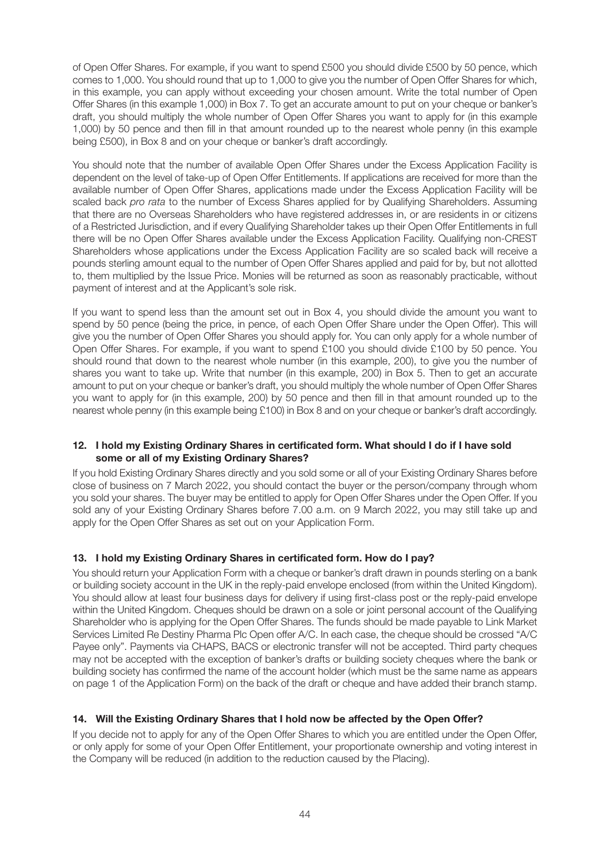of Open Offer Shares. For example, if you want to spend £500 you should divide £500 by 50 pence, which comes to 1,000. You should round that up to 1,000 to give you the number of Open Offer Shares for which, in this example, you can apply without exceeding your chosen amount. Write the total number of Open Offer Shares (in this example 1,000) in Box 7. To get an accurate amount to put on your cheque or banker's draft, you should multiply the whole number of Open Offer Shares you want to apply for (in this example 1,000) by 50 pence and then fill in that amount rounded up to the nearest whole penny (in this example being £500), in Box 8 and on your cheque or banker's draft accordingly.

You should note that the number of available Open Offer Shares under the Excess Application Facility is dependent on the level of take-up of Open Offer Entitlements. If applications are received for more than the available number of Open Offer Shares, applications made under the Excess Application Facility will be scaled back pro rata to the number of Excess Shares applied for by Qualifying Shareholders. Assuming that there are no Overseas Shareholders who have registered addresses in, or are residents in or citizens of a Restricted Jurisdiction, and if every Qualifying Shareholder takes up their Open Offer Entitlements in full there will be no Open Offer Shares available under the Excess Application Facility. Qualifying non-CREST Shareholders whose applications under the Excess Application Facility are so scaled back will receive a pounds sterling amount equal to the number of Open Offer Shares applied and paid for by, but not allotted to, them multiplied by the Issue Price. Monies will be returned as soon as reasonably practicable, without payment of interest and at the Applicant's sole risk.

If you want to spend less than the amount set out in Box 4, you should divide the amount you want to spend by 50 pence (being the price, in pence, of each Open Offer Share under the Open Offer). This will give you the number of Open Offer Shares you should apply for. You can only apply for a whole number of Open Offer Shares. For example, if you want to spend £100 you should divide £100 by 50 pence. You should round that down to the nearest whole number (in this example, 200), to give you the number of shares you want to take up. Write that number (in this example, 200) in Box 5. Then to get an accurate amount to put on your cheque or banker's draft, you should multiply the whole number of Open Offer Shares you want to apply for (in this example, 200) by 50 pence and then fill in that amount rounded up to the nearest whole penny (in this example being £100) in Box 8 and on your cheque or banker's draft accordingly.

#### **12. I hold my Existing Ordinary Shares in certificated form. What should I do if I have sold some or all of my Existing Ordinary Shares?**

If you hold Existing Ordinary Shares directly and you sold some or all of your Existing Ordinary Shares before close of business on 7 March 2022, you should contact the buyer or the person/company through whom you sold your shares. The buyer may be entitled to apply for Open Offer Shares under the Open Offer. If you sold any of your Existing Ordinary Shares before 7.00 a.m. on 9 March 2022, you may still take up and apply for the Open Offer Shares as set out on your Application Form.

# **13. I hold my Existing Ordinary Shares in certificated form. How do I pay?**

You should return your Application Form with a cheque or banker's draft drawn in pounds sterling on a bank or building society account in the UK in the reply-paid envelope enclosed (from within the United Kingdom). You should allow at least four business days for delivery if using first-class post or the reply-paid envelope within the United Kingdom. Cheques should be drawn on a sole or joint personal account of the Qualifying Shareholder who is applying for the Open Offer Shares. The funds should be made payable to Link Market Services Limited Re Destiny Pharma Plc Open offer A/C. In each case, the cheque should be crossed "A/C Payee only". Payments via CHAPS, BACS or electronic transfer will not be accepted. Third party cheques may not be accepted with the exception of banker's drafts or building society cheques where the bank or building society has confirmed the name of the account holder (which must be the same name as appears on page 1 of the Application Form) on the back of the draft or cheque and have added their branch stamp.

#### **14. Will the Existing Ordinary Shares that I hold now be affected by the Open Offer?**

If you decide not to apply for any of the Open Offer Shares to which you are entitled under the Open Offer, or only apply for some of your Open Offer Entitlement, your proportionate ownership and voting interest in the Company will be reduced (in addition to the reduction caused by the Placing).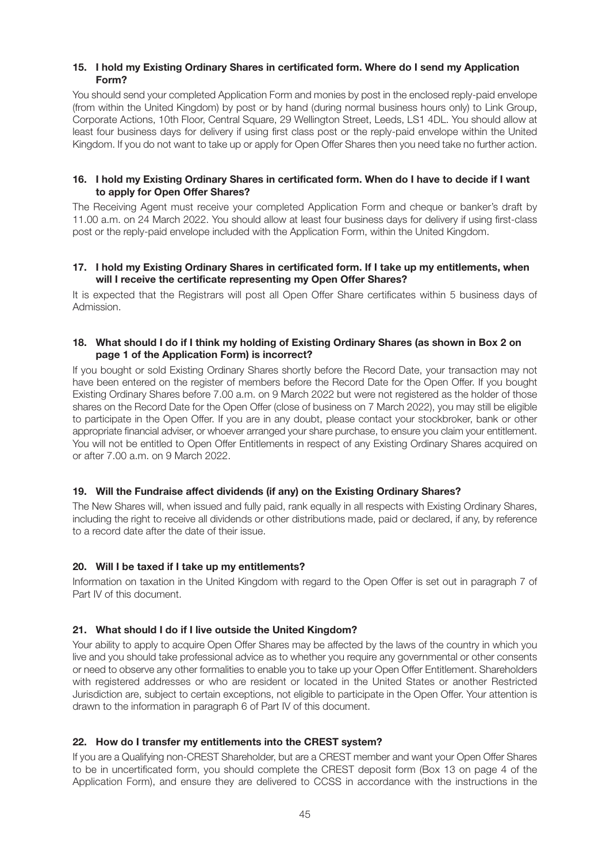#### **15. I hold my Existing Ordinary Shares in certificated form. Where do I send my Application Form?**

You should send your completed Application Form and monies by post in the enclosed reply-paid envelope (from within the United Kingdom) by post or by hand (during normal business hours only) to Link Group, Corporate Actions, 10th Floor, Central Square, 29 Wellington Street, Leeds, LS1 4DL. You should allow at least four business days for delivery if using first class post or the reply-paid envelope within the United Kingdom. If you do not want to take up or apply for Open Offer Shares then you need take no further action.

#### **16. I hold my Existing Ordinary Shares in certificated form. When do I have to decide if I want to apply for Open Offer Shares?**

The Receiving Agent must receive your completed Application Form and cheque or banker's draft by 11.00 a.m. on 24 March 2022. You should allow at least four business days for delivery if using first-class post or the reply-paid envelope included with the Application Form, within the United Kingdom.

#### **17. I hold my Existing Ordinary Shares in certificated form. If I take up my entitlements, when will I receive the certificate representing my Open Offer Shares?**

It is expected that the Registrars will post all Open Offer Share certificates within 5 business days of Admission.

#### **18. What should I do if I think my holding of Existing Ordinary Shares (as shown in Box 2 on page 1 of the Application Form) is incorrect?**

If you bought or sold Existing Ordinary Shares shortly before the Record Date, your transaction may not have been entered on the register of members before the Record Date for the Open Offer. If you bought Existing Ordinary Shares before 7.00 a.m. on 9 March 2022 but were not registered as the holder of those shares on the Record Date for the Open Offer (close of business on 7 March 2022), you may still be eligible to participate in the Open Offer. If you are in any doubt, please contact your stockbroker, bank or other appropriate financial adviser, or whoever arranged your share purchase, to ensure you claim your entitlement. You will not be entitled to Open Offer Entitlements in respect of any Existing Ordinary Shares acquired on or after 7.00 a.m. on 9 March 2022.

#### **19. Will the Fundraise affect dividends (if any) on the Existing Ordinary Shares?**

The New Shares will, when issued and fully paid, rank equally in all respects with Existing Ordinary Shares, including the right to receive all dividends or other distributions made, paid or declared, if any, by reference to a record date after the date of their issue.

#### **20. Will I be taxed if I take up my entitlements?**

Information on taxation in the United Kingdom with regard to the Open Offer is set out in paragraph 7 of Part IV of this document.

#### **21. What should I do if I live outside the United Kingdom?**

Your ability to apply to acquire Open Offer Shares may be affected by the laws of the country in which you live and you should take professional advice as to whether you require any governmental or other consents or need to observe any other formalities to enable you to take up your Open Offer Entitlement. Shareholders with registered addresses or who are resident or located in the United States or another Restricted Jurisdiction are, subject to certain exceptions, not eligible to participate in the Open Offer. Your attention is drawn to the information in paragraph 6 of Part IV of this document.

#### **22. How do I transfer my entitlements into the CREST system?**

If you are a Qualifying non-CREST Shareholder, but are a CREST member and want your Open Offer Shares to be in uncertificated form, you should complete the CREST deposit form (Box 13 on page 4 of the Application Form), and ensure they are delivered to CCSS in accordance with the instructions in the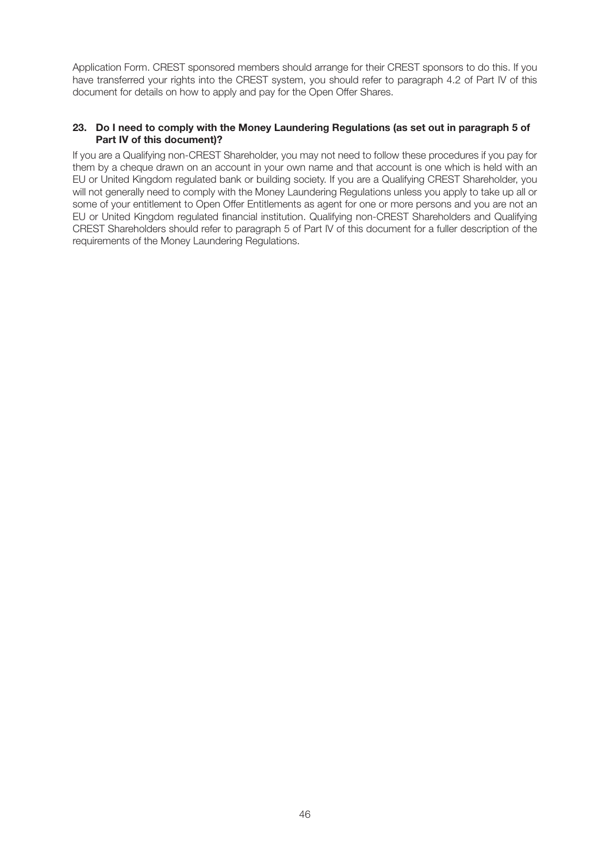Application Form. CREST sponsored members should arrange for their CREST sponsors to do this. If you have transferred your rights into the CREST system, you should refer to paragraph 4.2 of Part IV of this document for details on how to apply and pay for the Open Offer Shares.

#### **23. Do I need to comply with the Money Laundering Regulations (as set out in paragraph 5 of Part IV of this document)?**

If you are a Qualifying non-CREST Shareholder, you may not need to follow these procedures if you pay for them by a cheque drawn on an account in your own name and that account is one which is held with an EU or United Kingdom regulated bank or building society. If you are a Qualifying CREST Shareholder, you will not generally need to comply with the Money Laundering Regulations unless you apply to take up all or some of your entitlement to Open Offer Entitlements as agent for one or more persons and you are not an EU or United Kingdom regulated financial institution. Qualifying non-CREST Shareholders and Qualifying CREST Shareholders should refer to paragraph 5 of Part IV of this document for a fuller description of the requirements of the Money Laundering Regulations.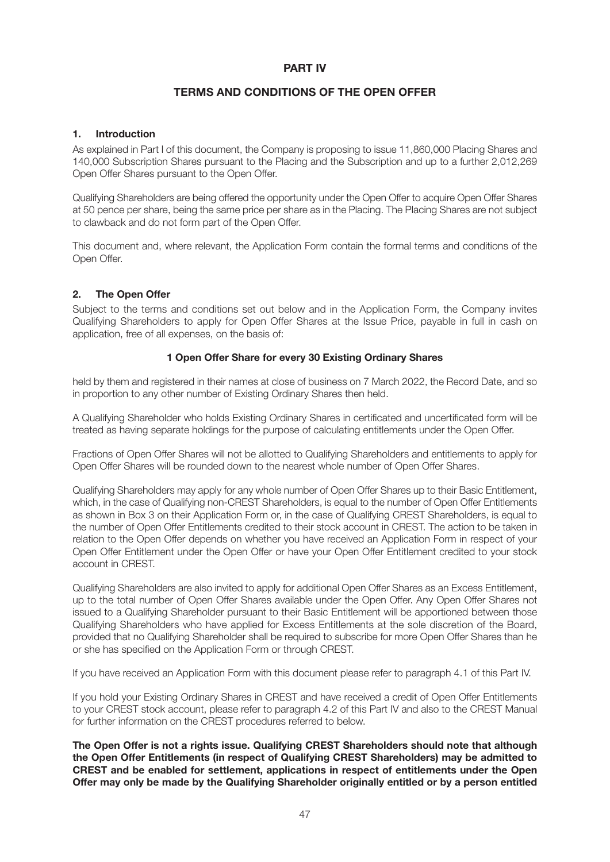# **TERMS AND CONDITIONS OF THE OPEN OFFER**

#### **1. Introduction**

As explained in Part I of this document, the Company is proposing to issue 11,860,000 Placing Shares and 140,000 Subscription Shares pursuant to the Placing and the Subscription and up to a further 2,012,269 Open Offer Shares pursuant to the Open Offer.

Qualifying Shareholders are being offered the opportunity under the Open Offer to acquire Open Offer Shares at 50 pence per share, being the same price per share as in the Placing. The Placing Shares are not subject to clawback and do not form part of the Open Offer.

This document and, where relevant, the Application Form contain the formal terms and conditions of the Open Offer.

# **2. The Open Offer**

Subject to the terms and conditions set out below and in the Application Form, the Company invites Qualifying Shareholders to apply for Open Offer Shares at the Issue Price, payable in full in cash on application, free of all expenses, on the basis of:

#### **1 Open Offer Share for every 30 Existing Ordinary Shares**

held by them and registered in their names at close of business on 7 March 2022, the Record Date, and so in proportion to any other number of Existing Ordinary Shares then held.

A Qualifying Shareholder who holds Existing Ordinary Shares in certificated and uncertificated form will be treated as having separate holdings for the purpose of calculating entitlements under the Open Offer.

Fractions of Open Offer Shares will not be allotted to Qualifying Shareholders and entitlements to apply for Open Offer Shares will be rounded down to the nearest whole number of Open Offer Shares.

Qualifying Shareholders may apply for any whole number of Open Offer Shares up to their Basic Entitlement, which, in the case of Qualifying non-CREST Shareholders, is equal to the number of Open Offer Entitlements as shown in Box 3 on their Application Form or, in the case of Qualifying CREST Shareholders, is equal to the number of Open Offer Entitlements credited to their stock account in CREST. The action to be taken in relation to the Open Offer depends on whether you have received an Application Form in respect of your Open Offer Entitlement under the Open Offer or have your Open Offer Entitlement credited to your stock account in CREST.

Qualifying Shareholders are also invited to apply for additional Open Offer Shares as an Excess Entitlement, up to the total number of Open Offer Shares available under the Open Offer. Any Open Offer Shares not issued to a Qualifying Shareholder pursuant to their Basic Entitlement will be apportioned between those Qualifying Shareholders who have applied for Excess Entitlements at the sole discretion of the Board, provided that no Qualifying Shareholder shall be required to subscribe for more Open Offer Shares than he or she has specified on the Application Form or through CREST.

If you have received an Application Form with this document please refer to paragraph 4.1 of this Part IV.

If you hold your Existing Ordinary Shares in CREST and have received a credit of Open Offer Entitlements to your CREST stock account, please refer to paragraph 4.2 of this Part IV and also to the CREST Manual for further information on the CREST procedures referred to below.

**The Open Offer is not a rights issue. Qualifying CREST Shareholders should note that although the Open Offer Entitlements (in respect of Qualifying CREST Shareholders) may be admitted to CREST and be enabled for settlement, applications in respect of entitlements under the Open Offer may only be made by the Qualifying Shareholder originally entitled or by a person entitled**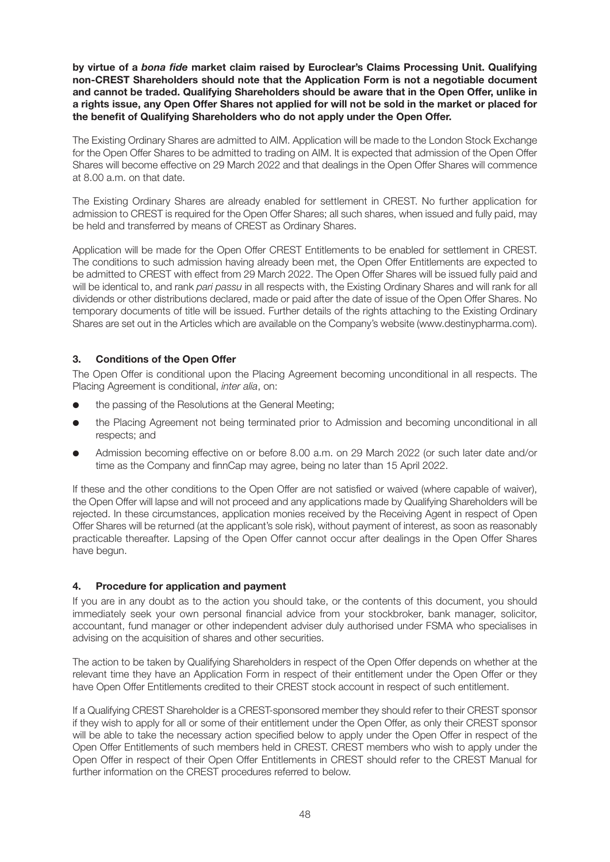**by virtue of a** *bona fide* **market claim raised by Euroclear's Claims Processing Unit. Qualifying non-CREST Shareholders should note that the Application Form is not a negotiable document and cannot be traded. Qualifying Shareholders should be aware that in the Open Offer, unlike in a rights issue, any Open Offer Shares not applied for will not be sold in the market or placed for the benefit of Qualifying Shareholders who do not apply under the Open Offer.**

The Existing Ordinary Shares are admitted to AIM. Application will be made to the London Stock Exchange for the Open Offer Shares to be admitted to trading on AIM. It is expected that admission of the Open Offer Shares will become effective on 29 March 2022 and that dealings in the Open Offer Shares will commence at 8.00 a.m. on that date.

The Existing Ordinary Shares are already enabled for settlement in CREST. No further application for admission to CREST is required for the Open Offer Shares; all such shares, when issued and fully paid, may be held and transferred by means of CREST as Ordinary Shares.

Application will be made for the Open Offer CREST Entitlements to be enabled for settlement in CREST. The conditions to such admission having already been met, the Open Offer Entitlements are expected to be admitted to CREST with effect from 29 March 2022. The Open Offer Shares will be issued fully paid and will be identical to, and rank pari passu in all respects with, the Existing Ordinary Shares and will rank for all dividends or other distributions declared, made or paid after the date of issue of the Open Offer Shares. No temporary documents of title will be issued. Further details of the rights attaching to the Existing Ordinary Shares are set out in the Articles which are available on the Company's website [\(www.destinypharma.com\)](http://www.destinypharma.com).

#### **3. Conditions of the Open Offer**

The Open Offer is conditional upon the Placing Agreement becoming unconditional in all respects. The Placing Agreement is conditional, inter alia, on:

- the passing of the Resolutions at the General Meeting;
- l the Placing Agreement not being terminated prior to Admission and becoming unconditional in all respects; and
- Admission becoming effective on or before 8.00 a.m. on 29 March 2022 (or such later date and/or time as the Company and finnCap may agree, being no later than 15 April 2022.

If these and the other conditions to the Open Offer are not satisfied or waived (where capable of waiver). the Open Offer will lapse and will not proceed and any applications made by Qualifying Shareholders will be rejected. In these circumstances, application monies received by the Receiving Agent in respect of Open Offer Shares will be returned (at the applicant's sole risk), without payment of interest, as soon as reasonably practicable thereafter. Lapsing of the Open Offer cannot occur after dealings in the Open Offer Shares have begun.

#### **4. Procedure for application and payment**

If you are in any doubt as to the action you should take, or the contents of this document, you should immediately seek your own personal financial advice from your stockbroker, bank manager, solicitor, accountant, fund manager or other independent adviser duly authorised under FSMA who specialises in advising on the acquisition of shares and other securities.

The action to be taken by Qualifying Shareholders in respect of the Open Offer depends on whether at the relevant time they have an Application Form in respect of their entitlement under the Open Offer or they have Open Offer Entitlements credited to their CREST stock account in respect of such entitlement.

If a Qualifying CREST Shareholder is a CREST-sponsored member they should refer to their CREST sponsor if they wish to apply for all or some of their entitlement under the Open Offer, as only their CREST sponsor will be able to take the necessary action specified below to apply under the Open Offer in respect of the Open Offer Entitlements of such members held in CREST. CREST members who wish to apply under the Open Offer in respect of their Open Offer Entitlements in CREST should refer to the CREST Manual for further information on the CREST procedures referred to below.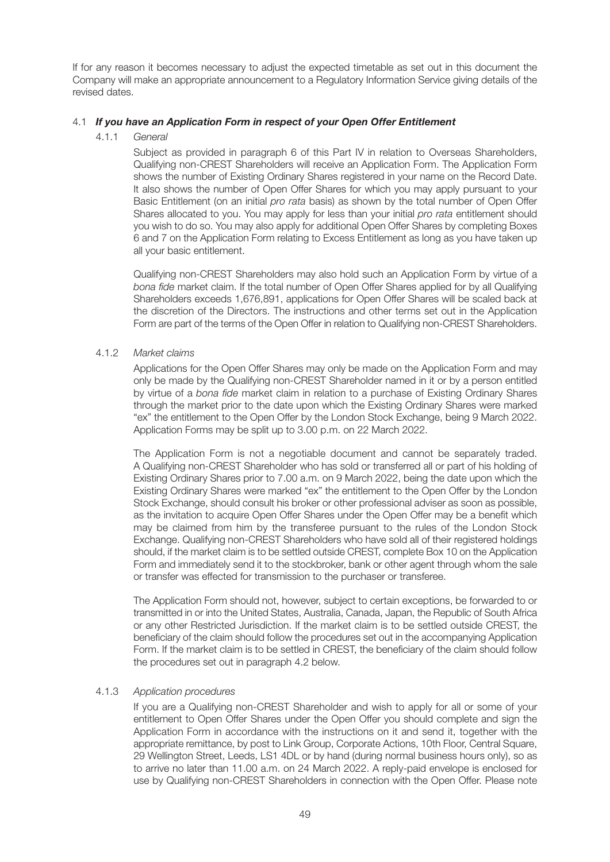If for any reason it becomes necessary to adjust the expected timetable as set out in this document the Company will make an appropriate announcement to a Regulatory Information Service giving details of the revised dates.

#### 4.1 *If you have an Application Form in respect of your Open Offer Entitlement*

#### 4.1.1 General

 Subject as provided in paragraph 6 of this Part IV in relation to Overseas Shareholders, Qualifying non-CREST Shareholders will receive an Application Form. The Application Form shows the number of Existing Ordinary Shares registered in your name on the Record Date. It also shows the number of Open Offer Shares for which you may apply pursuant to your Basic Entitlement (on an initial *pro rata* basis) as shown by the total number of Open Offer Shares allocated to you. You may apply for less than your initial pro rata entitlement should you wish to do so. You may also apply for additional Open Offer Shares by completing Boxes 6 and 7 on the Application Form relating to Excess Entitlement as long as you have taken up all your basic entitlement.

 Qualifying non-CREST Shareholders may also hold such an Application Form by virtue of a bona fide market claim. If the total number of Open Offer Shares applied for by all Qualifying Shareholders exceeds 1,676,891, applications for Open Offer Shares will be scaled back at the discretion of the Directors. The instructions and other terms set out in the Application Form are part of the terms of the Open Offer in relation to Qualifying non-CREST Shareholders.

#### 4.1.2 Market claims

 Applications for the Open Offer Shares may only be made on the Application Form and may only be made by the Qualifying non-CREST Shareholder named in it or by a person entitled by virtue of a bona fide market claim in relation to a purchase of Existing Ordinary Shares through the market prior to the date upon which the Existing Ordinary Shares were marked "ex" the entitlement to the Open Offer by the London Stock Exchange, being 9 March 2022. Application Forms may be split up to 3.00 p.m. on 22 March 2022.

 The Application Form is not a negotiable document and cannot be separately traded. A Qualifying non-CREST Shareholder who has sold or transferred all or part of his holding of Existing Ordinary Shares prior to 7.00 a.m. on 9 March 2022, being the date upon which the Existing Ordinary Shares were marked "ex" the entitlement to the Open Offer by the London Stock Exchange, should consult his broker or other professional adviser as soon as possible, as the invitation to acquire Open Offer Shares under the Open Offer may be a benefit which may be claimed from him by the transferee pursuant to the rules of the London Stock Exchange. Qualifying non-CREST Shareholders who have sold all of their registered holdings should, if the market claim is to be settled outside CREST, complete Box 10 on the Application Form and immediately send it to the stockbroker, bank or other agent through whom the sale or transfer was effected for transmission to the purchaser or transferee.

 The Application Form should not, however, subject to certain exceptions, be forwarded to or transmitted in or into the United States, Australia, Canada, Japan, the Republic of South Africa or any other Restricted Jurisdiction. If the market claim is to be settled outside CREST, the beneficiary of the claim should follow the procedures set out in the accompanying Application Form. If the market claim is to be settled in CREST, the beneficiary of the claim should follow the procedures set out in paragraph 4.2 below.

#### 4.1.3 Application procedures

 If you are a Qualifying non-CREST Shareholder and wish to apply for all or some of your entitlement to Open Offer Shares under the Open Offer you should complete and sign the Application Form in accordance with the instructions on it and send it, together with the appropriate remittance, by post to Link Group, Corporate Actions, 10th Floor, Central Square, 29 Wellington Street, Leeds, LS1 4DL or by hand (during normal business hours only), so as to arrive no later than 11.00 a.m. on 24 March 2022. A reply-paid envelope is enclosed for use by Qualifying non-CREST Shareholders in connection with the Open Offer. Please note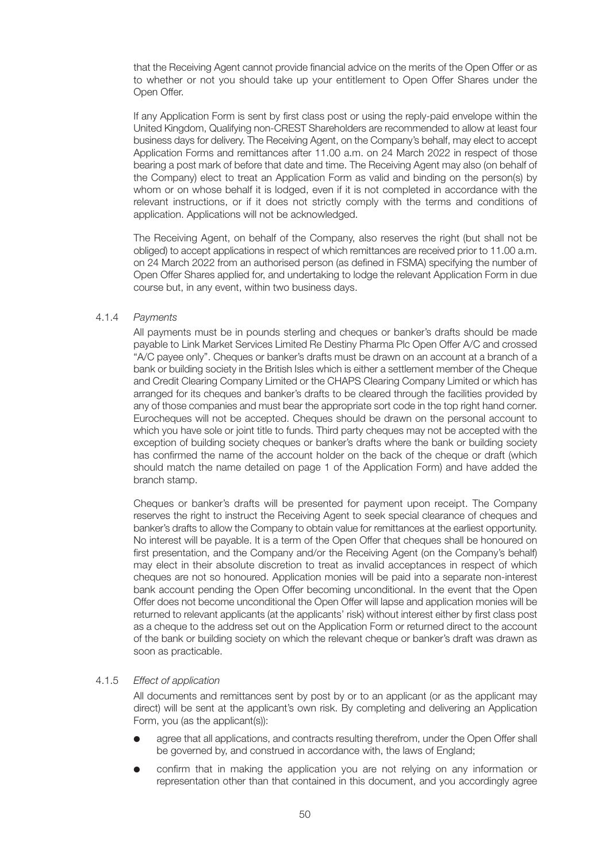that the Receiving Agent cannot provide financial advice on the merits of the Open Offer or as to whether or not you should take up your entitlement to Open Offer Shares under the Open Offer.

 If any Application Form is sent by first class post or using the reply-paid envelope within the United Kingdom, Qualifying non-CREST Shareholders are recommended to allow at least four business days for delivery. The Receiving Agent, on the Company's behalf, may elect to accept Application Forms and remittances after 11.00 a.m. on 24 March 2022 in respect of those bearing a post mark of before that date and time. The Receiving Agent may also (on behalf of the Company) elect to treat an Application Form as valid and binding on the person(s) by whom or on whose behalf it is lodged, even if it is not completed in accordance with the relevant instructions, or if it does not strictly comply with the terms and conditions of application. Applications will not be acknowledged.

 The Receiving Agent, on behalf of the Company, also reserves the right (but shall not be obliged) to accept applications in respect of which remittances are received prior to 11.00 a.m. on 24 March 2022 from an authorised person (as defined in FSMA) specifying the number of Open Offer Shares applied for, and undertaking to lodge the relevant Application Form in due course but, in any event, within two business days.

#### 4.1.4 Payments

 All payments must be in pounds sterling and cheques or banker's drafts should be made payable to Link Market Services Limited Re Destiny Pharma Plc Open Offer A/C and crossed "A/C payee only". Cheques or banker's drafts must be drawn on an account at a branch of a bank or building society in the British Isles which is either a settlement member of the Cheque and Credit Clearing Company Limited or the CHAPS Clearing Company Limited or which has arranged for its cheques and banker's drafts to be cleared through the facilities provided by any of those companies and must bear the appropriate sort code in the top right hand corner. Eurocheques will not be accepted. Cheques should be drawn on the personal account to which you have sole or joint title to funds. Third party cheques may not be accepted with the exception of building society cheques or banker's drafts where the bank or building society has confirmed the name of the account holder on the back of the cheque or draft (which should match the name detailed on page 1 of the Application Form) and have added the branch stamp.

 Cheques or banker's drafts will be presented for payment upon receipt. The Company reserves the right to instruct the Receiving Agent to seek special clearance of cheques and banker's drafts to allow the Company to obtain value for remittances at the earliest opportunity. No interest will be payable. It is a term of the Open Offer that cheques shall be honoured on first presentation, and the Company and/or the Receiving Agent (on the Company's behalf) may elect in their absolute discretion to treat as invalid acceptances in respect of which cheques are not so honoured. Application monies will be paid into a separate non-interest bank account pending the Open Offer becoming unconditional. In the event that the Open Offer does not become unconditional the Open Offer will lapse and application monies will be returned to relevant applicants (at the applicants' risk) without interest either by first class post as a cheque to the address set out on the Application Form or returned direct to the account of the bank or building society on which the relevant cheque or banker's draft was drawn as soon as practicable.

#### 4.1.5 Effect of application

 All documents and remittances sent by post by or to an applicant (or as the applicant may direct) will be sent at the applicant's own risk. By completing and delivering an Application Form, you (as the applicant(s)):

- agree that all applications, and contracts resulting therefrom, under the Open Offer shall be governed by, and construed in accordance with, the laws of England;
- confirm that in making the application you are not relying on any information or representation other than that contained in this document, and you accordingly agree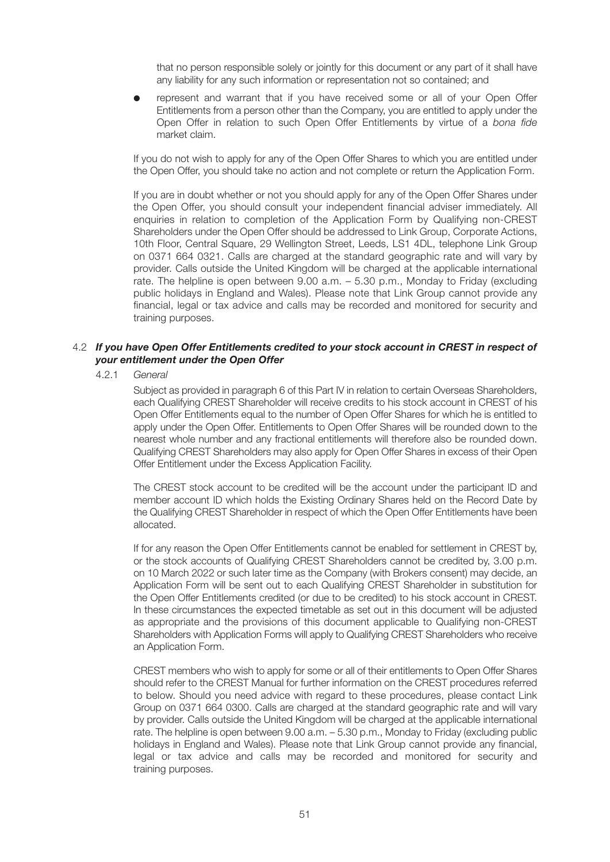that no person responsible solely or jointly for this document or any part of it shall have any liability for any such information or representation not so contained; and

represent and warrant that if you have received some or all of your Open Offer Entitlements from a person other than the Company, you are entitled to apply under the Open Offer in relation to such Open Offer Entitlements by virtue of a bona fide market claim.

 If you do not wish to apply for any of the Open Offer Shares to which you are entitled under the Open Offer, you should take no action and not complete or return the Application Form.

 If you are in doubt whether or not you should apply for any of the Open Offer Shares under the Open Offer, you should consult your independent financial adviser immediately. All enquiries in relation to completion of the Application Form by Qualifying non-CREST Shareholders under the Open Offer should be addressed to Link Group, Corporate Actions, 10th Floor, Central Square, 29 Wellington Street, Leeds, LS1 4DL, telephone Link Group on 0371 664 0321. Calls are charged at the standard geographic rate and will vary by provider. Calls outside the United Kingdom will be charged at the applicable international rate. The helpline is open between 9.00 a.m. – 5.30 p.m., Monday to Friday (excluding public holidays in England and Wales). Please note that Link Group cannot provide any financial, legal or tax advice and calls may be recorded and monitored for security and training purposes.

#### 4.2 *If you have Open Offer Entitlements credited to your stock account in CREST in respect of your entitlement under the Open Offer*

4.2.1 General

 Subject as provided in paragraph 6 of this Part IV in relation to certain Overseas Shareholders, each Qualifying CREST Shareholder will receive credits to his stock account in CREST of his Open Offer Entitlements equal to the number of Open Offer Shares for which he is entitled to apply under the Open Offer. Entitlements to Open Offer Shares will be rounded down to the nearest whole number and any fractional entitlements will therefore also be rounded down. Qualifying CREST Shareholders may also apply for Open Offer Shares in excess of their Open Offer Entitlement under the Excess Application Facility.

 The CREST stock account to be credited will be the account under the participant ID and member account ID which holds the Existing Ordinary Shares held on the Record Date by the Qualifying CREST Shareholder in respect of which the Open Offer Entitlements have been allocated.

 If for any reason the Open Offer Entitlements cannot be enabled for settlement in CREST by, or the stock accounts of Qualifying CREST Shareholders cannot be credited by, 3.00 p.m. on 10 March 2022 or such later time as the Company (with Brokers consent) may decide, an Application Form will be sent out to each Qualifying CREST Shareholder in substitution for the Open Offer Entitlements credited (or due to be credited) to his stock account in CREST. In these circumstances the expected timetable as set out in this document will be adjusted as appropriate and the provisions of this document applicable to Qualifying non-CREST Shareholders with Application Forms will apply to Qualifying CREST Shareholders who receive an Application Form.

 CREST members who wish to apply for some or all of their entitlements to Open Offer Shares should refer to the CREST Manual for further information on the CREST procedures referred to below. Should you need advice with regard to these procedures, please contact Link Group on 0371 664 0300. Calls are charged at the standard geographic rate and will vary by provider. Calls outside the United Kingdom will be charged at the applicable international rate. The helpline is open between 9.00 a.m. – 5.30 p.m., Monday to Friday (excluding public holidays in England and Wales). Please note that Link Group cannot provide any financial, legal or tax advice and calls may be recorded and monitored for security and training purposes.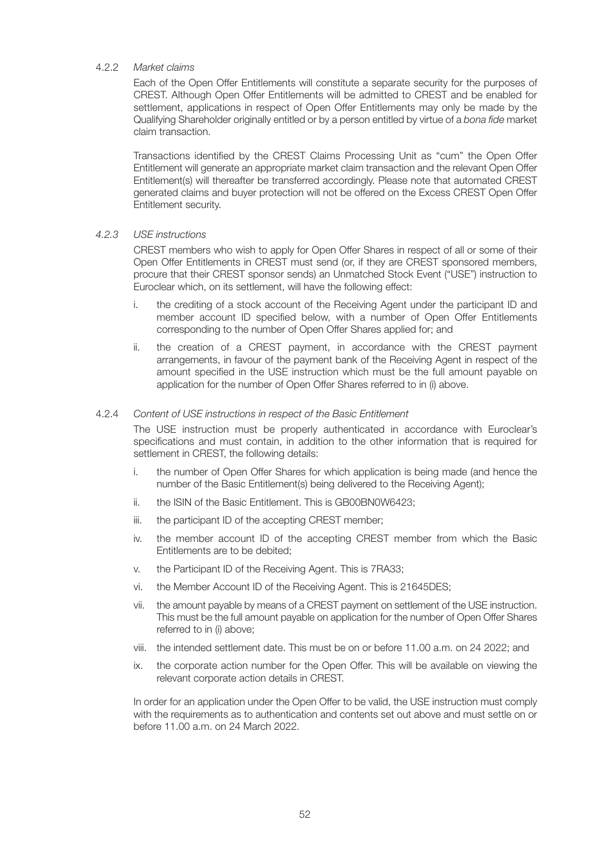#### 4.2.2 Market claims

 Each of the Open Offer Entitlements will constitute a separate security for the purposes of CREST. Although Open Offer Entitlements will be admitted to CREST and be enabled for settlement, applications in respect of Open Offer Entitlements may only be made by the Qualifying Shareholder originally entitled or by a person entitled by virtue of a bona fide market claim transaction.

 Transactions identified by the CREST Claims Processing Unit as "cum" the Open Offer Entitlement will generate an appropriate market claim transaction and the relevant Open Offer Entitlement(s) will thereafter be transferred accordingly. Please note that automated CREST generated claims and buyer protection will not be offered on the Excess CREST Open Offer Entitlement security.

#### 4.2.3 USE instructions

 CREST members who wish to apply for Open Offer Shares in respect of all or some of their Open Offer Entitlements in CREST must send (or, if they are CREST sponsored members, procure that their CREST sponsor sends) an Unmatched Stock Event ("USE") instruction to Euroclear which, on its settlement, will have the following effect:

- i. the crediting of a stock account of the Receiving Agent under the participant ID and member account ID specified below, with a number of Open Offer Entitlements corresponding to the number of Open Offer Shares applied for; and
- ii. the creation of a CREST payment, in accordance with the CREST payment arrangements, in favour of the payment bank of the Receiving Agent in respect of the amount specified in the USE instruction which must be the full amount payable on application for the number of Open Offer Shares referred to in (i) above.

#### 4.2.4 Content of USE instructions in respect of the Basic Entitlement

 The USE instruction must be properly authenticated in accordance with Euroclear's specifications and must contain, in addition to the other information that is required for settlement in CREST, the following details:

- i. the number of Open Offer Shares for which application is being made (and hence the number of the Basic Entitlement(s) being delivered to the Receiving Agent);
- ii. the ISIN of the Basic Entitlement. This is GB00BN0W6423;
- iii. the participant ID of the accepting CREST member;
- iv. the member account ID of the accepting CREST member from which the Basic Entitlements are to be debited;
- v. the Participant ID of the Receiving Agent. This is 7RA33;
- vi. the Member Account ID of the Receiving Agent. This is 21645DES;
- vii. the amount payable by means of a CREST payment on settlement of the USE instruction. This must be the full amount payable on application for the number of Open Offer Shares referred to in (i) above;
- viii. the intended settlement date. This must be on or before 11.00 a.m. on 24 2022; and
- ix. the corporate action number for the Open Offer. This will be available on viewing the relevant corporate action details in CREST.

In order for an application under the Open Offer to be valid, the USE instruction must comply with the requirements as to authentication and contents set out above and must settle on or before 11.00 a.m. on 24 March 2022.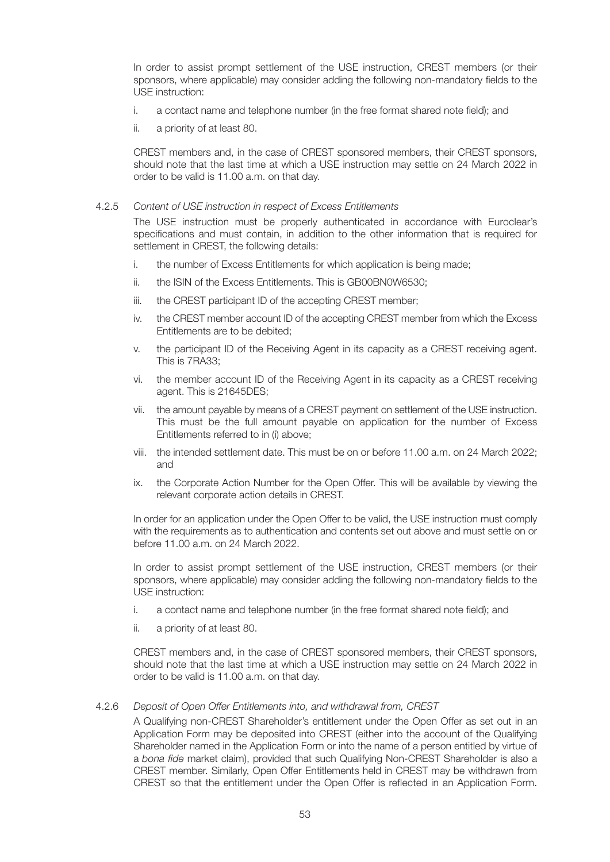In order to assist prompt settlement of the USE instruction, CREST members (or their sponsors, where applicable) may consider adding the following non-mandatory fields to the USE instruction:

- i. a contact name and telephone number (in the free format shared note field); and
- ii. a priority of at least 80.

 CREST members and, in the case of CREST sponsored members, their CREST sponsors, should note that the last time at which a USE instruction may settle on 24 March 2022 in order to be valid is 11.00 a.m. on that day.

#### 4.2.5 Content of USE instruction in respect of Excess Entitlements

 The USE instruction must be properly authenticated in accordance with Euroclear's specifications and must contain, in addition to the other information that is required for settlement in CREST, the following details:

- i. the number of Excess Entitlements for which application is being made;
- ii. the ISIN of the Excess Entitlements. This is GB00BN0W6530;
- iii. the CREST participant ID of the accepting CREST member;
- iv. the CREST member account ID of the accepting CREST member from which the Excess Entitlements are to be debited;
- v. the participant ID of the Receiving Agent in its capacity as a CREST receiving agent. This is 7RA33;
- vi. the member account ID of the Receiving Agent in its capacity as a CREST receiving agent. This is 21645DES;
- vii. the amount payable by means of a CREST payment on settlement of the USE instruction. This must be the full amount payable on application for the number of Excess Entitlements referred to in (i) above;
- viii. the intended settlement date. This must be on or before 11.00 a.m. on 24 March 2022; and
- ix. the Corporate Action Number for the Open Offer. This will be available by viewing the relevant corporate action details in CREST.

 In order for an application under the Open Offer to be valid, the USE instruction must comply with the requirements as to authentication and contents set out above and must settle on or before 11.00 a.m. on 24 March 2022.

 In order to assist prompt settlement of the USE instruction, CREST members (or their sponsors, where applicable) may consider adding the following non-mandatory fields to the USE instruction:

- i. a contact name and telephone number (in the free format shared note field); and
- ii. a priority of at least 80.

 CREST members and, in the case of CREST sponsored members, their CREST sponsors, should note that the last time at which a USE instruction may settle on 24 March 2022 in order to be valid is 11.00 a.m. on that day.

#### 4.2.6 Deposit of Open Offer Entitlements into, and withdrawal from, CREST

 A Qualifying non-CREST Shareholder's entitlement under the Open Offer as set out in an Application Form may be deposited into CREST (either into the account of the Qualifying Shareholder named in the Application Form or into the name of a person entitled by virtue of a bona fide market claim), provided that such Qualifying Non-CREST Shareholder is also a CREST member. Similarly, Open Offer Entitlements held in CREST may be withdrawn from CREST so that the entitlement under the Open Offer is reflected in an Application Form.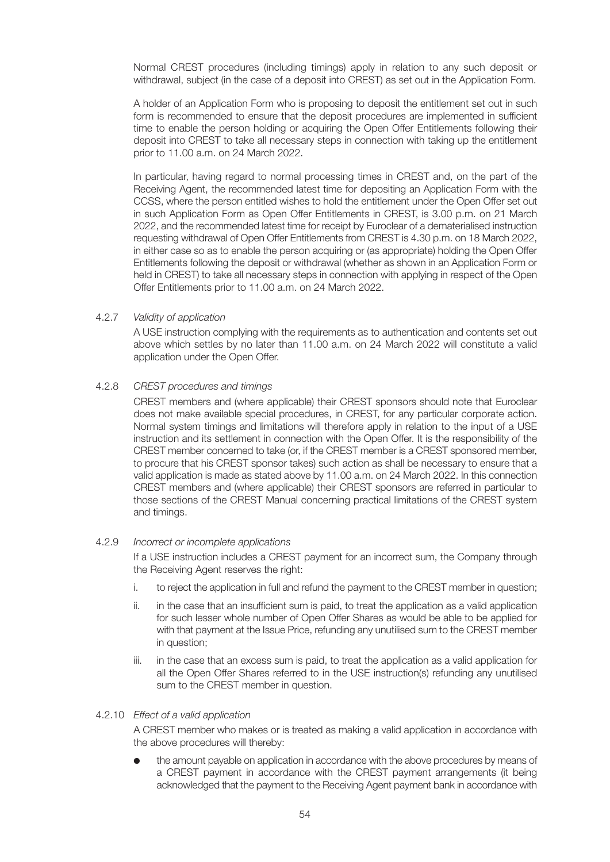Normal CREST procedures (including timings) apply in relation to any such deposit or withdrawal, subject (in the case of a deposit into CREST) as set out in the Application Form.

 A holder of an Application Form who is proposing to deposit the entitlement set out in such form is recommended to ensure that the deposit procedures are implemented in sufficient time to enable the person holding or acquiring the Open Offer Entitlements following their deposit into CREST to take all necessary steps in connection with taking up the entitlement prior to 11.00 a.m. on 24 March 2022.

 In particular, having regard to normal processing times in CREST and, on the part of the Receiving Agent, the recommended latest time for depositing an Application Form with the CCSS, where the person entitled wishes to hold the entitlement under the Open Offer set out in such Application Form as Open Offer Entitlements in CREST, is 3.00 p.m. on 21 March 2022, and the recommended latest time for receipt by Euroclear of a dematerialised instruction requesting withdrawal of Open Offer Entitlements from CREST is 4.30 p.m. on 18 March 2022, in either case so as to enable the person acquiring or (as appropriate) holding the Open Offer Entitlements following the deposit or withdrawal (whether as shown in an Application Form or held in CREST) to take all necessary steps in connection with applying in respect of the Open Offer Entitlements prior to 11.00 a.m. on 24 March 2022.

#### 4.2.7 Validity of application

 A USE instruction complying with the requirements as to authentication and contents set out above which settles by no later than 11.00 a.m. on 24 March 2022 will constitute a valid application under the Open Offer.

#### 4.2.8 CREST procedures and timings

 CREST members and (where applicable) their CREST sponsors should note that Euroclear does not make available special procedures, in CREST, for any particular corporate action. Normal system timings and limitations will therefore apply in relation to the input of a USE instruction and its settlement in connection with the Open Offer. It is the responsibility of the CREST member concerned to take (or, if the CREST member is a CREST sponsored member, to procure that his CREST sponsor takes) such action as shall be necessary to ensure that a valid application is made as stated above by 11.00 a.m. on 24 March 2022. In this connection CREST members and (where applicable) their CREST sponsors are referred in particular to those sections of the CREST Manual concerning practical limitations of the CREST system and timings.

#### 4.2.9 Incorrect or incomplete applications

 If a USE instruction includes a CREST payment for an incorrect sum, the Company through the Receiving Agent reserves the right:

- i. to reject the application in full and refund the payment to the CREST member in question;
- ii. in the case that an insufficient sum is paid, to treat the application as a valid application for such lesser whole number of Open Offer Shares as would be able to be applied for with that payment at the Issue Price, refunding any unutilised sum to the CREST member in question;
- iii. in the case that an excess sum is paid, to treat the application as a valid application for all the Open Offer Shares referred to in the USE instruction(s) refunding any unutilised sum to the CREST member in question.

#### 4.2.10 Effect of a valid application

 A CREST member who makes or is treated as making a valid application in accordance with the above procedures will thereby:

 l the amount payable on application in accordance with the above procedures by means of a CREST payment in accordance with the CREST payment arrangements (it being acknowledged that the payment to the Receiving Agent payment bank in accordance with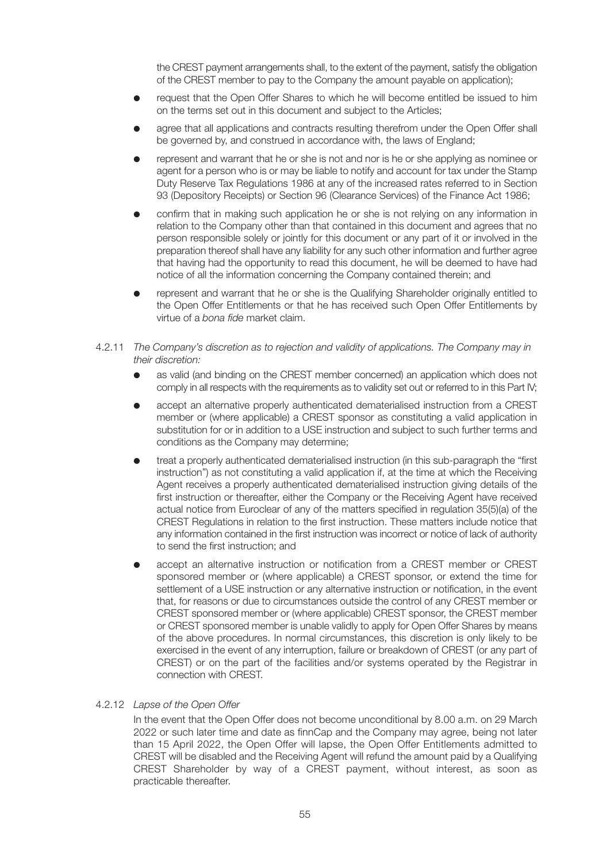the CREST payment arrangements shall, to the extent of the payment, satisfy the obligation of the CREST member to pay to the Company the amount payable on application);

- request that the Open Offer Shares to which he will become entitled be issued to him on the terms set out in this document and subject to the Articles;
- agree that all applications and contracts resulting therefrom under the Open Offer shall be governed by, and construed in accordance with, the laws of England;
- l represent and warrant that he or she is not and nor is he or she applying as nominee or agent for a person who is or may be liable to notify and account for tax under the Stamp Duty Reserve Tax Regulations 1986 at any of the increased rates referred to in Section 93 (Depository Receipts) or Section 96 (Clearance Services) of the Finance Act 1986;
- confirm that in making such application he or she is not relying on any information in relation to the Company other than that contained in this document and agrees that no person responsible solely or jointly for this document or any part of it or involved in the preparation thereof shall have any liability for any such other information and further agree that having had the opportunity to read this document, he will be deemed to have had notice of all the information concerning the Company contained therein; and
- represent and warrant that he or she is the Qualifying Shareholder originally entitled to the Open Offer Entitlements or that he has received such Open Offer Entitlements by virtue of a bona fide market claim.
- 4.2.11 The Company's discretion as to rejection and validity of applications. The Company may in their discretion:
	- as valid (and binding on the CREST member concerned) an application which does not comply in all respects with the requirements as to validity set out or referred to in this Part IV;
	- accept an alternative properly authenticated dematerialised instruction from a CREST member or (where applicable) a CREST sponsor as constituting a valid application in substitution for or in addition to a USE instruction and subject to such further terms and conditions as the Company may determine;
	- l treat a properly authenticated dematerialised instruction (in this sub-paragraph the "first instruction") as not constituting a valid application if, at the time at which the Receiving Agent receives a properly authenticated dematerialised instruction giving details of the first instruction or thereafter, either the Company or the Receiving Agent have received actual notice from Euroclear of any of the matters specified in regulation 35(5)(a) of the CREST Regulations in relation to the first instruction. These matters include notice that any information contained in the first instruction was incorrect or notice of lack of authority to send the first instruction; and
	- accept an alternative instruction or notification from a CREST member or CREST sponsored member or (where applicable) a CREST sponsor, or extend the time for settlement of a USE instruction or any alternative instruction or notification, in the event that, for reasons or due to circumstances outside the control of any CREST member or CREST sponsored member or (where applicable) CREST sponsor, the CREST member or CREST sponsored member is unable validly to apply for Open Offer Shares by means of the above procedures. In normal circumstances, this discretion is only likely to be exercised in the event of any interruption, failure or breakdown of CREST (or any part of CREST) or on the part of the facilities and/or systems operated by the Registrar in connection with CREST.

#### 4.2.12 Lapse of the Open Offer

 In the event that the Open Offer does not become unconditional by 8.00 a.m. on 29 March 2022 or such later time and date as finnCap and the Company may agree, being not later than 15 April 2022, the Open Offer will lapse, the Open Offer Entitlements admitted to CREST will be disabled and the Receiving Agent will refund the amount paid by a Qualifying CREST Shareholder by way of a CREST payment, without interest, as soon as practicable thereafter.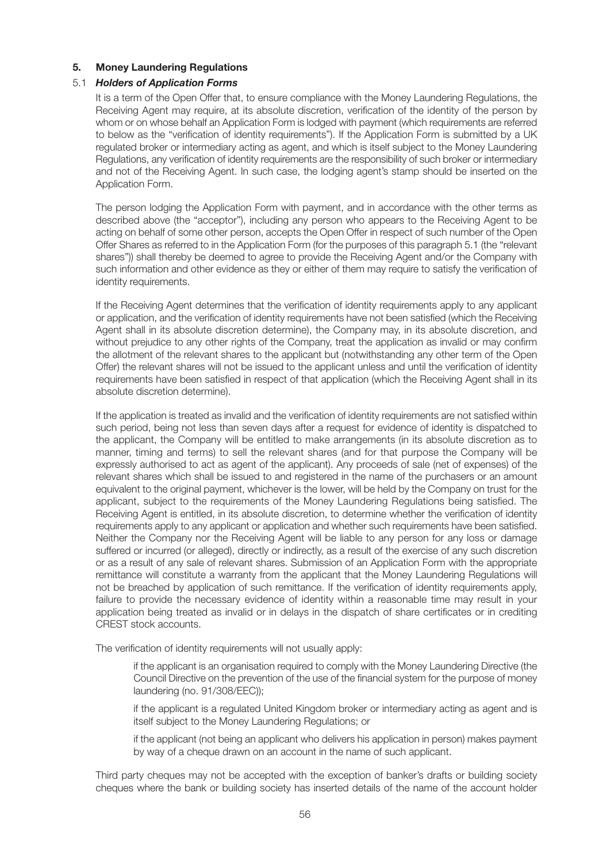#### **5. Money Laundering Regulations**

#### 5.1 *Holders of Application Forms*

 It is a term of the Open Offer that, to ensure compliance with the Money Laundering Regulations, the Receiving Agent may require, at its absolute discretion, verification of the identity of the person by whom or on whose behalf an Application Form is lodged with payment (which requirements are referred to below as the "verification of identity requirements"). If the Application Form is submitted by a UK regulated broker or intermediary acting as agent, and which is itself subject to the Money Laundering Regulations, any verification of identity requirements are the responsibility of such broker or intermediary and not of the Receiving Agent. In such case, the lodging agent's stamp should be inserted on the Application Form.

 The person lodging the Application Form with payment, and in accordance with the other terms as described above (the "acceptor"), including any person who appears to the Receiving Agent to be acting on behalf of some other person, accepts the Open Offer in respect of such number of the Open Offer Shares as referred to in the Application Form (for the purposes of this paragraph 5.1 (the "relevant shares")) shall thereby be deemed to agree to provide the Receiving Agent and/or the Company with such information and other evidence as they or either of them may require to satisfy the verification of identity requirements.

 If the Receiving Agent determines that the verification of identity requirements apply to any applicant or application, and the verification of identity requirements have not been satisfied (which the Receiving Agent shall in its absolute discretion determine), the Company may, in its absolute discretion, and without prejudice to any other rights of the Company, treat the application as invalid or may confirm the allotment of the relevant shares to the applicant but (notwithstanding any other term of the Open Offer) the relevant shares will not be issued to the applicant unless and until the verification of identity requirements have been satisfied in respect of that application (which the Receiving Agent shall in its absolute discretion determine).

 If the application is treated as invalid and the verification of identity requirements are not satisfied within such period, being not less than seven days after a request for evidence of identity is dispatched to the applicant, the Company will be entitled to make arrangements (in its absolute discretion as to manner, timing and terms) to sell the relevant shares (and for that purpose the Company will be expressly authorised to act as agent of the applicant). Any proceeds of sale (net of expenses) of the relevant shares which shall be issued to and registered in the name of the purchasers or an amount equivalent to the original payment, whichever is the lower, will be held by the Company on trust for the applicant, subject to the requirements of the Money Laundering Regulations being satisfied. The Receiving Agent is entitled, in its absolute discretion, to determine whether the verification of identity requirements apply to any applicant or application and whether such requirements have been satisfied. Neither the Company nor the Receiving Agent will be liable to any person for any loss or damage suffered or incurred (or alleged), directly or indirectly, as a result of the exercise of any such discretion or as a result of any sale of relevant shares. Submission of an Application Form with the appropriate remittance will constitute a warranty from the applicant that the Money Laundering Regulations will not be breached by application of such remittance. If the verification of identity requirements apply, failure to provide the necessary evidence of identity within a reasonable time may result in your application being treated as invalid or in delays in the dispatch of share certificates or in crediting CREST stock accounts.

The verification of identity requirements will not usually apply:

 if the applicant is an organisation required to comply with the Money Laundering Directive (the Council Directive on the prevention of the use of the financial system for the purpose of money laundering (no. 91/308/EEC));

 if the applicant is a regulated United Kingdom broker or intermediary acting as agent and is itself subject to the Money Laundering Regulations; or

 if the applicant (not being an applicant who delivers his application in person) makes payment by way of a cheque drawn on an account in the name of such applicant.

 Third party cheques may not be accepted with the exception of banker's drafts or building society cheques where the bank or building society has inserted details of the name of the account holder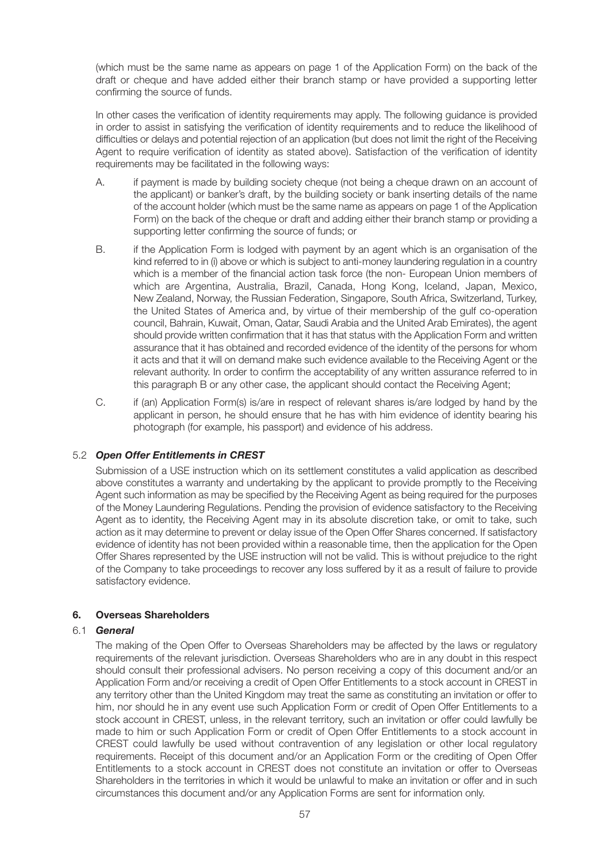(which must be the same name as appears on page 1 of the Application Form) on the back of the draft or cheque and have added either their branch stamp or have provided a supporting letter confirming the source of funds.

 In other cases the verification of identity requirements may apply. The following guidance is provided in order to assist in satisfying the verification of identity requirements and to reduce the likelihood of difficulties or delays and potential rejection of an application (but does not limit the right of the Receiving Agent to require verification of identity as stated above). Satisfaction of the verification of identity requirements may be facilitated in the following ways:

- A. if payment is made by building society cheque (not being a cheque drawn on an account of the applicant) or banker's draft, by the building society or bank inserting details of the name of the account holder (which must be the same name as appears on page 1 of the Application Form) on the back of the cheque or draft and adding either their branch stamp or providing a supporting letter confirming the source of funds; or
- B. if the Application Form is lodged with payment by an agent which is an organisation of the kind referred to in (i) above or which is subject to anti-money laundering regulation in a country which is a member of the financial action task force (the non- European Union members of which are Argentina, Australia, Brazil, Canada, Hong Kong, Iceland, Japan, Mexico, New Zealand, Norway, the Russian Federation, Singapore, South Africa, Switzerland, Turkey, the United States of America and, by virtue of their membership of the gulf co-operation council, Bahrain, Kuwait, Oman, Qatar, Saudi Arabia and the United Arab Emirates), the agent should provide written confirmation that it has that status with the Application Form and written assurance that it has obtained and recorded evidence of the identity of the persons for whom it acts and that it will on demand make such evidence available to the Receiving Agent or the relevant authority. In order to confirm the acceptability of any written assurance referred to in this paragraph B or any other case, the applicant should contact the Receiving Agent;
- C. if (an) Application Form(s) is/are in respect of relevant shares is/are lodged by hand by the applicant in person, he should ensure that he has with him evidence of identity bearing his photograph (for example, his passport) and evidence of his address.

#### 5.2 *Open Offer Entitlements in CREST*

 Submission of a USE instruction which on its settlement constitutes a valid application as described above constitutes a warranty and undertaking by the applicant to provide promptly to the Receiving Agent such information as may be specified by the Receiving Agent as being required for the purposes of the Money Laundering Regulations. Pending the provision of evidence satisfactory to the Receiving Agent as to identity, the Receiving Agent may in its absolute discretion take, or omit to take, such action as it may determine to prevent or delay issue of the Open Offer Shares concerned. If satisfactory evidence of identity has not been provided within a reasonable time, then the application for the Open Offer Shares represented by the USE instruction will not be valid. This is without prejudice to the right of the Company to take proceedings to recover any loss suffered by it as a result of failure to provide satisfactory evidence.

#### **6. Overseas Shareholders**

#### 6.1 *General*

 The making of the Open Offer to Overseas Shareholders may be affected by the laws or regulatory requirements of the relevant jurisdiction. Overseas Shareholders who are in any doubt in this respect should consult their professional advisers. No person receiving a copy of this document and/or an Application Form and/or receiving a credit of Open Offer Entitlements to a stock account in CREST in any territory other than the United Kingdom may treat the same as constituting an invitation or offer to him, nor should he in any event use such Application Form or credit of Open Offer Entitlements to a stock account in CREST, unless, in the relevant territory, such an invitation or offer could lawfully be made to him or such Application Form or credit of Open Offer Entitlements to a stock account in CREST could lawfully be used without contravention of any legislation or other local regulatory requirements. Receipt of this document and/or an Application Form or the crediting of Open Offer Entitlements to a stock account in CREST does not constitute an invitation or offer to Overseas Shareholders in the territories in which it would be unlawful to make an invitation or offer and in such circumstances this document and/or any Application Forms are sent for information only.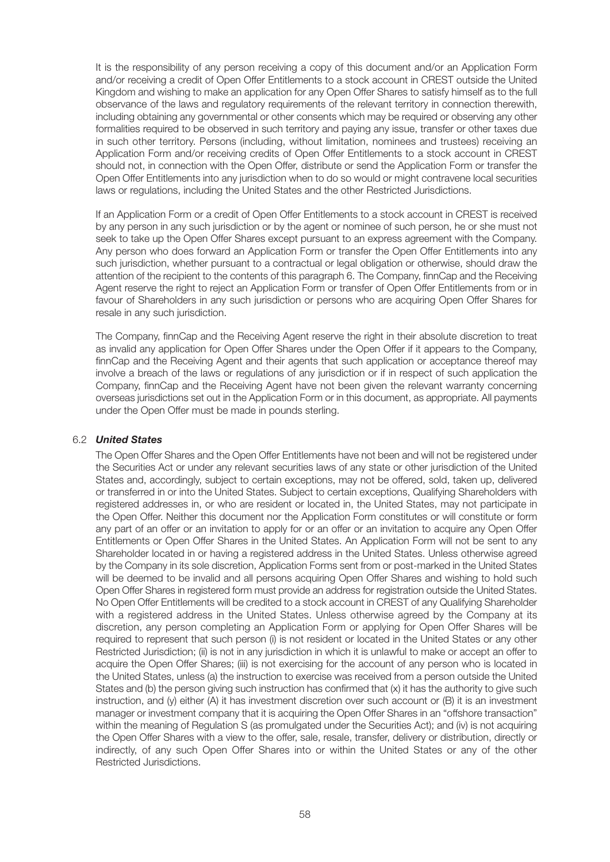It is the responsibility of any person receiving a copy of this document and/or an Application Form and/or receiving a credit of Open Offer Entitlements to a stock account in CREST outside the United Kingdom and wishing to make an application for any Open Offer Shares to satisfy himself as to the full observance of the laws and regulatory requirements of the relevant territory in connection therewith, including obtaining any governmental or other consents which may be required or observing any other formalities required to be observed in such territory and paying any issue, transfer or other taxes due in such other territory. Persons (including, without limitation, nominees and trustees) receiving an Application Form and/or receiving credits of Open Offer Entitlements to a stock account in CREST should not, in connection with the Open Offer, distribute or send the Application Form or transfer the Open Offer Entitlements into any jurisdiction when to do so would or might contravene local securities laws or regulations, including the United States and the other Restricted Jurisdictions.

 If an Application Form or a credit of Open Offer Entitlements to a stock account in CREST is received by any person in any such jurisdiction or by the agent or nominee of such person, he or she must not seek to take up the Open Offer Shares except pursuant to an express agreement with the Company. Any person who does forward an Application Form or transfer the Open Offer Entitlements into any such jurisdiction, whether pursuant to a contractual or legal obligation or otherwise, should draw the attention of the recipient to the contents of this paragraph 6. The Company, finnCap and the Receiving Agent reserve the right to reject an Application Form or transfer of Open Offer Entitlements from or in favour of Shareholders in any such jurisdiction or persons who are acquiring Open Offer Shares for resale in any such jurisdiction.

 The Company, finnCap and the Receiving Agent reserve the right in their absolute discretion to treat as invalid any application for Open Offer Shares under the Open Offer if it appears to the Company, finnCap and the Receiving Agent and their agents that such application or acceptance thereof may involve a breach of the laws or regulations of any jurisdiction or if in respect of such application the Company, finnCap and the Receiving Agent have not been given the relevant warranty concerning overseas jurisdictions set out in the Application Form or in this document, as appropriate. All payments under the Open Offer must be made in pounds sterling.

#### 6.2 *United States*

 The Open Offer Shares and the Open Offer Entitlements have not been and will not be registered under the Securities Act or under any relevant securities laws of any state or other jurisdiction of the United States and, accordingly, subject to certain exceptions, may not be offered, sold, taken up, delivered or transferred in or into the United States. Subject to certain exceptions, Qualifying Shareholders with registered addresses in, or who are resident or located in, the United States, may not participate in the Open Offer. Neither this document nor the Application Form constitutes or will constitute or form any part of an offer or an invitation to apply for or an offer or an invitation to acquire any Open Offer Entitlements or Open Offer Shares in the United States. An Application Form will not be sent to any Shareholder located in or having a registered address in the United States. Unless otherwise agreed by the Company in its sole discretion, Application Forms sent from or post-marked in the United States will be deemed to be invalid and all persons acquiring Open Offer Shares and wishing to hold such Open Offer Shares in registered form must provide an address for registration outside the United States. No Open Offer Entitlements will be credited to a stock account in CREST of any Qualifying Shareholder with a registered address in the United States. Unless otherwise agreed by the Company at its discretion, any person completing an Application Form or applying for Open Offer Shares will be required to represent that such person (i) is not resident or located in the United States or any other Restricted Jurisdiction; (ii) is not in any jurisdiction in which it is unlawful to make or accept an offer to acquire the Open Offer Shares; (iii) is not exercising for the account of any person who is located in the United States, unless (a) the instruction to exercise was received from a person outside the United States and (b) the person giving such instruction has confirmed that (x) it has the authority to give such instruction, and (y) either (A) it has investment discretion over such account or (B) it is an investment manager or investment company that it is acquiring the Open Offer Shares in an "offshore transaction" within the meaning of Regulation S (as promulgated under the Securities Act); and (iv) is not acquiring the Open Offer Shares with a view to the offer, sale, resale, transfer, delivery or distribution, directly or indirectly, of any such Open Offer Shares into or within the United States or any of the other Restricted Jurisdictions.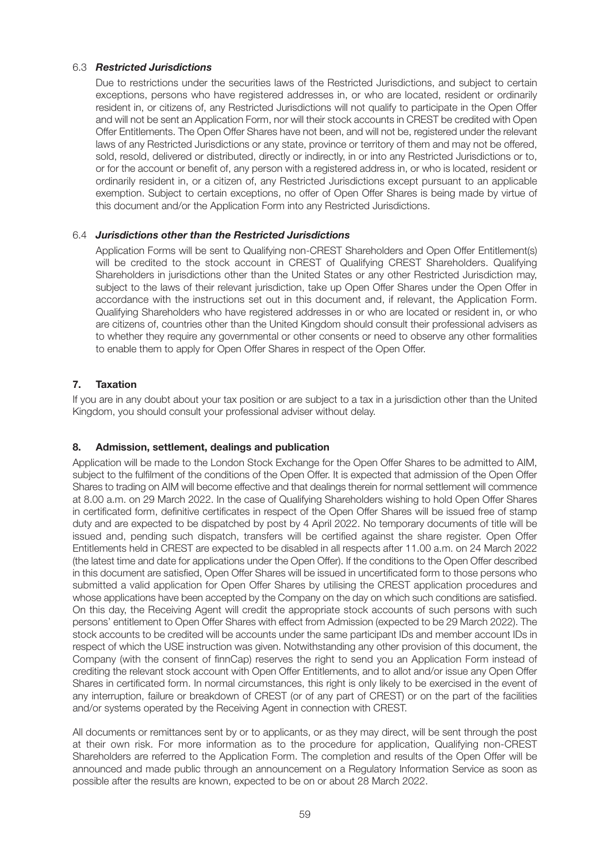#### 6.3 *Restricted Jurisdictions*

 Due to restrictions under the securities laws of the Restricted Jurisdictions, and subject to certain exceptions, persons who have registered addresses in, or who are located, resident or ordinarily resident in, or citizens of, any Restricted Jurisdictions will not qualify to participate in the Open Offer and will not be sent an Application Form, nor will their stock accounts in CREST be credited with Open Offer Entitlements. The Open Offer Shares have not been, and will not be, registered under the relevant laws of any Restricted Jurisdictions or any state, province or territory of them and may not be offered, sold, resold, delivered or distributed, directly or indirectly, in or into any Restricted Jurisdictions or to, or for the account or benefit of, any person with a registered address in, or who is located, resident or ordinarily resident in, or a citizen of, any Restricted Jurisdictions except pursuant to an applicable exemption. Subject to certain exceptions, no offer of Open Offer Shares is being made by virtue of this document and/or the Application Form into any Restricted Jurisdictions.

#### 6.4 *Jurisdictions other than the Restricted Jurisdictions*

 Application Forms will be sent to Qualifying non-CREST Shareholders and Open Offer Entitlement(s) will be credited to the stock account in CREST of Qualifying CREST Shareholders. Qualifying Shareholders in jurisdictions other than the United States or any other Restricted Jurisdiction may, subject to the laws of their relevant jurisdiction, take up Open Offer Shares under the Open Offer in accordance with the instructions set out in this document and, if relevant, the Application Form. Qualifying Shareholders who have registered addresses in or who are located or resident in, or who are citizens of, countries other than the United Kingdom should consult their professional advisers as to whether they require any governmental or other consents or need to observe any other formalities to enable them to apply for Open Offer Shares in respect of the Open Offer.

#### **7. Taxation**

If you are in any doubt about your tax position or are subject to a tax in a jurisdiction other than the United Kingdom, you should consult your professional adviser without delay.

#### **8. Admission, settlement, dealings and publication**

Application will be made to the London Stock Exchange for the Open Offer Shares to be admitted to AIM, subject to the fulfilment of the conditions of the Open Offer. It is expected that admission of the Open Offer Shares to trading on AIM will become effective and that dealings therein for normal settlement will commence at 8.00 a.m. on 29 March 2022. In the case of Qualifying Shareholders wishing to hold Open Offer Shares in certificated form, definitive certificates in respect of the Open Offer Shares will be issued free of stamp duty and are expected to be dispatched by post by 4 April 2022. No temporary documents of title will be issued and, pending such dispatch, transfers will be certified against the share register. Open Offer Entitlements held in CREST are expected to be disabled in all respects after 11.00 a.m. on 24 March 2022 (the latest time and date for applications under the Open Offer). If the conditions to the Open Offer described in this document are satisfied, Open Offer Shares will be issued in uncertificated form to those persons who submitted a valid application for Open Offer Shares by utilising the CREST application procedures and whose applications have been accepted by the Company on the day on which such conditions are satisfied. On this day, the Receiving Agent will credit the appropriate stock accounts of such persons with such persons' entitlement to Open Offer Shares with effect from Admission (expected to be 29 March 2022). The stock accounts to be credited will be accounts under the same participant IDs and member account IDs in respect of which the USE instruction was given. Notwithstanding any other provision of this document, the Company (with the consent of finnCap) reserves the right to send you an Application Form instead of crediting the relevant stock account with Open Offer Entitlements, and to allot and/or issue any Open Offer Shares in certificated form. In normal circumstances, this right is only likely to be exercised in the event of any interruption, failure or breakdown of CREST (or of any part of CREST) or on the part of the facilities and/or systems operated by the Receiving Agent in connection with CREST.

All documents or remittances sent by or to applicants, or as they may direct, will be sent through the post at their own risk. For more information as to the procedure for application, Qualifying non-CREST Shareholders are referred to the Application Form. The completion and results of the Open Offer will be announced and made public through an announcement on a Regulatory Information Service as soon as possible after the results are known, expected to be on or about 28 March 2022.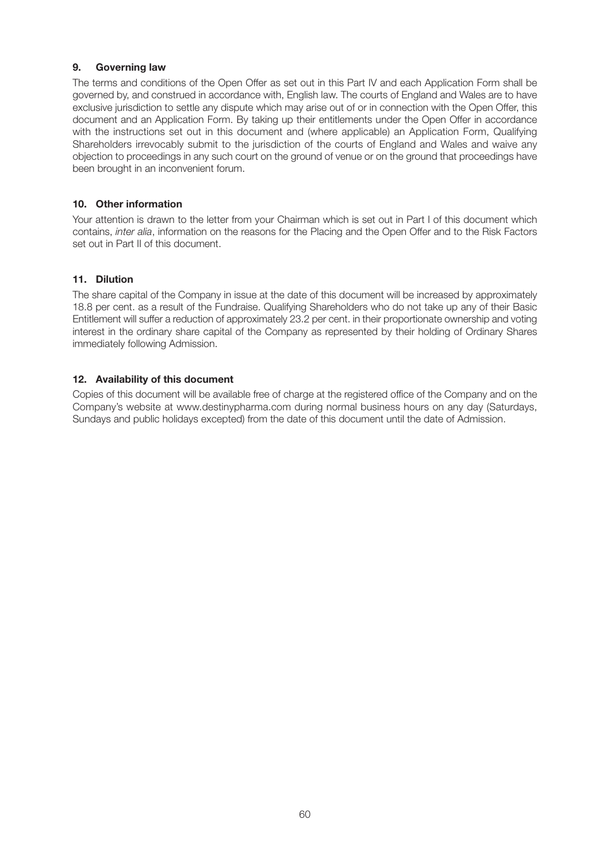#### **9. Governing law**

The terms and conditions of the Open Offer as set out in this Part IV and each Application Form shall be governed by, and construed in accordance with, English law. The courts of England and Wales are to have exclusive jurisdiction to settle any dispute which may arise out of or in connection with the Open Offer, this document and an Application Form. By taking up their entitlements under the Open Offer in accordance with the instructions set out in this document and (where applicable) an Application Form, Qualifying Shareholders irrevocably submit to the jurisdiction of the courts of England and Wales and waive any objection to proceedings in any such court on the ground of venue or on the ground that proceedings have been brought in an inconvenient forum.

#### **10. Other information**

Your attention is drawn to the letter from your Chairman which is set out in Part I of this document which contains, inter alia, information on the reasons for the Placing and the Open Offer and to the Risk Factors set out in Part II of this document.

#### **11. Dilution**

The share capital of the Company in issue at the date of this document will be increased by approximately 18.8 per cent. as a result of the Fundraise. Qualifying Shareholders who do not take up any of their Basic Entitlement will suffer a reduction of approximately 23.2 per cent. in their proportionate ownership and voting interest in the ordinary share capital of the Company as represented by their holding of Ordinary Shares immediately following Admission.

#### **12. Availability of this document**

Copies of this document will be available free of charge at the registered office of the Company and on the Company's website at www.destinypharma.com during normal business hours on any day (Saturdays, Sundays and public holidays excepted) from the date of this document until the date of Admission.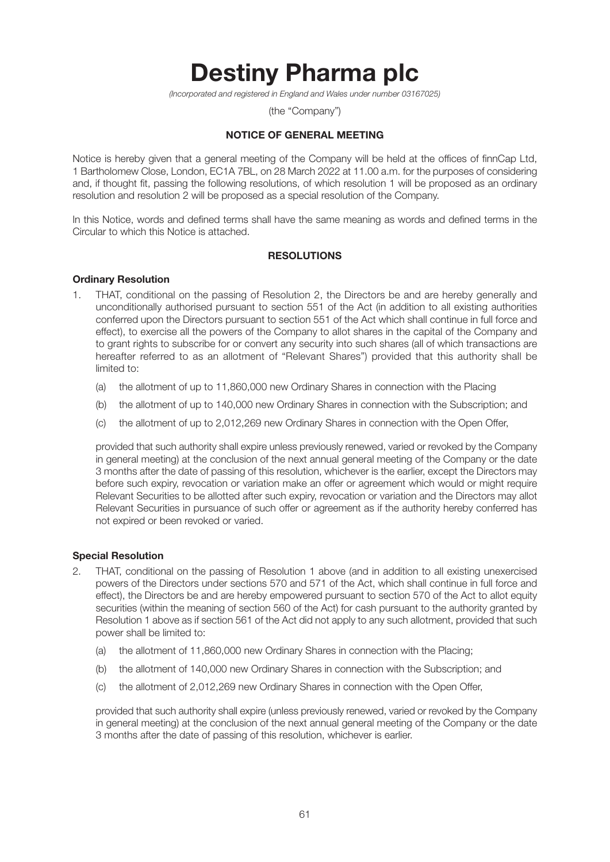# **Destiny Pharma plc**

(Incorporated and registered in England and Wales under number 03167025)

(the "Company")

### **NOTICE OF GENERAL MEETING**

Notice is hereby given that a general meeting of the Company will be held at the offices of finnCap Ltd, 1 Bartholomew Close, London, EC1A 7BL, on 28 March 2022 at 11.00 a.m. for the purposes of considering and, if thought fit, passing the following resolutions, of which resolution 1 will be proposed as an ordinary resolution and resolution 2 will be proposed as a special resolution of the Company.

In this Notice, words and defined terms shall have the same meaning as words and defined terms in the Circular to which this Notice is attached.

#### **RESOLUTIONS**

#### **Ordinary Resolution**

- 1. THAT, conditional on the passing of Resolution 2, the Directors be and are hereby generally and unconditionally authorised pursuant to section 551 of the Act (in addition to all existing authorities conferred upon the Directors pursuant to section 551 of the Act which shall continue in full force and effect), to exercise all the powers of the Company to allot shares in the capital of the Company and to grant rights to subscribe for or convert any security into such shares (all of which transactions are hereafter referred to as an allotment of "Relevant Shares") provided that this authority shall be limited to:
	- (a) the allotment of up to 11,860,000 new Ordinary Shares in connection with the Placing
	- (b) the allotment of up to 140,000 new Ordinary Shares in connection with the Subscription; and
	- (c) the allotment of up to 2,012,269 new Ordinary Shares in connection with the Open Offer,

 provided that such authority shall expire unless previously renewed, varied or revoked by the Company in general meeting) at the conclusion of the next annual general meeting of the Company or the date 3 months after the date of passing of this resolution, whichever is the earlier, except the Directors may before such expiry, revocation or variation make an offer or agreement which would or might require Relevant Securities to be allotted after such expiry, revocation or variation and the Directors may allot Relevant Securities in pursuance of such offer or agreement as if the authority hereby conferred has not expired or been revoked or varied.

#### **Special Resolution**

- 2. THAT, conditional on the passing of Resolution 1 above (and in addition to all existing unexercised powers of the Directors under sections 570 and 571 of the Act, which shall continue in full force and effect), the Directors be and are hereby empowered pursuant to section 570 of the Act to allot equity securities (within the meaning of section 560 of the Act) for cash pursuant to the authority granted by Resolution 1 above as if section 561 of the Act did not apply to any such allotment, provided that such power shall be limited to:
	- (a) the allotment of 11,860,000 new Ordinary Shares in connection with the Placing;
	- (b) the allotment of 140,000 new Ordinary Shares in connection with the Subscription; and
	- (c) the allotment of 2,012,269 new Ordinary Shares in connection with the Open Offer,

 provided that such authority shall expire (unless previously renewed, varied or revoked by the Company in general meeting) at the conclusion of the next annual general meeting of the Company or the date 3 months after the date of passing of this resolution, whichever is earlier.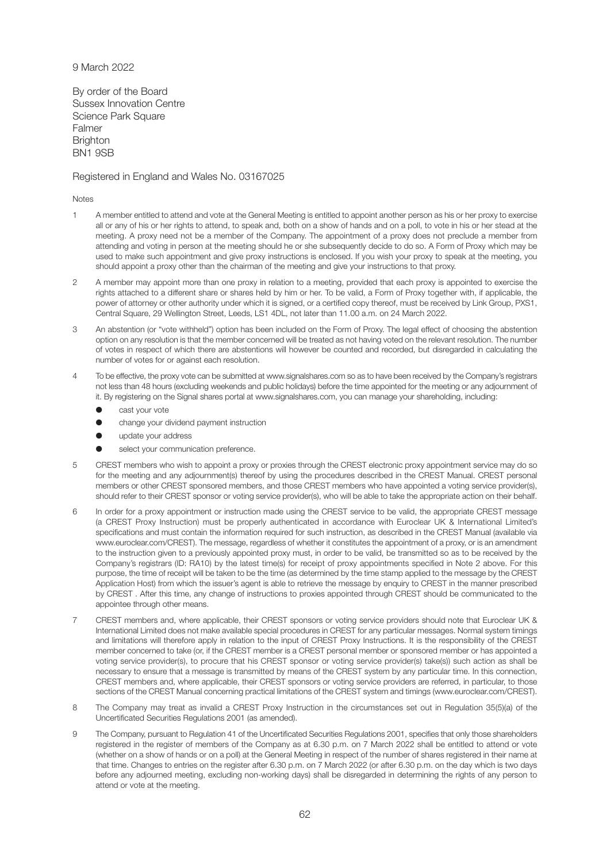#### 9 March 2022

By order of the Board Sussex Innovation Centre Science Park Square Falmer **Brighton** BN1 9SB

#### Registered in England and Wales No. 03167025

Notes

- 1 A member entitled to attend and vote at the General Meeting is entitled to appoint another person as his or her proxy to exercise all or any of his or her rights to attend, to speak and, both on a show of hands and on a poll, to vote in his or her stead at the meeting. A proxy need not be a member of the Company. The appointment of a proxy does not preclude a member from attending and voting in person at the meeting should he or she subsequently decide to do so. A Form of Proxy which may be used to make such appointment and give proxy instructions is enclosed. If you wish your proxy to speak at the meeting, you should appoint a proxy other than the chairman of the meeting and give your instructions to that proxy.
- 2 A member may appoint more than one proxy in relation to a meeting, provided that each proxy is appointed to exercise the rights attached to a different share or shares held by him or her. To be valid, a Form of Proxy together with, if applicable, the power of attorney or other authority under which it is signed, or a certified copy thereof, must be received by Link Group, PXS1, Central Square, 29 Wellington Street, Leeds, LS1 4DL, not later than 11.00 a.m. on 24 March 2022.
- 3 An abstention (or "vote withheld") option has been included on the Form of Proxy. The legal effect of choosing the abstention option on any resolution is that the member concerned will be treated as not having voted on the relevant resolution. The number of votes in respect of which there are abstentions will however be counted and recorded, but disregarded in calculating the number of votes for or against each resolution.
- 4 To be effective, the proxy vote can be submitted at www.signalshares.com so as to have been received by the Company's registrars not less than 48 hours (excluding weekends and public holidays) before the time appointed for the meeting or any adjournment of it. By registering on the Signal shares portal at www.signalshares.com, you can manage your shareholding, including:
	- **e** cast your vote
	- change your dividend payment instruction
	- l update your address
	- select your communication preference.
- 5 CREST members who wish to appoint a proxy or proxies through the CREST electronic proxy appointment service may do so for the meeting and any adjournment(s) thereof by using the procedures described in the CREST Manual. CREST personal members or other CREST sponsored members, and those CREST members who have appointed a voting service provider(s), should refer to their CREST sponsor or voting service provider(s), who will be able to take the appropriate action on their behalf.
- 6 In order for a proxy appointment or instruction made using the CREST service to be valid, the appropriate CREST message (a CREST Proxy Instruction) must be properly authenticated in accordance with Euroclear UK & International Limited's specifications and must contain the information required for such instruction, as described in the CREST Manual (available via www.euroclear.com/CREST). The message, regardless of whether it constitutes the appointment of a proxy, or is an amendment to the instruction given to a previously appointed proxy must, in order to be valid, be transmitted so as to be received by the Company's registrars (ID: RA10) by the latest time(s) for receipt of proxy appointments specified in Note 2 above. For this purpose, the time of receipt will be taken to be the time (as determined by the time stamp applied to the message by the CREST Application Host) from which the issuer's agent is able to retrieve the message by enquiry to CREST in the manner prescribed by CREST . After this time, any change of instructions to proxies appointed through CREST should be communicated to the appointee through other means.
- 7 CREST members and, where applicable, their CREST sponsors or voting service providers should note that Euroclear UK & International Limited does not make available special procedures in CREST for any particular messages. Normal system timings and limitations will therefore apply in relation to the input of CREST Proxy Instructions. It is the responsibility of the CREST member concerned to take (or, if the CREST member is a CREST personal member or sponsored member or has appointed a voting service provider(s), to procure that his CREST sponsor or voting service provider(s) take(s)) such action as shall be necessary to ensure that a message is transmitted by means of the CREST system by any particular time. In this connection, CREST members and, where applicable, their CREST sponsors or voting service providers are referred, in particular, to those sections of the CREST Manual concerning practical limitations of the CREST system and timings (www.euroclear.com/CREST).
- 8 The Company may treat as invalid a CREST Proxy Instruction in the circumstances set out in Regulation 35(5)(a) of the Uncertificated Securities Regulations 2001 (as amended).
- 9 The Company, pursuant to Regulation 41 of the Uncertificated Securities Regulations 2001, specifies that only those shareholders registered in the register of members of the Company as at 6.30 p.m. on 7 March 2022 shall be entitled to attend or vote (whether on a show of hands or on a poll) at the General Meeting in respect of the number of shares registered in their name at that time. Changes to entries on the register after 6.30 p.m. on 7 March 2022 (or after 6.30 p.m. on the day which is two days before any adjourned meeting, excluding non-working days) shall be disregarded in determining the rights of any person to attend or vote at the meeting.